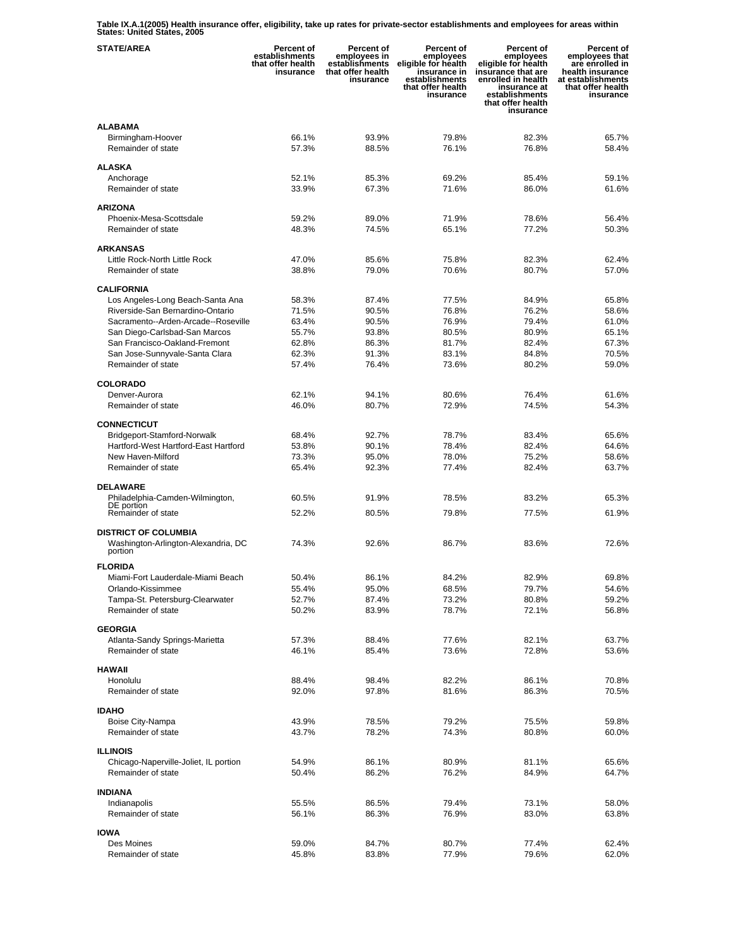**Table IX.A.1(2005) Health insurance offer, eligibility, take up rates for private-sector establishments and employees for areas within States: United States, 2005** 

| <b>STATE/AREA</b>                                                    | <b>Percent of</b><br>establishments<br>that offer health<br>insurance | Percent of<br>employees in<br>establishments<br>that offer health<br>insurance | Percent of<br>employees<br>eligible for health<br>insurance in<br>establishments<br>that offer health<br>insurance | Percent of<br>employees<br>eligible for health<br>insurance that are<br>enrolled in health<br>insurance at<br>establishments<br>that offer health<br>insurance | Percent of<br>employees that<br>are enrolled in<br>health insurance<br>at establishments<br>that offer health<br>insurance |
|----------------------------------------------------------------------|-----------------------------------------------------------------------|--------------------------------------------------------------------------------|--------------------------------------------------------------------------------------------------------------------|----------------------------------------------------------------------------------------------------------------------------------------------------------------|----------------------------------------------------------------------------------------------------------------------------|
| <b>ALABAMA</b><br>Birmingham-Hoover<br>Remainder of state            | 66.1%<br>57.3%                                                        | 93.9%<br>88.5%                                                                 | 79.8%<br>76.1%                                                                                                     | 82.3%<br>76.8%                                                                                                                                                 | 65.7%<br>58.4%                                                                                                             |
| <b>ALASKA</b>                                                        |                                                                       |                                                                                |                                                                                                                    |                                                                                                                                                                |                                                                                                                            |
| Anchorage<br>Remainder of state                                      | 52.1%<br>33.9%                                                        | 85.3%<br>67.3%                                                                 | 69.2%<br>71.6%                                                                                                     | 85.4%<br>86.0%                                                                                                                                                 | 59.1%<br>61.6%                                                                                                             |
| <b>ARIZONA</b>                                                       |                                                                       |                                                                                |                                                                                                                    |                                                                                                                                                                |                                                                                                                            |
| Phoenix-Mesa-Scottsdale<br>Remainder of state                        | 59.2%<br>48.3%                                                        | 89.0%<br>74.5%                                                                 | 71.9%<br>65.1%                                                                                                     | 78.6%<br>77.2%                                                                                                                                                 | 56.4%<br>50.3%                                                                                                             |
| <b>ARKANSAS</b>                                                      |                                                                       |                                                                                |                                                                                                                    |                                                                                                                                                                |                                                                                                                            |
| Little Rock-North Little Rock                                        | 47.0%                                                                 | 85.6%                                                                          | 75.8%                                                                                                              | 82.3%                                                                                                                                                          | 62.4%                                                                                                                      |
| Remainder of state                                                   | 38.8%                                                                 | 79.0%                                                                          | 70.6%                                                                                                              | 80.7%                                                                                                                                                          | 57.0%                                                                                                                      |
| <b>CALIFORNIA</b>                                                    |                                                                       |                                                                                |                                                                                                                    |                                                                                                                                                                |                                                                                                                            |
| Los Angeles-Long Beach-Santa Ana<br>Riverside-San Bernardino-Ontario | 58.3%<br>71.5%                                                        | 87.4%<br>90.5%                                                                 | 77.5%<br>76.8%                                                                                                     | 84.9%<br>76.2%                                                                                                                                                 | 65.8%<br>58.6%                                                                                                             |
| Sacramento--Arden-Arcade--Roseville                                  | 63.4%                                                                 | 90.5%                                                                          | 76.9%                                                                                                              | 79.4%                                                                                                                                                          | 61.0%                                                                                                                      |
| San Diego-Carlsbad-San Marcos                                        | 55.7%                                                                 | 93.8%                                                                          | 80.5%                                                                                                              | 80.9%                                                                                                                                                          | 65.1%                                                                                                                      |
| San Francisco-Oakland-Fremont                                        | 62.8%                                                                 | 86.3%                                                                          | 81.7%                                                                                                              | 82.4%                                                                                                                                                          | 67.3%                                                                                                                      |
| San Jose-Sunnyvale-Santa Clara<br>Remainder of state                 | 62.3%                                                                 | 91.3%                                                                          | 83.1%                                                                                                              | 84.8%                                                                                                                                                          | 70.5%                                                                                                                      |
|                                                                      | 57.4%                                                                 | 76.4%                                                                          | 73.6%                                                                                                              | 80.2%                                                                                                                                                          | 59.0%                                                                                                                      |
| <b>COLORADO</b>                                                      |                                                                       |                                                                                |                                                                                                                    |                                                                                                                                                                |                                                                                                                            |
| Denver-Aurora<br>Remainder of state                                  | 62.1%<br>46.0%                                                        | 94.1%<br>80.7%                                                                 | 80.6%<br>72.9%                                                                                                     | 76.4%<br>74.5%                                                                                                                                                 | 61.6%<br>54.3%                                                                                                             |
|                                                                      |                                                                       |                                                                                |                                                                                                                    |                                                                                                                                                                |                                                                                                                            |
| <b>CONNECTICUT</b><br>Bridgeport-Stamford-Norwalk                    | 68.4%                                                                 | 92.7%                                                                          | 78.7%                                                                                                              | 83.4%                                                                                                                                                          | 65.6%                                                                                                                      |
| Hartford-West Hartford-East Hartford                                 | 53.8%                                                                 | 90.1%                                                                          | 78.4%                                                                                                              | 82.4%                                                                                                                                                          | 64.6%                                                                                                                      |
| New Haven-Milford                                                    | 73.3%                                                                 | 95.0%                                                                          | 78.0%                                                                                                              | 75.2%                                                                                                                                                          | 58.6%                                                                                                                      |
| Remainder of state                                                   | 65.4%                                                                 | 92.3%                                                                          | 77.4%                                                                                                              | 82.4%                                                                                                                                                          | 63.7%                                                                                                                      |
| <b>DELAWARE</b>                                                      |                                                                       |                                                                                |                                                                                                                    |                                                                                                                                                                |                                                                                                                            |
| Philadelphia-Camden-Wilmington,<br>DE portion                        | 60.5%                                                                 | 91.9%                                                                          | 78.5%                                                                                                              | 83.2%                                                                                                                                                          | 65.3%                                                                                                                      |
| Remainder of state                                                   | 52.2%                                                                 | 80.5%                                                                          | 79.8%                                                                                                              | 77.5%                                                                                                                                                          | 61.9%                                                                                                                      |
| <b>DISTRICT OF COLUMBIA</b>                                          |                                                                       |                                                                                |                                                                                                                    |                                                                                                                                                                |                                                                                                                            |
| Washington-Arlington-Alexandria, DC<br>portion                       | 74.3%                                                                 | 92.6%                                                                          | 86.7%                                                                                                              | 83.6%                                                                                                                                                          | 72.6%                                                                                                                      |
| <b>FLORIDA</b>                                                       |                                                                       |                                                                                |                                                                                                                    |                                                                                                                                                                |                                                                                                                            |
| Miami-Fort Lauderdale-Miami Beach<br>Orlando-Kissimmee               | 50.4%<br>55.4%                                                        | 86.1%                                                                          | 84.2%<br>68.5%                                                                                                     | 82.9%                                                                                                                                                          | 69.8%<br>54.6%                                                                                                             |
| Tampa-St. Petersburg-Clearwater                                      | 52.7%                                                                 | 95.0%<br>87.4%                                                                 | 73.2%                                                                                                              | 79.7%<br>80.8%                                                                                                                                                 | 59.2%                                                                                                                      |
| Remainder of state                                                   | 50.2%                                                                 | 83.9%                                                                          | 78.7%                                                                                                              | 72.1%                                                                                                                                                          | 56.8%                                                                                                                      |
| <b>GEORGIA</b>                                                       |                                                                       |                                                                                |                                                                                                                    |                                                                                                                                                                |                                                                                                                            |
| Atlanta-Sandy Springs-Marietta                                       | 57.3%                                                                 | 88.4%                                                                          | 77.6%                                                                                                              | 82.1%                                                                                                                                                          | 63.7%                                                                                                                      |
| Remainder of state                                                   | 46.1%                                                                 | 85.4%                                                                          | 73.6%                                                                                                              | 72.8%                                                                                                                                                          | 53.6%                                                                                                                      |
| <b>HAWAII</b>                                                        |                                                                       |                                                                                |                                                                                                                    |                                                                                                                                                                |                                                                                                                            |
| Honolulu                                                             | 88.4%                                                                 | 98.4%                                                                          | 82.2%                                                                                                              | 86.1%                                                                                                                                                          | 70.8%                                                                                                                      |
| Remainder of state                                                   | 92.0%                                                                 | 97.8%                                                                          | 81.6%                                                                                                              | 86.3%                                                                                                                                                          | 70.5%                                                                                                                      |
| <b>IDAHO</b>                                                         |                                                                       |                                                                                |                                                                                                                    |                                                                                                                                                                |                                                                                                                            |
| Boise City-Nampa                                                     | 43.9%                                                                 | 78.5%                                                                          | 79.2%                                                                                                              | 75.5%                                                                                                                                                          | 59.8%                                                                                                                      |
| Remainder of state                                                   | 43.7%                                                                 | 78.2%                                                                          | 74.3%                                                                                                              | 80.8%                                                                                                                                                          | 60.0%                                                                                                                      |
| <b>ILLINOIS</b>                                                      |                                                                       |                                                                                |                                                                                                                    |                                                                                                                                                                |                                                                                                                            |
| Chicago-Naperville-Joliet, IL portion<br>Remainder of state          | 54.9%                                                                 | 86.1%                                                                          | 80.9%                                                                                                              | 81.1%                                                                                                                                                          | 65.6%<br>64.7%                                                                                                             |
|                                                                      | 50.4%                                                                 | 86.2%                                                                          | 76.2%                                                                                                              | 84.9%                                                                                                                                                          |                                                                                                                            |
| <b>INDIANA</b>                                                       |                                                                       |                                                                                |                                                                                                                    |                                                                                                                                                                |                                                                                                                            |
| Indianapolis<br>Remainder of state                                   | 55.5%<br>56.1%                                                        | 86.5%<br>86.3%                                                                 | 79.4%<br>76.9%                                                                                                     | 73.1%<br>83.0%                                                                                                                                                 | 58.0%<br>63.8%                                                                                                             |
|                                                                      |                                                                       |                                                                                |                                                                                                                    |                                                                                                                                                                |                                                                                                                            |
| <b>IOWA</b><br>Des Moines                                            | 59.0%                                                                 | 84.7%                                                                          | 80.7%                                                                                                              | 77.4%                                                                                                                                                          | 62.4%                                                                                                                      |
| Remainder of state                                                   | 45.8%                                                                 | 83.8%                                                                          | 77.9%                                                                                                              | 79.6%                                                                                                                                                          | 62.0%                                                                                                                      |
|                                                                      |                                                                       |                                                                                |                                                                                                                    |                                                                                                                                                                |                                                                                                                            |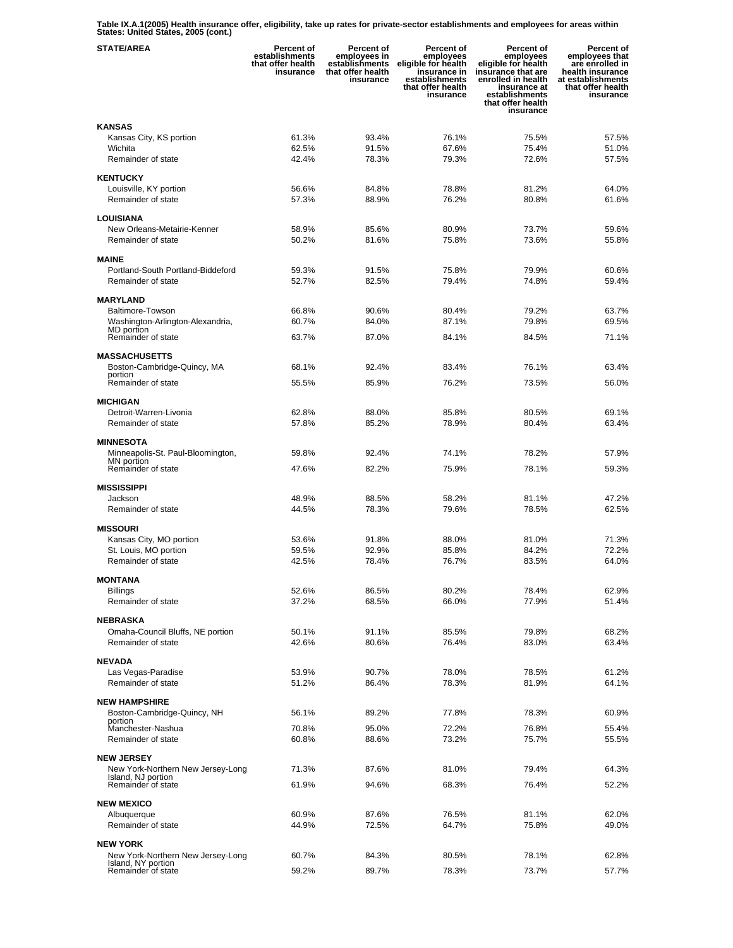**Table IX.A.1(2005) Health insurance offer, eligibility, take up rates for private-sector establishments and employees for areas within States: United States, 2005 (cont.)** 

| <b>STATE/AREA</b>                                       | <b>Percent of</b><br>establishments<br>that offer health<br>insurance | <b>Percent of</b><br>employees in<br>establishments<br>that offer health<br>insurance | Percent of<br>employees<br>eligible for health<br>insurance in<br>establishments<br>that offer health<br>insurance | <b>Percent of</b><br>employees<br>eligible for health<br>insurance that are<br>enrolled in health<br>insurance at<br>establishments<br>that offer health<br>insurance | Percent of<br>employees that<br>are enrolled in<br>health insurance<br>at establishments<br>that offer health<br>insurance |
|---------------------------------------------------------|-----------------------------------------------------------------------|---------------------------------------------------------------------------------------|--------------------------------------------------------------------------------------------------------------------|-----------------------------------------------------------------------------------------------------------------------------------------------------------------------|----------------------------------------------------------------------------------------------------------------------------|
| <b>KANSAS</b>                                           |                                                                       |                                                                                       |                                                                                                                    |                                                                                                                                                                       |                                                                                                                            |
| Kansas City, KS portion                                 | 61.3%                                                                 | 93.4%                                                                                 | 76.1%                                                                                                              | 75.5%                                                                                                                                                                 | 57.5%                                                                                                                      |
| Wichita                                                 | 62.5%                                                                 | 91.5%                                                                                 | 67.6%                                                                                                              | 75.4%                                                                                                                                                                 | 51.0%                                                                                                                      |
| Remainder of state                                      | 42.4%                                                                 | 78.3%                                                                                 | 79.3%                                                                                                              | 72.6%                                                                                                                                                                 | 57.5%                                                                                                                      |
| <b>KENTUCKY</b>                                         |                                                                       |                                                                                       |                                                                                                                    |                                                                                                                                                                       |                                                                                                                            |
| Louisville, KY portion                                  | 56.6%                                                                 | 84.8%                                                                                 | 78.8%                                                                                                              | 81.2%                                                                                                                                                                 | 64.0%                                                                                                                      |
| Remainder of state                                      | 57.3%                                                                 | 88.9%                                                                                 | 76.2%                                                                                                              | 80.8%                                                                                                                                                                 | 61.6%                                                                                                                      |
|                                                         |                                                                       |                                                                                       |                                                                                                                    |                                                                                                                                                                       |                                                                                                                            |
| LOUISIANA<br>New Orleans-Metairie-Kenner                | 58.9%                                                                 | 85.6%                                                                                 | 80.9%                                                                                                              | 73.7%                                                                                                                                                                 | 59.6%                                                                                                                      |
| Remainder of state                                      | 50.2%                                                                 | 81.6%                                                                                 | 75.8%                                                                                                              | 73.6%                                                                                                                                                                 | 55.8%                                                                                                                      |
|                                                         |                                                                       |                                                                                       |                                                                                                                    |                                                                                                                                                                       |                                                                                                                            |
| <b>MAINE</b>                                            |                                                                       |                                                                                       |                                                                                                                    |                                                                                                                                                                       |                                                                                                                            |
| Portland-South Portland-Biddeford                       | 59.3%                                                                 | 91.5%                                                                                 | 75.8%                                                                                                              | 79.9%                                                                                                                                                                 | 60.6%                                                                                                                      |
| Remainder of state                                      | 52.7%                                                                 | 82.5%                                                                                 | 79.4%                                                                                                              | 74.8%                                                                                                                                                                 | 59.4%                                                                                                                      |
| <b>MARYLAND</b>                                         |                                                                       |                                                                                       |                                                                                                                    |                                                                                                                                                                       |                                                                                                                            |
| Baltimore-Towson                                        | 66.8%                                                                 | 90.6%                                                                                 | 80.4%                                                                                                              | 79.2%                                                                                                                                                                 | 63.7%                                                                                                                      |
| Washington-Arlington-Alexandria,                        | 60.7%                                                                 | 84.0%                                                                                 | 87.1%                                                                                                              | 79.8%                                                                                                                                                                 | 69.5%                                                                                                                      |
| MD portion<br>Remainder of state                        | 63.7%                                                                 | 87.0%                                                                                 | 84.1%                                                                                                              | 84.5%                                                                                                                                                                 | 71.1%                                                                                                                      |
|                                                         |                                                                       |                                                                                       |                                                                                                                    |                                                                                                                                                                       |                                                                                                                            |
| <b>MASSACHUSETTS</b>                                    |                                                                       |                                                                                       |                                                                                                                    |                                                                                                                                                                       |                                                                                                                            |
| Boston-Cambridge-Quincy, MA<br>portion                  | 68.1%                                                                 | 92.4%                                                                                 | 83.4%                                                                                                              | 76.1%                                                                                                                                                                 | 63.4%                                                                                                                      |
| Remainder of state                                      | 55.5%                                                                 | 85.9%                                                                                 | 76.2%                                                                                                              | 73.5%                                                                                                                                                                 | 56.0%                                                                                                                      |
| <b>MICHIGAN</b>                                         |                                                                       |                                                                                       |                                                                                                                    |                                                                                                                                                                       |                                                                                                                            |
| Detroit-Warren-Livonia                                  | 62.8%                                                                 | 88.0%                                                                                 | 85.8%                                                                                                              | 80.5%                                                                                                                                                                 | 69.1%                                                                                                                      |
| Remainder of state                                      | 57.8%                                                                 | 85.2%                                                                                 | 78.9%                                                                                                              | 80.4%                                                                                                                                                                 | 63.4%                                                                                                                      |
|                                                         |                                                                       |                                                                                       |                                                                                                                    |                                                                                                                                                                       |                                                                                                                            |
| <b>MINNESOTA</b>                                        |                                                                       | 92.4%                                                                                 | 74.1%                                                                                                              | 78.2%                                                                                                                                                                 | 57.9%                                                                                                                      |
| Minneapolis-St. Paul-Bloomington,<br>MN portion         | 59.8%                                                                 |                                                                                       |                                                                                                                    |                                                                                                                                                                       |                                                                                                                            |
| Remainder of state                                      | 47.6%                                                                 | 82.2%                                                                                 | 75.9%                                                                                                              | 78.1%                                                                                                                                                                 | 59.3%                                                                                                                      |
| <b>MISSISSIPPI</b>                                      |                                                                       |                                                                                       |                                                                                                                    |                                                                                                                                                                       |                                                                                                                            |
| Jackson                                                 | 48.9%                                                                 | 88.5%                                                                                 | 58.2%                                                                                                              | 81.1%                                                                                                                                                                 | 47.2%                                                                                                                      |
| Remainder of state                                      | 44.5%                                                                 | 78.3%                                                                                 | 79.6%                                                                                                              | 78.5%                                                                                                                                                                 | 62.5%                                                                                                                      |
| <b>MISSOURI</b>                                         |                                                                       |                                                                                       |                                                                                                                    |                                                                                                                                                                       |                                                                                                                            |
| Kansas City, MO portion                                 | 53.6%                                                                 | 91.8%                                                                                 | 88.0%                                                                                                              | 81.0%                                                                                                                                                                 | 71.3%                                                                                                                      |
| St. Louis, MO portion                                   | 59.5%                                                                 | 92.9%                                                                                 | 85.8%                                                                                                              | 84.2%                                                                                                                                                                 | 72.2%                                                                                                                      |
| Remainder of state                                      | 42.5%                                                                 | 78.4%                                                                                 | 76.7%                                                                                                              | 83.5%                                                                                                                                                                 | 64.0%                                                                                                                      |
|                                                         |                                                                       |                                                                                       |                                                                                                                    |                                                                                                                                                                       |                                                                                                                            |
| <b>MONTANA</b><br><b>Billings</b>                       | 52.6%                                                                 | 86.5%                                                                                 | 80.2%                                                                                                              | 78.4%                                                                                                                                                                 | 62.9%                                                                                                                      |
| Remainder of state                                      | 37.2%                                                                 | 68.5%                                                                                 | 66.0%                                                                                                              | 77.9%                                                                                                                                                                 | 51.4%                                                                                                                      |
|                                                         |                                                                       |                                                                                       |                                                                                                                    |                                                                                                                                                                       |                                                                                                                            |
| NEBRASKA                                                |                                                                       |                                                                                       |                                                                                                                    |                                                                                                                                                                       |                                                                                                                            |
| Omaha-Council Bluffs, NE portion<br>Remainder of state  | 50.1%<br>42.6%                                                        | 91.1%<br>80.6%                                                                        | 85.5%<br>76.4%                                                                                                     | 79.8%<br>83.0%                                                                                                                                                        | 68.2%<br>63.4%                                                                                                             |
|                                                         |                                                                       |                                                                                       |                                                                                                                    |                                                                                                                                                                       |                                                                                                                            |
| <b>NEVADA</b>                                           |                                                                       |                                                                                       |                                                                                                                    |                                                                                                                                                                       |                                                                                                                            |
| Las Vegas-Paradise                                      | 53.9%                                                                 | 90.7%                                                                                 | 78.0%                                                                                                              | 78.5%                                                                                                                                                                 | 61.2%                                                                                                                      |
| Remainder of state                                      | 51.2%                                                                 | 86.4%                                                                                 | 78.3%                                                                                                              | 81.9%                                                                                                                                                                 | 64.1%                                                                                                                      |
| <b>NEW HAMPSHIRE</b>                                    |                                                                       |                                                                                       |                                                                                                                    |                                                                                                                                                                       |                                                                                                                            |
| Boston-Cambridge-Quincy, NH                             | 56.1%                                                                 | 89.2%                                                                                 | 77.8%                                                                                                              | 78.3%                                                                                                                                                                 | 60.9%                                                                                                                      |
| portion<br>Manchester-Nashua                            | 70.8%                                                                 | 95.0%                                                                                 | 72.2%                                                                                                              | 76.8%                                                                                                                                                                 | 55.4%                                                                                                                      |
| Remainder of state                                      | 60.8%                                                                 | 88.6%                                                                                 | 73.2%                                                                                                              | 75.7%                                                                                                                                                                 | 55.5%                                                                                                                      |
|                                                         |                                                                       |                                                                                       |                                                                                                                    |                                                                                                                                                                       |                                                                                                                            |
| <b>NEW JERSEY</b>                                       |                                                                       |                                                                                       |                                                                                                                    |                                                                                                                                                                       | 64.3%                                                                                                                      |
| New York-Northern New Jersey-Long<br>Island, NJ portion | 71.3%                                                                 | 87.6%                                                                                 | 81.0%                                                                                                              | 79.4%                                                                                                                                                                 |                                                                                                                            |
| Remainder of state                                      | 61.9%                                                                 | 94.6%                                                                                 | 68.3%                                                                                                              | 76.4%                                                                                                                                                                 | 52.2%                                                                                                                      |
| <b>NEW MEXICO</b>                                       |                                                                       |                                                                                       |                                                                                                                    |                                                                                                                                                                       |                                                                                                                            |
| Albuquerque                                             | 60.9%                                                                 | 87.6%                                                                                 | 76.5%                                                                                                              | 81.1%                                                                                                                                                                 | 62.0%                                                                                                                      |
| Remainder of state                                      | 44.9%                                                                 | 72.5%                                                                                 | 64.7%                                                                                                              | 75.8%                                                                                                                                                                 | 49.0%                                                                                                                      |
|                                                         |                                                                       |                                                                                       |                                                                                                                    |                                                                                                                                                                       |                                                                                                                            |
| <b>NEW YORK</b><br>New York-Northern New Jersey-Long    | 60.7%                                                                 | 84.3%                                                                                 | 80.5%                                                                                                              | 78.1%                                                                                                                                                                 | 62.8%                                                                                                                      |
| Island, NY portion                                      |                                                                       |                                                                                       |                                                                                                                    |                                                                                                                                                                       |                                                                                                                            |
| Remainder of state                                      | 59.2%                                                                 | 89.7%                                                                                 | 78.3%                                                                                                              | 73.7%                                                                                                                                                                 | 57.7%                                                                                                                      |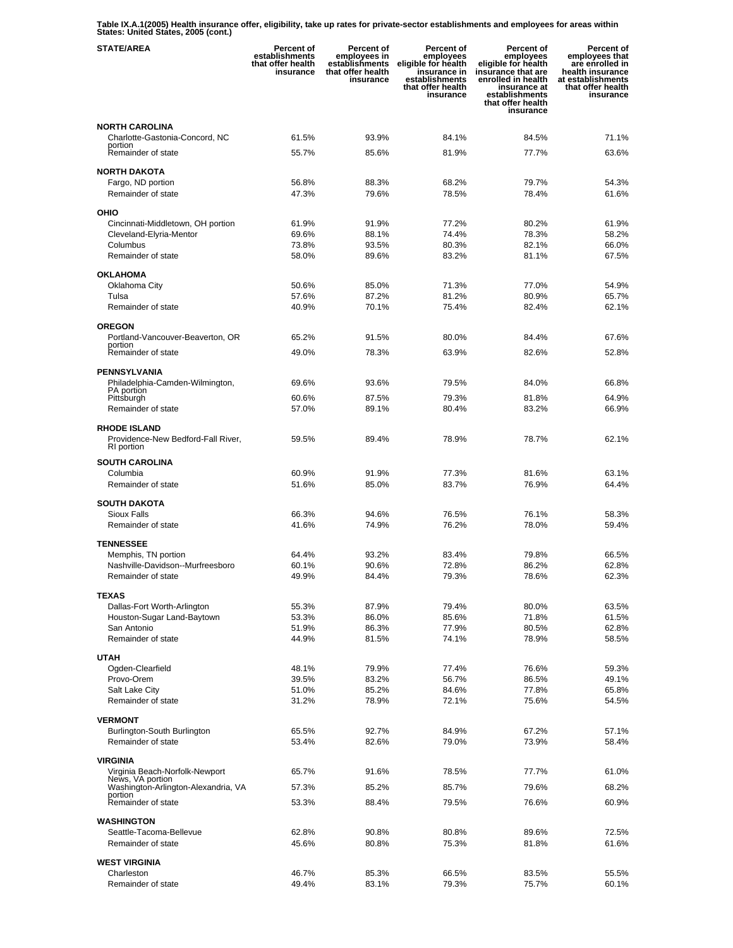**Table IX.A.1(2005) Health insurance offer, eligibility, take up rates for private-sector establishments and employees for areas within States: United States, 2005 (cont.)** 

| <b>STATE/AREA</b>                                            | Percent of<br>establishments<br>that offer health<br>insurance | Percent of<br>employees in<br>establishments<br>that offer health<br>insurance | Percent of<br>employees<br>eligible for health<br>insurance in<br>establishments<br>that offer health<br>insurance | <b>Percent of</b><br>employees<br>eligible for health<br>insurance that are<br>enrolled in health<br>insurance at<br>establishments<br>that offer health<br>insurance | Percent of<br>employees that<br>are enrolled in<br>health insurance<br>at establishments<br>that offer health<br>insurance |
|--------------------------------------------------------------|----------------------------------------------------------------|--------------------------------------------------------------------------------|--------------------------------------------------------------------------------------------------------------------|-----------------------------------------------------------------------------------------------------------------------------------------------------------------------|----------------------------------------------------------------------------------------------------------------------------|
| <b>NORTH CAROLINA</b>                                        |                                                                |                                                                                |                                                                                                                    |                                                                                                                                                                       |                                                                                                                            |
| Charlotte-Gastonia-Concord, NC<br>portion                    | 61.5%                                                          | 93.9%                                                                          | 84.1%                                                                                                              | 84.5%                                                                                                                                                                 | 71.1%                                                                                                                      |
| Remainder of state                                           | 55.7%                                                          | 85.6%                                                                          | 81.9%                                                                                                              | 77.7%                                                                                                                                                                 | 63.6%                                                                                                                      |
| <b>NORTH DAKOTA</b>                                          |                                                                |                                                                                |                                                                                                                    |                                                                                                                                                                       |                                                                                                                            |
| Fargo, ND portion                                            | 56.8%                                                          | 88.3%                                                                          | 68.2%                                                                                                              | 79.7%                                                                                                                                                                 | 54.3%                                                                                                                      |
| Remainder of state                                           | 47.3%                                                          | 79.6%                                                                          | 78.5%                                                                                                              | 78.4%                                                                                                                                                                 | 61.6%                                                                                                                      |
| OHIO                                                         |                                                                |                                                                                |                                                                                                                    |                                                                                                                                                                       |                                                                                                                            |
| Cincinnati-Middletown, OH portion<br>Cleveland-Elyria-Mentor | 61.9%<br>69.6%                                                 | 91.9%<br>88.1%                                                                 | 77.2%<br>74.4%                                                                                                     | 80.2%<br>78.3%                                                                                                                                                        | 61.9%<br>58.2%                                                                                                             |
| Columbus                                                     | 73.8%                                                          | 93.5%                                                                          | 80.3%                                                                                                              | 82.1%                                                                                                                                                                 | 66.0%                                                                                                                      |
| Remainder of state                                           | 58.0%                                                          | 89.6%                                                                          | 83.2%                                                                                                              | 81.1%                                                                                                                                                                 | 67.5%                                                                                                                      |
| <b>OKLAHOMA</b>                                              |                                                                |                                                                                |                                                                                                                    |                                                                                                                                                                       |                                                                                                                            |
| Oklahoma City                                                | 50.6%                                                          | 85.0%                                                                          | 71.3%                                                                                                              | 77.0%                                                                                                                                                                 | 54.9%                                                                                                                      |
| Tulsa                                                        | 57.6%                                                          | 87.2%                                                                          | 81.2%                                                                                                              | 80.9%                                                                                                                                                                 | 65.7%                                                                                                                      |
| Remainder of state                                           | 40.9%                                                          | 70.1%                                                                          | 75.4%                                                                                                              | 82.4%                                                                                                                                                                 | 62.1%                                                                                                                      |
| <b>OREGON</b>                                                |                                                                |                                                                                |                                                                                                                    |                                                                                                                                                                       |                                                                                                                            |
| Portland-Vancouver-Beaverton, OR<br>portion                  | 65.2%                                                          | 91.5%                                                                          | 80.0%                                                                                                              | 84.4%                                                                                                                                                                 | 67.6%                                                                                                                      |
| Remainder of state                                           | 49.0%                                                          | 78.3%                                                                          | 63.9%                                                                                                              | 82.6%                                                                                                                                                                 | 52.8%                                                                                                                      |
| <b>PENNSYLVANIA</b>                                          |                                                                |                                                                                |                                                                                                                    |                                                                                                                                                                       |                                                                                                                            |
| Philadelphia-Camden-Wilmington,<br>PA portion                | 69.6%                                                          | 93.6%                                                                          | 79.5%                                                                                                              | 84.0%                                                                                                                                                                 | 66.8%                                                                                                                      |
| Pittsburgh                                                   | 60.6%                                                          | 87.5%                                                                          | 79.3%                                                                                                              | 81.8%                                                                                                                                                                 | 64.9%                                                                                                                      |
| Remainder of state                                           | 57.0%                                                          | 89.1%                                                                          | 80.4%                                                                                                              | 83.2%                                                                                                                                                                 | 66.9%                                                                                                                      |
| <b>RHODE ISLAND</b>                                          |                                                                |                                                                                |                                                                                                                    |                                                                                                                                                                       |                                                                                                                            |
| Providence-New Bedford-Fall River,<br>RI portion             | 59.5%                                                          | 89.4%                                                                          | 78.9%                                                                                                              | 78.7%                                                                                                                                                                 | 62.1%                                                                                                                      |
| <b>SOUTH CAROLINA</b>                                        |                                                                |                                                                                |                                                                                                                    |                                                                                                                                                                       |                                                                                                                            |
| Columbia                                                     | 60.9%                                                          | 91.9%                                                                          | 77.3%                                                                                                              | 81.6%                                                                                                                                                                 | 63.1%                                                                                                                      |
| Remainder of state                                           | 51.6%                                                          | 85.0%                                                                          | 83.7%                                                                                                              | 76.9%                                                                                                                                                                 | 64.4%                                                                                                                      |
| <b>SOUTH DAKOTA</b>                                          |                                                                |                                                                                |                                                                                                                    |                                                                                                                                                                       |                                                                                                                            |
| Sioux Falls                                                  | 66.3%                                                          | 94.6%                                                                          | 76.5%                                                                                                              | 76.1%                                                                                                                                                                 | 58.3%                                                                                                                      |
| Remainder of state                                           | 41.6%                                                          | 74.9%                                                                          | 76.2%                                                                                                              | 78.0%                                                                                                                                                                 | 59.4%                                                                                                                      |
| <b>TENNESSEE</b>                                             |                                                                |                                                                                |                                                                                                                    |                                                                                                                                                                       |                                                                                                                            |
| Memphis, TN portion                                          | 64.4%                                                          | 93.2%                                                                          | 83.4%                                                                                                              | 79.8%                                                                                                                                                                 | 66.5%                                                                                                                      |
| Nashville-Davidson--Murfreesboro<br>Remainder of state       | 60.1%<br>49.9%                                                 | 90.6%<br>84.4%                                                                 | 72.8%<br>79.3%                                                                                                     | 86.2%<br>78.6%                                                                                                                                                        | 62.8%<br>62.3%                                                                                                             |
|                                                              |                                                                |                                                                                |                                                                                                                    |                                                                                                                                                                       |                                                                                                                            |
| <b>TEXAS</b><br>Dallas-Fort Worth-Arlington                  | 55.3%                                                          | 87.9%                                                                          | 79.4%                                                                                                              | 80.0%                                                                                                                                                                 | 63.5%                                                                                                                      |
| Houston-Sugar Land-Baytown                                   | 53.3%                                                          | 86.0%                                                                          | 85.6%                                                                                                              | 71.8%                                                                                                                                                                 | 61.5%                                                                                                                      |
| San Antonio                                                  | 51.9%                                                          | 86.3%                                                                          | 77.9%                                                                                                              | 80.5%                                                                                                                                                                 | 62.8%                                                                                                                      |
| Remainder of state                                           | 44.9%                                                          | 81.5%                                                                          | 74.1%                                                                                                              | 78.9%                                                                                                                                                                 | 58.5%                                                                                                                      |
| <b>UTAH</b>                                                  |                                                                |                                                                                |                                                                                                                    |                                                                                                                                                                       |                                                                                                                            |
| Ogden-Clearfield                                             | 48.1%                                                          | 79.9%                                                                          | 77.4%                                                                                                              | 76.6%                                                                                                                                                                 | 59.3%                                                                                                                      |
| Provo-Orem                                                   | 39.5%                                                          | 83.2%                                                                          | 56.7%<br>84.6%                                                                                                     | 86.5%                                                                                                                                                                 | 49.1%                                                                                                                      |
| Salt Lake City<br>Remainder of state                         | 51.0%<br>31.2%                                                 | 85.2%<br>78.9%                                                                 | 72.1%                                                                                                              | 77.8%<br>75.6%                                                                                                                                                        | 65.8%<br>54.5%                                                                                                             |
| <b>VERMONT</b>                                               |                                                                |                                                                                |                                                                                                                    |                                                                                                                                                                       |                                                                                                                            |
| Burlington-South Burlington                                  | 65.5%                                                          | 92.7%                                                                          | 84.9%                                                                                                              | 67.2%                                                                                                                                                                 | 57.1%                                                                                                                      |
| Remainder of state                                           | 53.4%                                                          | 82.6%                                                                          | 79.0%                                                                                                              | 73.9%                                                                                                                                                                 | 58.4%                                                                                                                      |
| VIRGINIA                                                     |                                                                |                                                                                |                                                                                                                    |                                                                                                                                                                       |                                                                                                                            |
| Virginia Beach-Norfolk-Newport                               | 65.7%                                                          | 91.6%                                                                          | 78.5%                                                                                                              | 77.7%                                                                                                                                                                 | 61.0%                                                                                                                      |
| News, VA portion<br>Washington-Arlington-Alexandria, VA      | 57.3%                                                          | 85.2%                                                                          | 85.7%                                                                                                              | 79.6%                                                                                                                                                                 | 68.2%                                                                                                                      |
| portion<br>Remainder of state                                | 53.3%                                                          | 88.4%                                                                          | 79.5%                                                                                                              | 76.6%                                                                                                                                                                 | 60.9%                                                                                                                      |
|                                                              |                                                                |                                                                                |                                                                                                                    |                                                                                                                                                                       |                                                                                                                            |
| <b>WASHINGTON</b><br>Seattle-Tacoma-Bellevue                 | 62.8%                                                          | 90.8%                                                                          | 80.8%                                                                                                              | 89.6%                                                                                                                                                                 | 72.5%                                                                                                                      |
| Remainder of state                                           | 45.6%                                                          | 80.8%                                                                          | 75.3%                                                                                                              | 81.8%                                                                                                                                                                 | 61.6%                                                                                                                      |
| <b>WEST VIRGINIA</b>                                         |                                                                |                                                                                |                                                                                                                    |                                                                                                                                                                       |                                                                                                                            |
| Charleston                                                   | 46.7%                                                          | 85.3%                                                                          | 66.5%                                                                                                              | 83.5%                                                                                                                                                                 | 55.5%                                                                                                                      |
| Remainder of state                                           | 49.4%                                                          | 83.1%                                                                          | 79.3%                                                                                                              | 75.7%                                                                                                                                                                 | 60.1%                                                                                                                      |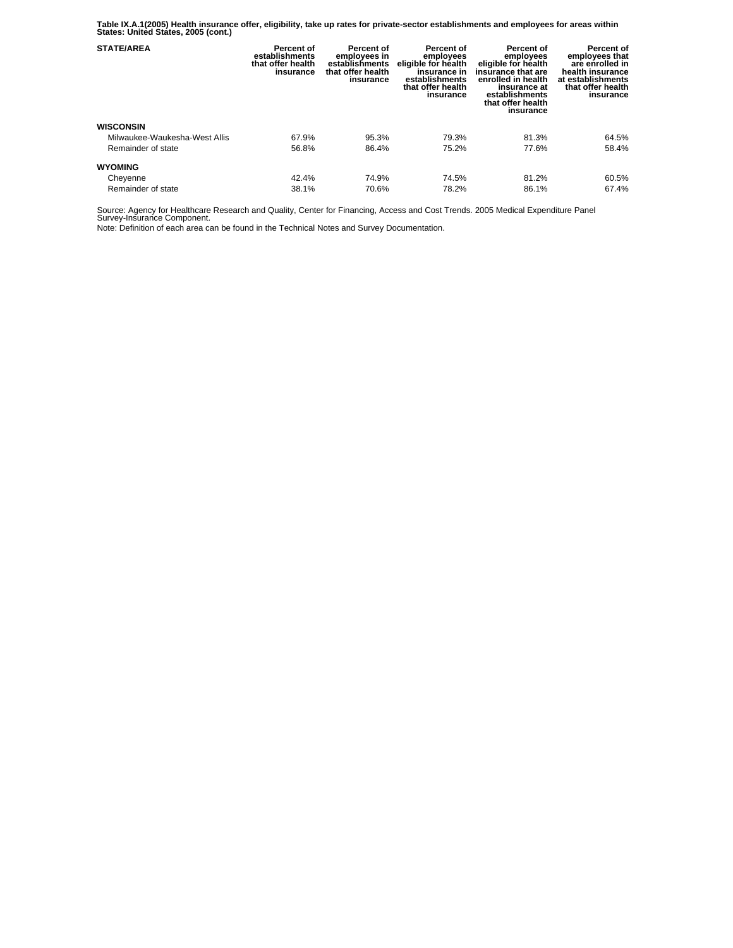**Table IX.A.1(2005) Health insurance offer, eligibility, take up rates for private-sector establishments and employees for areas within States: United States, 2005 (cont.)** 

| <b>STATE/AREA</b>             | Percent of<br>establishments<br>that offer health<br>insurance | Percent of<br>employees in<br>establishments<br>that offer health<br>insurance | Percent of<br>employees<br>eligible for health<br>insurance in<br>establishments<br>that offer health<br>insurance | Percent of<br>employees<br>eligible for health<br>insurance that are<br>enrolled in health<br>insurance at<br>establishments<br>that offer health<br>insurance | Percent of<br>employees that<br>are enrolled in<br>health insurance<br>at establishments<br>that offer health<br>insurance |
|-------------------------------|----------------------------------------------------------------|--------------------------------------------------------------------------------|--------------------------------------------------------------------------------------------------------------------|----------------------------------------------------------------------------------------------------------------------------------------------------------------|----------------------------------------------------------------------------------------------------------------------------|
| <b>WISCONSIN</b>              |                                                                |                                                                                |                                                                                                                    |                                                                                                                                                                |                                                                                                                            |
| Milwaukee-Waukesha-West Allis | 67.9%                                                          | 95.3%                                                                          | 79.3%                                                                                                              | 81.3%                                                                                                                                                          | 64.5%                                                                                                                      |
| Remainder of state            | 56.8%                                                          | 86.4%                                                                          | 75.2%                                                                                                              | 77.6%                                                                                                                                                          | 58.4%                                                                                                                      |
| <b>WYOMING</b>                |                                                                |                                                                                |                                                                                                                    |                                                                                                                                                                |                                                                                                                            |
| Cheyenne                      | 42.4%                                                          | 74.9%                                                                          | 74.5%                                                                                                              | 81.2%                                                                                                                                                          | 60.5%                                                                                                                      |
| Remainder of state            | 38.1%                                                          | 70.6%                                                                          | 78.2%                                                                                                              | 86.1%                                                                                                                                                          | 67.4%                                                                                                                      |

Source: Agency for Healthcare Research and Quality, Center for Financing, Access and Cost Trends. 2005 Medical Expenditure Panel Survey-Insurance Component.

Note: Definition of each area can be found in the Technical Notes and Survey Documentation.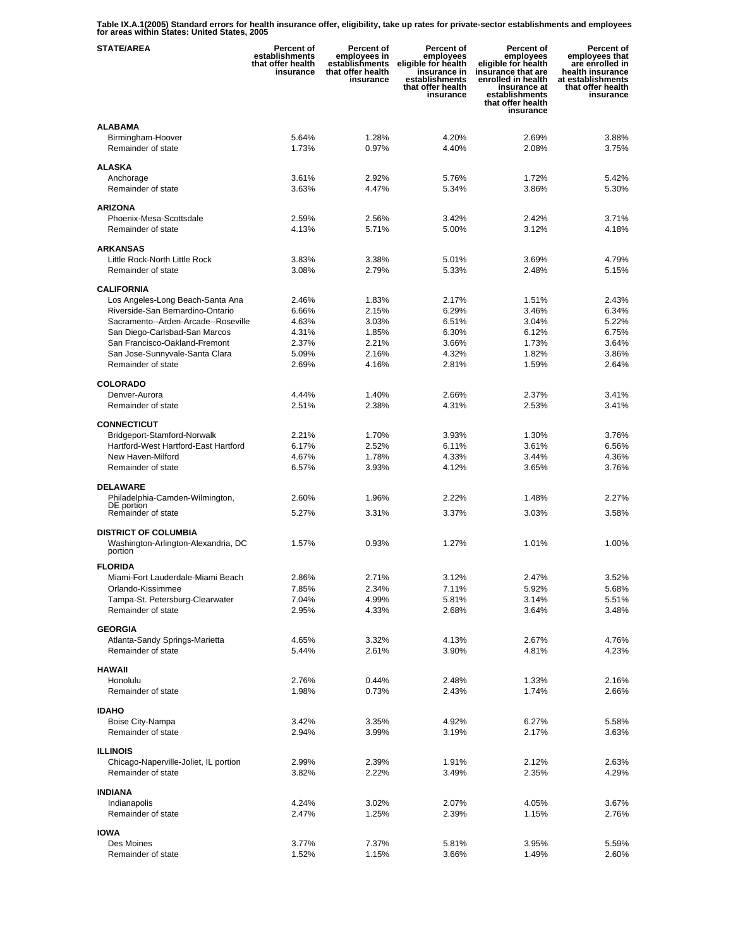**Table IX.A.1(2005) Standard errors for health insurance offer, eligibility, take up rates for private-sector establishments and employees for areas within States: United States, 2005** 

| <b>STATE/AREA</b>                              | <b>Percent of</b><br>establishments<br>that offer health<br>insurance | <b>Percent of</b><br>employees in<br>establishments<br>that offer health<br>insurance | Percent of<br>employees<br>eligible for health<br>insurance in<br>establishments<br>that offer health<br>insurance | <b>Percent of</b><br>employees<br>eligible for health<br>insurance that are<br>enrolled in health<br>insurance at<br>establishments<br>that offer health<br>insurance | Percent of<br>employees that<br>are enrolled in<br>health insurance<br>at establishments<br>that offer health<br>insurance |
|------------------------------------------------|-----------------------------------------------------------------------|---------------------------------------------------------------------------------------|--------------------------------------------------------------------------------------------------------------------|-----------------------------------------------------------------------------------------------------------------------------------------------------------------------|----------------------------------------------------------------------------------------------------------------------------|
| <b>ALABAMA</b>                                 |                                                                       |                                                                                       |                                                                                                                    |                                                                                                                                                                       |                                                                                                                            |
| Birmingham-Hoover<br>Remainder of state        | 5.64%<br>1.73%                                                        | 1.28%<br>0.97%                                                                        | 4.20%<br>4.40%                                                                                                     | 2.69%<br>2.08%                                                                                                                                                        | 3.88%<br>3.75%                                                                                                             |
| <b>ALASKA</b>                                  |                                                                       |                                                                                       |                                                                                                                    |                                                                                                                                                                       |                                                                                                                            |
| Anchorage                                      | 3.61%                                                                 | 2.92%                                                                                 | 5.76%                                                                                                              | 1.72%                                                                                                                                                                 | 5.42%                                                                                                                      |
| Remainder of state                             | 3.63%                                                                 | 4.47%                                                                                 | 5.34%                                                                                                              | 3.86%                                                                                                                                                                 | 5.30%                                                                                                                      |
| <b>ARIZONA</b>                                 |                                                                       |                                                                                       |                                                                                                                    |                                                                                                                                                                       |                                                                                                                            |
| Phoenix-Mesa-Scottsdale                        | 2.59%                                                                 | 2.56%                                                                                 | 3.42%                                                                                                              | 2.42%                                                                                                                                                                 | 3.71%                                                                                                                      |
| Remainder of state                             | 4.13%                                                                 | 5.71%                                                                                 | 5.00%                                                                                                              | 3.12%                                                                                                                                                                 | 4.18%                                                                                                                      |
| <b>ARKANSAS</b>                                |                                                                       |                                                                                       |                                                                                                                    |                                                                                                                                                                       |                                                                                                                            |
| Little Rock-North Little Rock                  | 3.83%                                                                 | 3.38%                                                                                 | 5.01%                                                                                                              | 3.69%                                                                                                                                                                 | 4.79%                                                                                                                      |
| Remainder of state                             | 3.08%                                                                 | 2.79%                                                                                 | 5.33%                                                                                                              | 2.48%                                                                                                                                                                 | 5.15%                                                                                                                      |
| <b>CALIFORNIA</b>                              |                                                                       |                                                                                       |                                                                                                                    |                                                                                                                                                                       |                                                                                                                            |
| Los Angeles-Long Beach-Santa Ana               | 2.46%                                                                 | 1.83%                                                                                 | 2.17%                                                                                                              | 1.51%                                                                                                                                                                 | 2.43%                                                                                                                      |
| Riverside-San Bernardino-Ontario               | 6.66%                                                                 | 2.15%                                                                                 | 6.29%                                                                                                              | 3.46%                                                                                                                                                                 | 6.34%                                                                                                                      |
| Sacramento--Arden-Arcade--Roseville            | 4.63%                                                                 | 3.03%                                                                                 | 6.51%                                                                                                              | 3.04%                                                                                                                                                                 | 5.22%                                                                                                                      |
| San Diego-Carlsbad-San Marcos                  | 4.31%                                                                 | 1.85%                                                                                 | 6.30%                                                                                                              | 6.12%                                                                                                                                                                 | 6.75%                                                                                                                      |
| San Francisco-Oakland-Fremont                  | 2.37%                                                                 | 2.21%                                                                                 | 3.66%                                                                                                              | 1.73%                                                                                                                                                                 | 3.64%                                                                                                                      |
| San Jose-Sunnyvale-Santa Clara                 | 5.09%                                                                 | 2.16%                                                                                 | 4.32%                                                                                                              | 1.82%                                                                                                                                                                 | 3.86%                                                                                                                      |
| Remainder of state                             | 2.69%                                                                 | 4.16%                                                                                 | 2.81%                                                                                                              | 1.59%                                                                                                                                                                 | 2.64%                                                                                                                      |
| <b>COLORADO</b>                                |                                                                       |                                                                                       |                                                                                                                    |                                                                                                                                                                       |                                                                                                                            |
| Denver-Aurora<br>Remainder of state            | 4.44%<br>2.51%                                                        | 1.40%<br>2.38%                                                                        | 2.66%<br>4.31%                                                                                                     | 2.37%<br>2.53%                                                                                                                                                        | 3.41%<br>3.41%                                                                                                             |
|                                                |                                                                       |                                                                                       |                                                                                                                    |                                                                                                                                                                       |                                                                                                                            |
| <b>CONNECTICUT</b>                             |                                                                       |                                                                                       |                                                                                                                    |                                                                                                                                                                       |                                                                                                                            |
| Bridgeport-Stamford-Norwalk                    | 2.21%                                                                 | 1.70%                                                                                 | 3.93%                                                                                                              | 1.30%                                                                                                                                                                 | 3.76%                                                                                                                      |
| Hartford-West Hartford-East Hartford           | 6.17%                                                                 | 2.52%                                                                                 | 6.11%                                                                                                              | 3.61%                                                                                                                                                                 | 6.56%                                                                                                                      |
| New Haven-Milford<br>Remainder of state        | 4.67%<br>6.57%                                                        | 1.78%<br>3.93%                                                                        | 4.33%<br>4.12%                                                                                                     | 3.44%<br>3.65%                                                                                                                                                        | 4.36%<br>3.76%                                                                                                             |
| <b>DELAWARE</b>                                |                                                                       |                                                                                       |                                                                                                                    |                                                                                                                                                                       |                                                                                                                            |
| Philadelphia-Camden-Wilmington,<br>DE portion  | 2.60%                                                                 | 1.96%                                                                                 | 2.22%                                                                                                              | 1.48%                                                                                                                                                                 | 2.27%                                                                                                                      |
| Remainder of state                             | 5.27%                                                                 | 3.31%                                                                                 | 3.37%                                                                                                              | 3.03%                                                                                                                                                                 | 3.58%                                                                                                                      |
| <b>DISTRICT OF COLUMBIA</b>                    |                                                                       |                                                                                       |                                                                                                                    |                                                                                                                                                                       |                                                                                                                            |
| Washington-Arlington-Alexandria, DC<br>portion | 1.57%                                                                 | 0.93%                                                                                 | 1.27%                                                                                                              | 1.01%                                                                                                                                                                 | 1.00%                                                                                                                      |
| <b>FLORIDA</b>                                 |                                                                       |                                                                                       |                                                                                                                    |                                                                                                                                                                       |                                                                                                                            |
| Miami-Fort Lauderdale-Miami Beach              | 2.86%                                                                 | 2.71%                                                                                 | 3.12%                                                                                                              | 2.47%                                                                                                                                                                 | 3.52%                                                                                                                      |
| Orlando-Kissimmee                              | 7.85%                                                                 | 2.34%                                                                                 | 7.11%                                                                                                              | 5.92%                                                                                                                                                                 | 5.68%                                                                                                                      |
| Tampa-St. Petersburg-Clearwater                | 7.04%                                                                 | 4.99%                                                                                 | 5.81%                                                                                                              | 3.14%                                                                                                                                                                 | 5.51%                                                                                                                      |
| Remainder of state                             | 2.95%                                                                 | 4.33%                                                                                 | 2.68%                                                                                                              | 3.64%                                                                                                                                                                 | 3.48%                                                                                                                      |
| <b>GEORGIA</b>                                 |                                                                       |                                                                                       |                                                                                                                    |                                                                                                                                                                       |                                                                                                                            |
| Atlanta-Sandy Springs-Marietta                 | 4.65%                                                                 | 3.32%                                                                                 | 4.13%                                                                                                              | 2.67%                                                                                                                                                                 | 4.76%                                                                                                                      |
| Remainder of state                             | 5.44%                                                                 | 2.61%                                                                                 | 3.90%                                                                                                              | 4.81%                                                                                                                                                                 | 4.23%                                                                                                                      |
| <b>HAWAII</b>                                  |                                                                       |                                                                                       |                                                                                                                    |                                                                                                                                                                       |                                                                                                                            |
| Honolulu                                       | 2.76%                                                                 | 0.44%                                                                                 | 2.48%                                                                                                              | 1.33%                                                                                                                                                                 | 2.16%                                                                                                                      |
| Remainder of state                             | 1.98%                                                                 | 0.73%                                                                                 | 2.43%                                                                                                              | 1.74%                                                                                                                                                                 | 2.66%                                                                                                                      |
| <b>IDAHO</b>                                   |                                                                       |                                                                                       |                                                                                                                    |                                                                                                                                                                       |                                                                                                                            |
| Boise City-Nampa                               | 3.42%                                                                 | 3.35%                                                                                 | 4.92%                                                                                                              | 6.27%                                                                                                                                                                 | 5.58%                                                                                                                      |
| Remainder of state                             | 2.94%                                                                 | 3.99%                                                                                 | 3.19%                                                                                                              | 2.17%                                                                                                                                                                 | 3.63%                                                                                                                      |
| <b>ILLINOIS</b>                                |                                                                       |                                                                                       |                                                                                                                    |                                                                                                                                                                       |                                                                                                                            |
| Chicago-Naperville-Joliet, IL portion          | 2.99%                                                                 | 2.39%                                                                                 | 1.91%                                                                                                              | 2.12%                                                                                                                                                                 | 2.63%                                                                                                                      |
| Remainder of state                             | 3.82%                                                                 | 2.22%                                                                                 | 3.49%                                                                                                              | 2.35%                                                                                                                                                                 | 4.29%                                                                                                                      |
| <b>INDIANA</b>                                 |                                                                       |                                                                                       |                                                                                                                    |                                                                                                                                                                       |                                                                                                                            |
| Indianapolis                                   | 4.24%                                                                 | 3.02%                                                                                 | 2.07%                                                                                                              | 4.05%                                                                                                                                                                 | 3.67%                                                                                                                      |
| Remainder of state                             | 2.47%                                                                 | 1.25%                                                                                 | 2.39%                                                                                                              | 1.15%                                                                                                                                                                 | 2.76%                                                                                                                      |
| <b>IOWA</b>                                    |                                                                       |                                                                                       |                                                                                                                    |                                                                                                                                                                       |                                                                                                                            |
| Des Moines                                     | 3.77%                                                                 | 7.37%                                                                                 | 5.81%                                                                                                              | 3.95%                                                                                                                                                                 | 5.59%                                                                                                                      |
| Remainder of state                             | 1.52%                                                                 | 1.15%                                                                                 | 3.66%                                                                                                              | 1.49%                                                                                                                                                                 | 2.60%                                                                                                                      |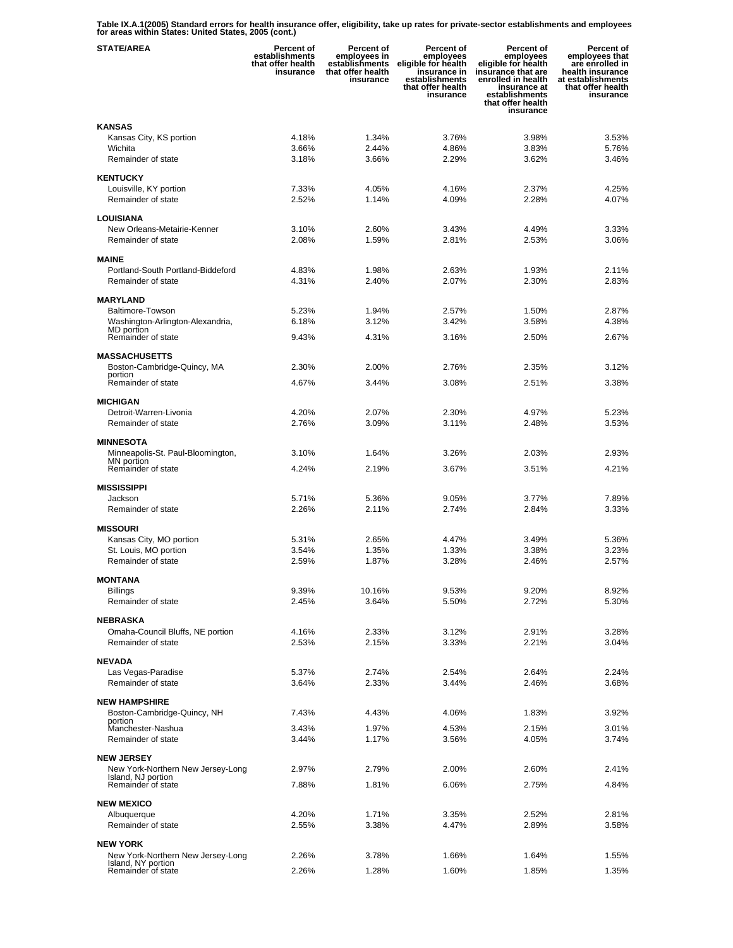**Table IX.A.1(2005) Standard errors for health insurance offer, eligibility, take up rates for private-sector establishments and employees for areas within States: United States, 2005 (cont.)** 

| <b>STATE/AREA</b>                                       | Percent of<br>establishments<br>that offer health<br>insurance | Percent of<br>employees in<br>establishments<br>that offer health<br>insurance | Percent of<br>employees<br>eligible for health<br>insurance in<br>establishments<br>that offer health<br>insurance | <b>Percent of</b><br>employees<br>eligible for health<br>insurance that are<br>enrolled in health<br>insurance at<br>establishments<br>that offer health<br>insurance | Percent of<br>employees that<br>are enrolled in<br>health insurance<br>at establishments<br>that offer health<br>insurance |
|---------------------------------------------------------|----------------------------------------------------------------|--------------------------------------------------------------------------------|--------------------------------------------------------------------------------------------------------------------|-----------------------------------------------------------------------------------------------------------------------------------------------------------------------|----------------------------------------------------------------------------------------------------------------------------|
| <b>KANSAS</b>                                           |                                                                |                                                                                |                                                                                                                    |                                                                                                                                                                       |                                                                                                                            |
| Kansas City, KS portion                                 | 4.18%                                                          | 1.34%                                                                          | 3.76%                                                                                                              | 3.98%                                                                                                                                                                 | 3.53%                                                                                                                      |
| Wichita                                                 | 3.66%                                                          | 2.44%                                                                          | 4.86%                                                                                                              | 3.83%                                                                                                                                                                 | 5.76%                                                                                                                      |
| Remainder of state                                      | 3.18%                                                          | 3.66%                                                                          | 2.29%                                                                                                              | 3.62%                                                                                                                                                                 | 3.46%                                                                                                                      |
| <b>KENTUCKY</b>                                         |                                                                |                                                                                |                                                                                                                    |                                                                                                                                                                       |                                                                                                                            |
| Louisville, KY portion                                  | 7.33%                                                          | 4.05%                                                                          | 4.16%                                                                                                              | 2.37%                                                                                                                                                                 | 4.25%                                                                                                                      |
| Remainder of state                                      | 2.52%                                                          | 1.14%                                                                          | 4.09%                                                                                                              | 2.28%                                                                                                                                                                 | 4.07%                                                                                                                      |
| LOUISIANA                                               |                                                                |                                                                                |                                                                                                                    |                                                                                                                                                                       |                                                                                                                            |
| New Orleans-Metairie-Kenner                             | 3.10%                                                          | 2.60%                                                                          | 3.43%                                                                                                              | 4.49%                                                                                                                                                                 | 3.33%                                                                                                                      |
| Remainder of state                                      | 2.08%                                                          | 1.59%                                                                          | 2.81%                                                                                                              | 2.53%                                                                                                                                                                 | 3.06%                                                                                                                      |
| <b>MAINE</b>                                            |                                                                |                                                                                |                                                                                                                    |                                                                                                                                                                       |                                                                                                                            |
| Portland-South Portland-Biddeford                       | 4.83%                                                          | 1.98%                                                                          | 2.63%                                                                                                              | 1.93%                                                                                                                                                                 | 2.11%                                                                                                                      |
| Remainder of state                                      | 4.31%                                                          | 2.40%                                                                          | 2.07%                                                                                                              | 2.30%                                                                                                                                                                 | 2.83%                                                                                                                      |
| <b>MARYLAND</b>                                         |                                                                |                                                                                |                                                                                                                    |                                                                                                                                                                       |                                                                                                                            |
| Baltimore-Towson                                        | 5.23%                                                          | 1.94%                                                                          | 2.57%                                                                                                              | 1.50%                                                                                                                                                                 | 2.87%                                                                                                                      |
| Washington-Arlington-Alexandria,<br>MD portion          | 6.18%                                                          | 3.12%                                                                          | 3.42%                                                                                                              | 3.58%                                                                                                                                                                 | 4.38%                                                                                                                      |
| Remainder of state                                      | 9.43%                                                          | 4.31%                                                                          | 3.16%                                                                                                              | 2.50%                                                                                                                                                                 | 2.67%                                                                                                                      |
| <b>MASSACHUSETTS</b>                                    |                                                                |                                                                                |                                                                                                                    |                                                                                                                                                                       |                                                                                                                            |
| Boston-Cambridge-Quincy, MA                             | 2.30%                                                          | 2.00%                                                                          | 2.76%                                                                                                              | 2.35%                                                                                                                                                                 | 3.12%                                                                                                                      |
| portion<br>Remainder of state                           | 4.67%                                                          | 3.44%                                                                          | 3.08%                                                                                                              | 2.51%                                                                                                                                                                 | 3.38%                                                                                                                      |
|                                                         |                                                                |                                                                                |                                                                                                                    |                                                                                                                                                                       |                                                                                                                            |
| <b>MICHIGAN</b>                                         |                                                                |                                                                                |                                                                                                                    |                                                                                                                                                                       |                                                                                                                            |
| Detroit-Warren-Livonia                                  | 4.20%                                                          | 2.07%                                                                          | 2.30%                                                                                                              | 4.97%                                                                                                                                                                 | 5.23%                                                                                                                      |
| Remainder of state                                      | 2.76%                                                          | 3.09%                                                                          | 3.11%                                                                                                              | 2.48%                                                                                                                                                                 | 3.53%                                                                                                                      |
| <b>MINNESOTA</b>                                        |                                                                |                                                                                |                                                                                                                    |                                                                                                                                                                       |                                                                                                                            |
| Minneapolis-St. Paul-Bloomington,<br>MN portion         | 3.10%                                                          | 1.64%                                                                          | 3.26%                                                                                                              | 2.03%                                                                                                                                                                 | 2.93%                                                                                                                      |
| Remainder of state                                      | 4.24%                                                          | 2.19%                                                                          | 3.67%                                                                                                              | 3.51%                                                                                                                                                                 | 4.21%                                                                                                                      |
| <b>MISSISSIPPI</b>                                      |                                                                |                                                                                |                                                                                                                    |                                                                                                                                                                       |                                                                                                                            |
| Jackson                                                 | 5.71%                                                          | 5.36%                                                                          | 9.05%                                                                                                              | 3.77%                                                                                                                                                                 | 7.89%                                                                                                                      |
| Remainder of state                                      | 2.26%                                                          | 2.11%                                                                          | 2.74%                                                                                                              | 2.84%                                                                                                                                                                 | 3.33%                                                                                                                      |
| <b>MISSOURI</b>                                         |                                                                |                                                                                |                                                                                                                    |                                                                                                                                                                       |                                                                                                                            |
| Kansas City, MO portion                                 | 5.31%                                                          | 2.65%                                                                          | 4.47%                                                                                                              | 3.49%                                                                                                                                                                 | 5.36%                                                                                                                      |
| St. Louis, MO portion                                   | 3.54%                                                          | 1.35%                                                                          | 1.33%                                                                                                              | 3.38%                                                                                                                                                                 | 3.23%                                                                                                                      |
| Remainder of state                                      | 2.59%                                                          | 1.87%                                                                          | 3.28%                                                                                                              | 2.46%                                                                                                                                                                 | 2.57%                                                                                                                      |
| <b>MONTANA</b>                                          |                                                                |                                                                                |                                                                                                                    |                                                                                                                                                                       |                                                                                                                            |
| <b>Billings</b>                                         | 9.39%                                                          | 10.16%                                                                         | 9.53%                                                                                                              | 9.20%                                                                                                                                                                 | 8.92%                                                                                                                      |
| Remainder of state                                      | 2.45%                                                          | 3.64%                                                                          | 5.50%                                                                                                              | 2.72%                                                                                                                                                                 | 5.30%                                                                                                                      |
| <b>NEBRASKA</b>                                         |                                                                |                                                                                |                                                                                                                    |                                                                                                                                                                       |                                                                                                                            |
| Omaha-Council Bluffs, NE portion                        | 4.16%                                                          | 2.33%                                                                          | 3.12%                                                                                                              | 2.91%                                                                                                                                                                 | 3.28%                                                                                                                      |
| Remainder of state                                      | 2.53%                                                          | 2.15%                                                                          | 3.33%                                                                                                              | 2.21%                                                                                                                                                                 | 3.04%                                                                                                                      |
| <b>NEVADA</b>                                           |                                                                |                                                                                |                                                                                                                    |                                                                                                                                                                       |                                                                                                                            |
| Las Vegas-Paradise                                      | 5.37%                                                          | 2.74%                                                                          | 2.54%                                                                                                              | 2.64%                                                                                                                                                                 | 2.24%                                                                                                                      |
| Remainder of state                                      | 3.64%                                                          | 2.33%                                                                          | 3.44%                                                                                                              | 2.46%                                                                                                                                                                 | 3.68%                                                                                                                      |
| <b>NEW HAMPSHIRE</b>                                    |                                                                |                                                                                |                                                                                                                    |                                                                                                                                                                       |                                                                                                                            |
| Boston-Cambridge-Quincy, NH                             | 7.43%                                                          | 4.43%                                                                          | 4.06%                                                                                                              | 1.83%                                                                                                                                                                 | 3.92%                                                                                                                      |
| portion<br>Manchester-Nashua                            | 3.43%                                                          | 1.97%                                                                          | 4.53%                                                                                                              | 2.15%                                                                                                                                                                 | 3.01%                                                                                                                      |
| Remainder of state                                      | 3.44%                                                          | 1.17%                                                                          | 3.56%                                                                                                              | 4.05%                                                                                                                                                                 | 3.74%                                                                                                                      |
|                                                         |                                                                |                                                                                |                                                                                                                    |                                                                                                                                                                       |                                                                                                                            |
| <b>NEW JERSEY</b><br>New York-Northern New Jersey-Long  | 2.97%                                                          | 2.79%                                                                          | 2.00%                                                                                                              | 2.60%                                                                                                                                                                 | 2.41%                                                                                                                      |
| Island, NJ portion<br>Remainder of state                |                                                                | 1.81%                                                                          | 6.06%                                                                                                              | 2.75%                                                                                                                                                                 | 4.84%                                                                                                                      |
|                                                         | 7.88%                                                          |                                                                                |                                                                                                                    |                                                                                                                                                                       |                                                                                                                            |
| <b>NEW MEXICO</b>                                       |                                                                |                                                                                |                                                                                                                    |                                                                                                                                                                       |                                                                                                                            |
| Albuquerque                                             | 4.20%                                                          | 1.71%                                                                          | 3.35%                                                                                                              | 2.52%                                                                                                                                                                 | 2.81%                                                                                                                      |
| Remainder of state                                      | 2.55%                                                          | 3.38%                                                                          | 4.47%                                                                                                              | 2.89%                                                                                                                                                                 | 3.58%                                                                                                                      |
| <b>NEW YORK</b>                                         |                                                                |                                                                                |                                                                                                                    |                                                                                                                                                                       |                                                                                                                            |
| New York-Northern New Jersey-Long<br>Island, NY portion | 2.26%                                                          | 3.78%                                                                          | 1.66%                                                                                                              | 1.64%                                                                                                                                                                 | 1.55%                                                                                                                      |
| Remainder of state                                      | 2.26%                                                          | 1.28%                                                                          | 1.60%                                                                                                              | 1.85%                                                                                                                                                                 | 1.35%                                                                                                                      |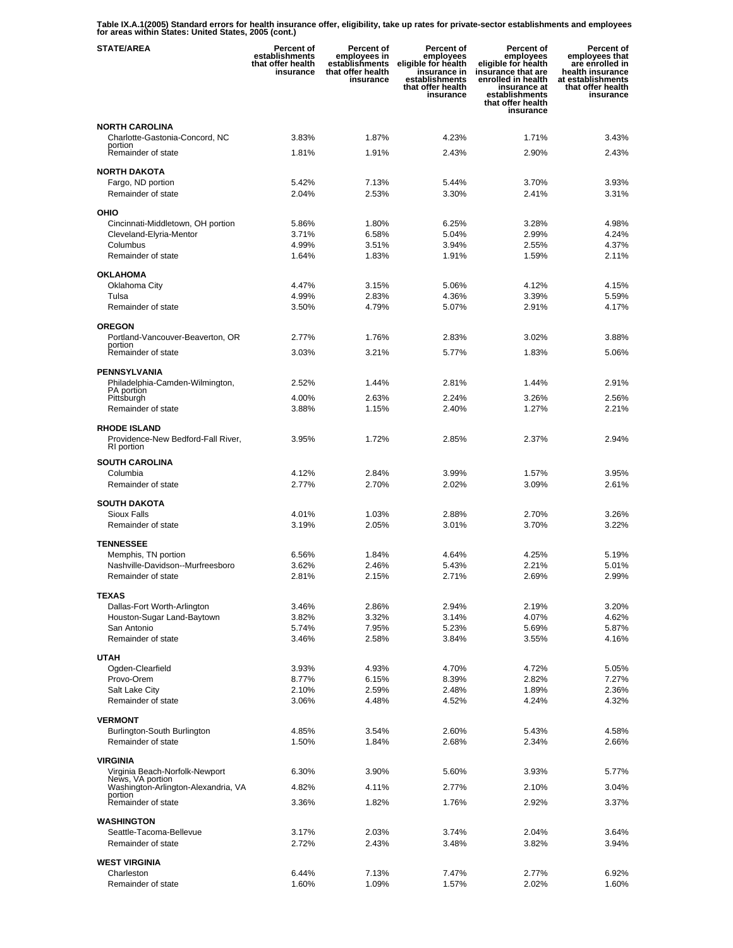**Table IX.A.1(2005) Standard errors for health insurance offer, eligibility, take up rates for private-sector establishments and employees for areas within States: United States, 2005 (cont.)** 

| <b>STATE/AREA</b>                                       | <b>Percent of</b><br>establishments<br>that offer health<br>insurance | Percent of<br>employees in<br>establishments<br>that offer health<br>insurance | Percent of<br>employees<br>eligible for health<br>insurance in<br>establishments<br>that offer health<br>insurance | <b>Percent of</b><br>employees<br>eligible for health<br>insurance that are<br>enrolled in health<br>insurance at<br>establishments<br>that offer health<br>insurance | Percent of<br>employees that<br>are enrolled in<br>health insurance<br>at establishments<br>that offer health<br>insurance |
|---------------------------------------------------------|-----------------------------------------------------------------------|--------------------------------------------------------------------------------|--------------------------------------------------------------------------------------------------------------------|-----------------------------------------------------------------------------------------------------------------------------------------------------------------------|----------------------------------------------------------------------------------------------------------------------------|
| <b>NORTH CAROLINA</b>                                   |                                                                       |                                                                                |                                                                                                                    |                                                                                                                                                                       |                                                                                                                            |
| Charlotte-Gastonia-Concord, NC<br>portion               | 3.83%                                                                 | 1.87%                                                                          | 4.23%                                                                                                              | 1.71%                                                                                                                                                                 | 3.43%                                                                                                                      |
| Remainder of state                                      | 1.81%                                                                 | 1.91%                                                                          | 2.43%                                                                                                              | 2.90%                                                                                                                                                                 | 2.43%                                                                                                                      |
| <b>NORTH DAKOTA</b>                                     |                                                                       |                                                                                |                                                                                                                    |                                                                                                                                                                       |                                                                                                                            |
| Fargo, ND portion                                       | 5.42%                                                                 | 7.13%                                                                          | 5.44%                                                                                                              | 3.70%                                                                                                                                                                 | 3.93%                                                                                                                      |
| Remainder of state                                      | 2.04%                                                                 | 2.53%                                                                          | 3.30%                                                                                                              | 2.41%                                                                                                                                                                 | 3.31%                                                                                                                      |
| OHIO                                                    |                                                                       |                                                                                |                                                                                                                    |                                                                                                                                                                       |                                                                                                                            |
| Cincinnati-Middletown, OH portion                       | 5.86%                                                                 | 1.80%                                                                          | 6.25%                                                                                                              | 3.28%                                                                                                                                                                 | 4.98%                                                                                                                      |
| Cleveland-Elyria-Mentor<br>Columbus                     | 3.71%<br>4.99%                                                        | 6.58%<br>3.51%                                                                 | 5.04%<br>3.94%                                                                                                     | 2.99%<br>2.55%                                                                                                                                                        | 4.24%<br>4.37%                                                                                                             |
| Remainder of state                                      | 1.64%                                                                 | 1.83%                                                                          | 1.91%                                                                                                              | 1.59%                                                                                                                                                                 | 2.11%                                                                                                                      |
| <b>OKLAHOMA</b>                                         |                                                                       |                                                                                |                                                                                                                    |                                                                                                                                                                       |                                                                                                                            |
| Oklahoma City                                           | 4.47%                                                                 | 3.15%                                                                          | 5.06%                                                                                                              | 4.12%                                                                                                                                                                 | 4.15%                                                                                                                      |
| Tulsa                                                   | 4.99%                                                                 | 2.83%                                                                          | 4.36%                                                                                                              | 3.39%                                                                                                                                                                 | 5.59%                                                                                                                      |
| Remainder of state                                      | 3.50%                                                                 | 4.79%                                                                          | 5.07%                                                                                                              | 2.91%                                                                                                                                                                 | 4.17%                                                                                                                      |
| <b>OREGON</b>                                           |                                                                       |                                                                                |                                                                                                                    |                                                                                                                                                                       |                                                                                                                            |
| Portland-Vancouver-Beaverton, OR<br>portion             | 2.77%                                                                 | 1.76%                                                                          | 2.83%                                                                                                              | 3.02%                                                                                                                                                                 | 3.88%                                                                                                                      |
| Remainder of state                                      | 3.03%                                                                 | 3.21%                                                                          | 5.77%                                                                                                              | 1.83%                                                                                                                                                                 | 5.06%                                                                                                                      |
| PENNSYLVANIA                                            |                                                                       |                                                                                |                                                                                                                    |                                                                                                                                                                       |                                                                                                                            |
| Philadelphia-Camden-Wilmington,<br>PA portion           | 2.52%                                                                 | 1.44%                                                                          | 2.81%                                                                                                              | 1.44%                                                                                                                                                                 | 2.91%                                                                                                                      |
| Pittsburgh                                              | 4.00%                                                                 | 2.63%                                                                          | 2.24%                                                                                                              | 3.26%                                                                                                                                                                 | 2.56%                                                                                                                      |
| Remainder of state                                      | 3.88%                                                                 | 1.15%                                                                          | 2.40%                                                                                                              | 1.27%                                                                                                                                                                 | 2.21%                                                                                                                      |
| <b>RHODE ISLAND</b>                                     |                                                                       |                                                                                |                                                                                                                    |                                                                                                                                                                       |                                                                                                                            |
| Providence-New Bedford-Fall River,<br>RI portion        | 3.95%                                                                 | 1.72%                                                                          | 2.85%                                                                                                              | 2.37%                                                                                                                                                                 | 2.94%                                                                                                                      |
| <b>SOUTH CAROLINA</b>                                   |                                                                       |                                                                                |                                                                                                                    |                                                                                                                                                                       |                                                                                                                            |
| Columbia                                                | 4.12%                                                                 | 2.84%                                                                          | 3.99%                                                                                                              | 1.57%                                                                                                                                                                 | 3.95%                                                                                                                      |
| Remainder of state                                      | 2.77%                                                                 | 2.70%                                                                          | 2.02%                                                                                                              | 3.09%                                                                                                                                                                 | 2.61%                                                                                                                      |
| <b>SOUTH DAKOTA</b>                                     |                                                                       |                                                                                |                                                                                                                    |                                                                                                                                                                       |                                                                                                                            |
| <b>Sioux Falls</b>                                      | 4.01%                                                                 | 1.03%                                                                          | 2.88%                                                                                                              | 2.70%                                                                                                                                                                 | 3.26%                                                                                                                      |
| Remainder of state                                      | 3.19%                                                                 | 2.05%                                                                          | 3.01%                                                                                                              | 3.70%                                                                                                                                                                 | 3.22%                                                                                                                      |
| <b>TENNESSEE</b>                                        |                                                                       |                                                                                |                                                                                                                    |                                                                                                                                                                       |                                                                                                                            |
| Memphis, TN portion<br>Nashville-Davidson--Murfreesboro | 6.56%<br>3.62%                                                        | 1.84%<br>2.46%                                                                 | 4.64%<br>5.43%                                                                                                     | 4.25%<br>2.21%                                                                                                                                                        | 5.19%<br>5.01%                                                                                                             |
| Remainder of state                                      | 2.81%                                                                 | 2.15%                                                                          | 2.71%                                                                                                              | 2.69%                                                                                                                                                                 | 2.99%                                                                                                                      |
| <b>TEXAS</b>                                            |                                                                       |                                                                                |                                                                                                                    |                                                                                                                                                                       |                                                                                                                            |
| Dallas-Fort Worth-Arlington                             | 3.46%                                                                 | 2.86%                                                                          | 2.94%                                                                                                              | 2.19%                                                                                                                                                                 | 3.20%                                                                                                                      |
| Houston-Sugar Land-Baytown                              | 3.82%                                                                 | 3.32%                                                                          | 3.14%                                                                                                              | 4.07%                                                                                                                                                                 | 4.62%                                                                                                                      |
| San Antonio                                             | 5.74%                                                                 | 7.95%                                                                          | 5.23%                                                                                                              | 5.69%                                                                                                                                                                 | 5.87%                                                                                                                      |
| Remainder of state                                      | 3.46%                                                                 | 2.58%                                                                          | 3.84%                                                                                                              | 3.55%                                                                                                                                                                 | 4.16%                                                                                                                      |
| <b>UTAH</b>                                             |                                                                       |                                                                                |                                                                                                                    |                                                                                                                                                                       |                                                                                                                            |
| Ogden-Clearfield<br>Provo-Orem                          | 3.93%<br>8.77%                                                        | 4.93%<br>6.15%                                                                 | 4.70%<br>8.39%                                                                                                     | 4.72%<br>2.82%                                                                                                                                                        | 5.05%<br>7.27%                                                                                                             |
| Salt Lake City                                          | 2.10%                                                                 | 2.59%                                                                          | 2.48%                                                                                                              | 1.89%                                                                                                                                                                 | 2.36%                                                                                                                      |
| Remainder of state                                      | 3.06%                                                                 | 4.48%                                                                          | 4.52%                                                                                                              | 4.24%                                                                                                                                                                 | 4.32%                                                                                                                      |
| <b>VERMONT</b>                                          |                                                                       |                                                                                |                                                                                                                    |                                                                                                                                                                       |                                                                                                                            |
| Burlington-South Burlington                             | 4.85%                                                                 | 3.54%                                                                          | 2.60%                                                                                                              | 5.43%                                                                                                                                                                 | 4.58%                                                                                                                      |
| Remainder of state                                      | 1.50%                                                                 | 1.84%                                                                          | 2.68%                                                                                                              | 2.34%                                                                                                                                                                 | 2.66%                                                                                                                      |
| VIRGINIA                                                |                                                                       |                                                                                |                                                                                                                    |                                                                                                                                                                       |                                                                                                                            |
| Virginia Beach-Norfolk-Newport<br>News, VA portion      | 6.30%                                                                 | 3.90%                                                                          | 5.60%                                                                                                              | 3.93%                                                                                                                                                                 | 5.77%                                                                                                                      |
| Washington-Arlington-Alexandria, VA<br>portion          | 4.82%                                                                 | 4.11%                                                                          | 2.77%                                                                                                              | 2.10%                                                                                                                                                                 | 3.04%                                                                                                                      |
| Remainder of state                                      | 3.36%                                                                 | 1.82%                                                                          | 1.76%                                                                                                              | 2.92%                                                                                                                                                                 | 3.37%                                                                                                                      |
| <b>WASHINGTON</b>                                       |                                                                       |                                                                                |                                                                                                                    |                                                                                                                                                                       |                                                                                                                            |
| Seattle-Tacoma-Bellevue                                 | 3.17%                                                                 | 2.03%                                                                          | 3.74%                                                                                                              | 2.04%                                                                                                                                                                 | 3.64%                                                                                                                      |
| Remainder of state                                      | 2.72%                                                                 | 2.43%                                                                          | 3.48%                                                                                                              | 3.82%                                                                                                                                                                 | 3.94%                                                                                                                      |
| <b>WEST VIRGINIA</b>                                    |                                                                       |                                                                                |                                                                                                                    |                                                                                                                                                                       |                                                                                                                            |
| Charleston<br>Remainder of state                        | 6.44%<br>1.60%                                                        | 7.13%<br>1.09%                                                                 | 7.47%<br>1.57%                                                                                                     | 2.77%<br>2.02%                                                                                                                                                        | 6.92%<br>1.60%                                                                                                             |
|                                                         |                                                                       |                                                                                |                                                                                                                    |                                                                                                                                                                       |                                                                                                                            |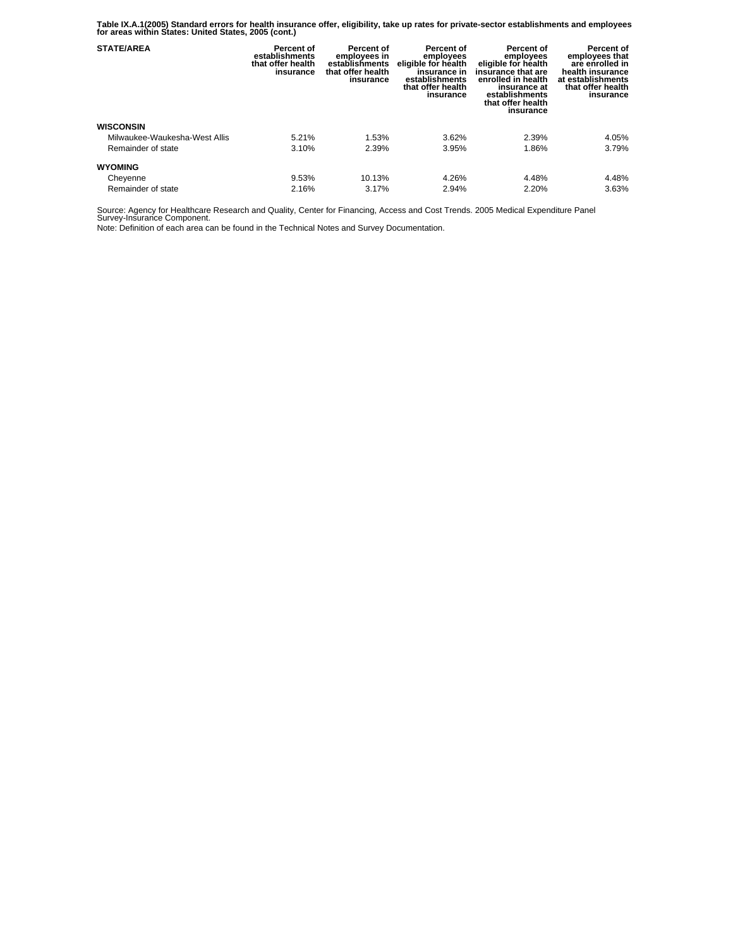**Table IX.A.1(2005) Standard errors for health insurance offer, eligibility, take up rates for private-sector establishments and employees for areas within States: United States, 2005 (cont.)** 

| <b>STATE/AREA</b>             | Percent of<br>establishments<br>that offer health<br>insurance | Percent of<br>employees in<br>establishments<br>that offer health<br>insurance | Percent of<br>employees<br>eligible for health<br>insurance in<br>establishments<br>that offer health<br>insurance | <b>Percent of</b><br>employees<br>eligible for health<br>insurance that are<br>enrolled in health<br>insurance at<br>establishments<br>that offer health<br>insurance | Percent of<br>employees that<br>are enrolled in<br>health insurance<br>at establishments<br>that offer health<br>insurance |
|-------------------------------|----------------------------------------------------------------|--------------------------------------------------------------------------------|--------------------------------------------------------------------------------------------------------------------|-----------------------------------------------------------------------------------------------------------------------------------------------------------------------|----------------------------------------------------------------------------------------------------------------------------|
| <b>WISCONSIN</b>              |                                                                |                                                                                |                                                                                                                    |                                                                                                                                                                       |                                                                                                                            |
| Milwaukee-Waukesha-West Allis | 5.21%                                                          | 1.53%                                                                          | 3.62%                                                                                                              | 2.39%                                                                                                                                                                 | 4.05%                                                                                                                      |
| Remainder of state            | 3.10%                                                          | 2.39%                                                                          | 3.95%                                                                                                              | 1.86%                                                                                                                                                                 | 3.79%                                                                                                                      |
| <b>WYOMING</b>                |                                                                |                                                                                |                                                                                                                    |                                                                                                                                                                       |                                                                                                                            |
| Cheyenne                      | 9.53%                                                          | 10.13%                                                                         | 4.26%                                                                                                              | 4.48%                                                                                                                                                                 | 4.48%                                                                                                                      |
| Remainder of state            | 2.16%                                                          | 3.17%                                                                          | 2.94%                                                                                                              | 2.20%                                                                                                                                                                 | 3.63%                                                                                                                      |

Source: Agency for Healthcare Research and Quality, Center for Financing, Access and Cost Trends. 2005 Medical Expenditure Panel Survey-Insurance Component.

Note: Definition of each area can be found in the Technical Notes and Survey Documentation.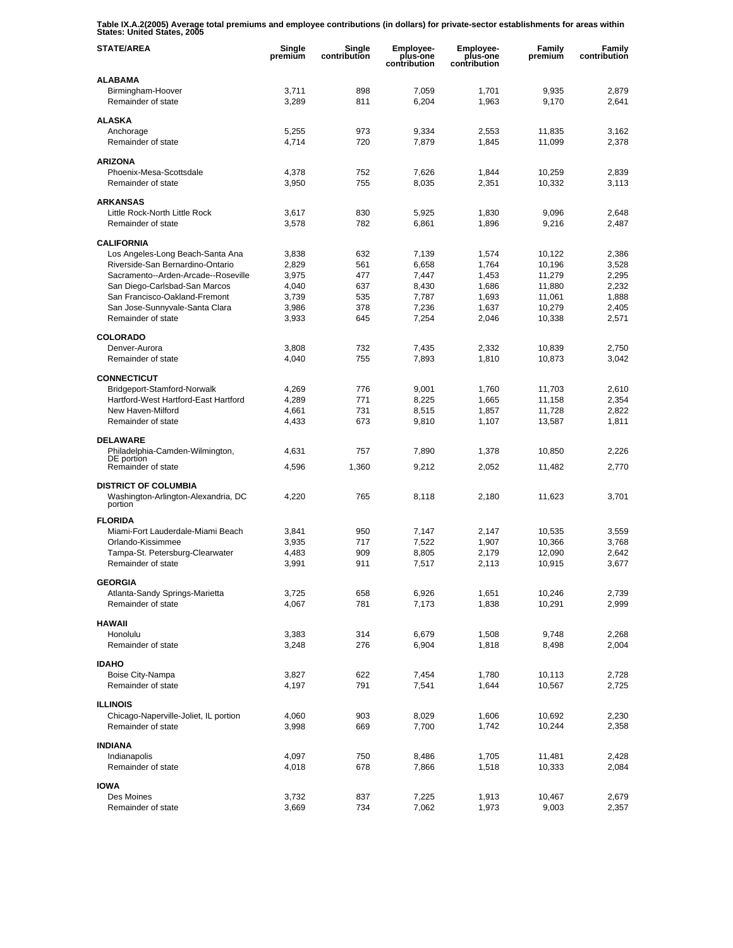**Table IX.A.2(2005) Average total premiums and employee contributions (in dollars) for private-sector establishments for areas within States: United States, 2005** 

| <b>STATE/AREA</b>                              | Single<br>premium | Single<br>contribution | <b>Employee-</b><br>plus-one<br>contribution | Employee-<br>plus-one<br>contribution | Family<br>premium | Family<br>contribution |
|------------------------------------------------|-------------------|------------------------|----------------------------------------------|---------------------------------------|-------------------|------------------------|
| <b>ALABAMA</b>                                 |                   |                        |                                              |                                       |                   |                        |
| Birmingham-Hoover<br>Remainder of state        | 3,711<br>3,289    | 898<br>811             | 7,059<br>6,204                               | 1,701<br>1,963                        | 9,935<br>9,170    | 2,879<br>2,641         |
| <b>ALASKA</b>                                  |                   |                        |                                              |                                       |                   |                        |
| Anchorage                                      | 5,255             | 973                    | 9,334                                        | 2,553                                 | 11,835            | 3,162                  |
| Remainder of state                             | 4,714             | 720                    | 7,879                                        | 1,845                                 | 11,099            | 2,378                  |
| <b>ARIZONA</b>                                 |                   |                        |                                              |                                       |                   |                        |
| Phoenix-Mesa-Scottsdale                        | 4,378             | 752                    | 7,626                                        | 1,844                                 | 10,259            | 2,839                  |
| Remainder of state                             | 3,950             | 755                    | 8,035                                        | 2,351                                 | 10,332            | 3,113                  |
| <b>ARKANSAS</b>                                |                   |                        |                                              |                                       |                   |                        |
| Little Rock-North Little Rock                  | 3,617             | 830                    | 5,925                                        | 1,830                                 | 9,096             | 2,648                  |
| Remainder of state                             | 3,578             | 782                    | 6,861                                        | 1,896                                 | 9,216             | 2,487                  |
| <b>CALIFORNIA</b>                              |                   |                        |                                              |                                       |                   |                        |
| Los Angeles-Long Beach-Santa Ana               | 3,838             | 632                    | 7,139                                        | 1,574                                 | 10,122            | 2,386                  |
| Riverside-San Bernardino-Ontario               | 2,829             | 561                    | 6,658                                        | 1,764                                 | 10,196            | 3,528                  |
| Sacramento--Arden-Arcade--Roseville            | 3,975             | 477                    | 7,447                                        | 1,453                                 | 11,279            | 2,295                  |
| San Diego-Carlsbad-San Marcos                  | 4,040             | 637                    | 8,430                                        | 1,686                                 | 11,880            | 2,232                  |
| San Francisco-Oakland-Fremont                  | 3,739             | 535                    | 7,787                                        | 1,693                                 | 11,061            | 1,888                  |
| San Jose-Sunnyvale-Santa Clara                 | 3,986             | 378                    | 7,236                                        | 1,637                                 | 10,279            | 2,405                  |
| Remainder of state                             | 3,933             | 645                    | 7,254                                        | 2,046                                 | 10,338            | 2,571                  |
| <b>COLORADO</b>                                |                   |                        |                                              |                                       |                   |                        |
| Denver-Aurora                                  | 3,808             | 732                    | 7,435                                        | 2,332                                 | 10,839            | 2,750                  |
| Remainder of state                             | 4,040             | 755                    | 7,893                                        | 1,810                                 | 10,873            | 3,042                  |
| <b>CONNECTICUT</b>                             |                   |                        |                                              |                                       |                   |                        |
| Bridgeport-Stamford-Norwalk                    | 4,269             | 776                    | 9,001                                        | 1,760                                 | 11,703            | 2,610                  |
| Hartford-West Hartford-East Hartford           | 4,289             | 771                    | 8,225                                        | 1,665                                 | 11,158            | 2,354                  |
| New Haven-Milford                              | 4,661             | 731                    | 8,515                                        | 1,857                                 | 11,728            | 2,822                  |
| Remainder of state                             | 4,433             | 673                    | 9,810                                        | 1,107                                 | 13,587            | 1,811                  |
| <b>DELAWARE</b>                                |                   |                        |                                              |                                       |                   |                        |
| Philadelphia-Camden-Wilmington,<br>DE portion  | 4,631             | 757                    | 7,890                                        | 1,378                                 | 10,850            | 2,226                  |
| Remainder of state                             | 4,596             | 1,360                  | 9,212                                        | 2,052                                 | 11,482            | 2,770                  |
| <b>DISTRICT OF COLUMBIA</b>                    |                   |                        |                                              |                                       |                   |                        |
| Washington-Arlington-Alexandria, DC<br>portion | 4,220             | 765                    | 8,118                                        | 2,180                                 | 11,623            | 3,701                  |
| <b>FLORIDA</b>                                 |                   |                        |                                              |                                       |                   |                        |
| Miami-Fort Lauderdale-Miami Beach              | 3,841             | 950                    | 7.147                                        | 2,147                                 | 10,535            | 3,559                  |
| Orlando-Kissimmee                              | 3,935             | 717                    | 7,522                                        | 1,907                                 | 10,366            | 3,768                  |
| Tampa-St. Petersburg-Clearwater                | 4,483             | 909                    | 8,805                                        | 2,179                                 | 12,090            | 2,642                  |
| Remainder of state                             | 3,991             | 911                    | 7,517                                        | 2,113                                 | 10,915            | 3,677                  |
| <b>GEORGIA</b>                                 |                   |                        |                                              |                                       |                   |                        |
| Atlanta-Sandy Springs-Marietta                 | 3,725             | 658                    | 6,926                                        | 1,651                                 | 10,246            | 2,739                  |
| Remainder of state                             | 4,067             | 781                    | 7,173                                        | 1,838                                 | 10,291            | 2,999                  |
| <b>HAWAII</b>                                  |                   |                        |                                              |                                       |                   |                        |
| Honolulu                                       | 3,383             | 314                    | 6,679                                        | 1,508                                 | 9,748             | 2,268                  |
| Remainder of state                             | 3,248             | 276                    | 6,904                                        | 1,818                                 | 8,498             | 2,004                  |
| <b>IDAHO</b>                                   |                   |                        |                                              |                                       |                   |                        |
| Boise City-Nampa                               | 3,827             | 622                    | 7,454                                        | 1,780                                 | 10,113            | 2,728                  |
| Remainder of state                             | 4,197             | 791                    | 7,541                                        | 1,644                                 | 10,567            | 2,725                  |
| <b>ILLINOIS</b>                                |                   |                        |                                              |                                       |                   |                        |
| Chicago-Naperville-Joliet, IL portion          | 4,060             | 903                    | 8,029                                        | 1,606                                 | 10,692            | 2,230                  |
| Remainder of state                             | 3,998             | 669                    | 7,700                                        | 1,742                                 | 10,244            | 2,358                  |
| <b>INDIANA</b>                                 |                   |                        |                                              |                                       |                   |                        |
| Indianapolis                                   | 4,097             | 750                    | 8,486                                        | 1,705                                 | 11,481            | 2,428                  |
| Remainder of state                             | 4,018             | 678                    | 7,866                                        | 1,518                                 | 10,333            | 2,084                  |
| <b>IOWA</b>                                    |                   |                        |                                              |                                       |                   |                        |
| Des Moines                                     | 3,732             | 837                    | 7,225                                        | 1,913                                 | 10,467            | 2,679                  |
| Remainder of state                             | 3,669             | 734                    | 7,062                                        | 1,973                                 | 9,003             | 2,357                  |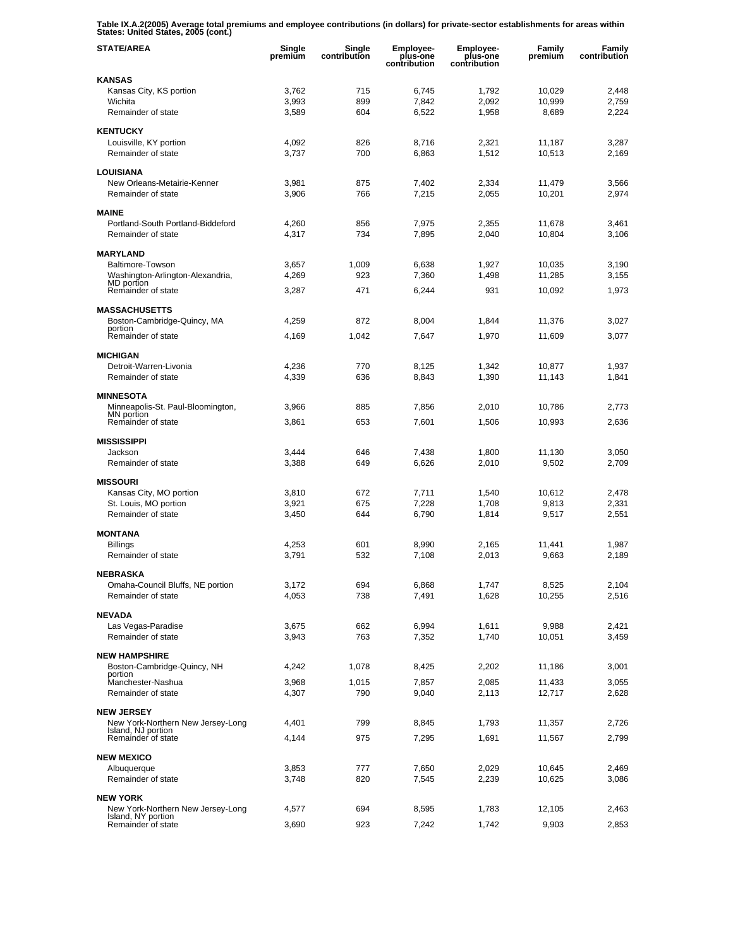**Table IX.A.2(2005) Average total premiums and employee contributions (in dollars) for private-sector establishments for areas within States: United States, 2005 (cont.)** 

| <b>STATE/AREA</b>                                       | Single<br>premium | Single<br>contribution | <b>Employee-</b><br>plus-one<br>contribution | <b>Employee-</b><br>plus-one<br>contribution | Family<br>premium | Family<br>contribution |
|---------------------------------------------------------|-------------------|------------------------|----------------------------------------------|----------------------------------------------|-------------------|------------------------|
| <b>KANSAS</b>                                           |                   |                        |                                              |                                              |                   |                        |
| Kansas City, KS portion                                 | 3,762             | 715                    | 6,745                                        | 1,792                                        | 10,029            | 2,448                  |
| Wichita<br>Remainder of state                           | 3,993<br>3,589    | 899<br>604             | 7,842<br>6,522                               | 2,092<br>1,958                               | 10,999<br>8,689   | 2,759<br>2,224         |
|                                                         |                   |                        |                                              |                                              |                   |                        |
| <b>KENTUCKY</b>                                         |                   |                        |                                              |                                              |                   |                        |
| Louisville, KY portion<br>Remainder of state            | 4,092<br>3,737    | 826<br>700             | 8,716<br>6,863                               | 2,321<br>1,512                               | 11,187<br>10,513  | 3,287<br>2,169         |
|                                                         |                   |                        |                                              |                                              |                   |                        |
| <b>LOUISIANA</b>                                        |                   |                        |                                              |                                              |                   |                        |
| New Orleans-Metairie-Kenner<br>Remainder of state       | 3,981             | 875                    | 7,402                                        | 2,334                                        | 11,479            | 3,566                  |
|                                                         | 3,906             | 766                    | 7,215                                        | 2,055                                        | 10,201            | 2,974                  |
| <b>MAINE</b>                                            |                   |                        |                                              |                                              |                   |                        |
| Portland-South Portland-Biddeford                       | 4,260             | 856                    | 7,975                                        | 2,355                                        | 11,678            | 3,461                  |
| Remainder of state                                      | 4,317             | 734                    | 7,895                                        | 2,040                                        | 10,804            | 3,106                  |
| <b>MARYLAND</b>                                         |                   |                        |                                              |                                              |                   |                        |
| Baltimore-Towson                                        | 3,657             | 1,009                  | 6,638                                        | 1,927                                        | 10,035            | 3,190                  |
| Washington-Arlington-Alexandria,<br>MD portion          | 4,269             | 923                    | 7,360                                        | 1,498                                        | 11,285            | 3,155                  |
| Remainder of state                                      | 3,287             | 471                    | 6,244                                        | 931                                          | 10,092            | 1,973                  |
| <b>MASSACHUSETTS</b>                                    |                   |                        |                                              |                                              |                   |                        |
| Boston-Cambridge-Quincy, MA                             | 4,259             | 872                    | 8,004                                        | 1,844                                        | 11,376            | 3,027                  |
| portion<br>Remainder of state                           | 4,169             | 1,042                  | 7,647                                        | 1,970                                        | 11,609            | 3,077                  |
|                                                         |                   |                        |                                              |                                              |                   |                        |
| <b>MICHIGAN</b><br>Detroit-Warren-Livonia               | 4,236             | 770                    | 8,125                                        | 1,342                                        | 10,877            | 1,937                  |
| Remainder of state                                      | 4,339             | 636                    | 8,843                                        | 1,390                                        | 11,143            | 1,841                  |
|                                                         |                   |                        |                                              |                                              |                   |                        |
| <b>MINNESOTA</b><br>Minneapolis-St. Paul-Bloomington,   | 3,966             | 885                    | 7,856                                        | 2,010                                        | 10,786            | 2,773                  |
| MN portion                                              |                   |                        |                                              |                                              |                   |                        |
| Remainder of state                                      | 3,861             | 653                    | 7,601                                        | 1,506                                        | 10,993            | 2,636                  |
| <b>MISSISSIPPI</b>                                      |                   |                        |                                              |                                              |                   |                        |
| Jackson                                                 | 3,444             | 646                    | 7,438                                        | 1,800                                        | 11,130            | 3,050                  |
| Remainder of state                                      | 3,388             | 649                    | 6,626                                        | 2,010                                        | 9,502             | 2,709                  |
| <b>MISSOURI</b>                                         |                   |                        |                                              |                                              |                   |                        |
| Kansas City, MO portion                                 | 3,810             | 672                    | 7,711                                        | 1,540                                        | 10,612            | 2,478                  |
| St. Louis, MO portion<br>Remainder of state             | 3,921<br>3,450    | 675<br>644             | 7,228<br>6,790                               | 1,708<br>1,814                               | 9,813<br>9,517    | 2,331<br>2,551         |
|                                                         |                   |                        |                                              |                                              |                   |                        |
| <b>MONTANA</b>                                          |                   |                        |                                              |                                              |                   |                        |
| <b>Billings</b><br>Remainder of state                   | 4,253<br>3,791    | 601<br>532             | 8,990<br>7,108                               | 2,165<br>2.013                               | 11,441<br>9,663   | 1,987<br>2,189         |
|                                                         |                   |                        |                                              |                                              |                   |                        |
| <b>NEBRASKA</b>                                         |                   |                        |                                              |                                              |                   |                        |
| Omaha-Council Bluffs, NE portion<br>Remainder of state  | 3,172<br>4,053    | 694<br>738             | 6,868<br>7,491                               | 1,747<br>1,628                               | 8,525<br>10,255   | 2,104<br>2,516         |
|                                                         |                   |                        |                                              |                                              |                   |                        |
| <b>NEVADA</b>                                           |                   |                        |                                              |                                              |                   |                        |
| Las Vegas-Paradise<br>Remainder of state                | 3,675<br>3,943    | 662<br>763             | 6,994                                        | 1,611                                        | 9,988<br>10,051   | 2,421<br>3,459         |
|                                                         |                   |                        | 7,352                                        | 1,740                                        |                   |                        |
| <b>NEW HAMPSHIRE</b>                                    |                   |                        |                                              |                                              |                   |                        |
| Boston-Cambridge-Quincy, NH<br>portion                  | 4,242             | 1,078                  | 8,425                                        | 2,202                                        | 11,186            | 3,001                  |
| Manchester-Nashua                                       | 3,968             | 1,015                  | 7,857                                        | 2,085                                        | 11,433            | 3,055                  |
| Remainder of state                                      | 4,307             | 790                    | 9,040                                        | 2,113                                        | 12,717            | 2,628                  |
| <b>NEW JERSEY</b>                                       |                   |                        |                                              |                                              |                   |                        |
| New York-Northern New Jersey-Long<br>Island, NJ portion | 4,401             | 799                    | 8,845                                        | 1,793                                        | 11,357            | 2,726                  |
| Remainder of state                                      | 4,144             | 975                    | 7,295                                        | 1,691                                        | 11,567            | 2,799                  |
| <b>NEW MEXICO</b>                                       |                   |                        |                                              |                                              |                   |                        |
| Albuquerque                                             | 3,853             | 777                    | 7,650                                        | 2,029                                        | 10,645            | 2,469                  |
| Remainder of state                                      | 3,748             | 820                    | 7,545                                        | 2,239                                        | 10,625            | 3,086                  |
| <b>NEW YORK</b>                                         |                   |                        |                                              |                                              |                   |                        |
| New York-Northern New Jersey-Long                       | 4,577             | 694                    | 8,595                                        | 1,783                                        | 12,105            | 2,463                  |
| Island, NY portion<br>Remainder of state                | 3,690             | 923                    | 7,242                                        | 1,742                                        | 9,903             | 2,853                  |
|                                                         |                   |                        |                                              |                                              |                   |                        |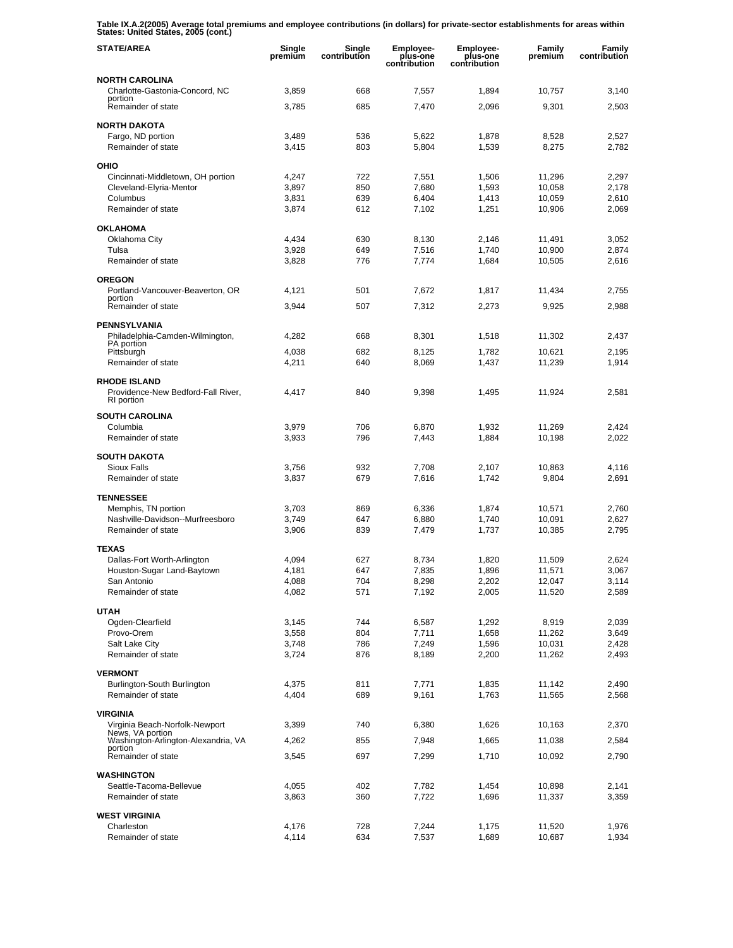**Table IX.A.2(2005) Average total premiums and employee contributions (in dollars) for private-sector establishments for areas within States: United States, 2005 (cont.)** 

| <b>STATE/AREA</b>                                                       | Single<br>premium | Single<br>contribution | <b>Employee-</b><br>plus-one<br>contribution | <b>Employee-</b><br>plus-one<br>contribution | <b>Family</b><br>premium | Family<br>contribution |
|-------------------------------------------------------------------------|-------------------|------------------------|----------------------------------------------|----------------------------------------------|--------------------------|------------------------|
| <b>NORTH CAROLINA</b>                                                   |                   |                        |                                              |                                              |                          |                        |
| Charlotte-Gastonia-Concord, NC<br>portion                               | 3,859             | 668                    | 7,557                                        | 1,894                                        | 10,757                   | 3,140                  |
| Remainder of state                                                      | 3,785             | 685                    | 7,470                                        | 2,096                                        | 9,301                    | 2,503                  |
| <b>NORTH DAKOTA</b>                                                     |                   |                        |                                              |                                              |                          |                        |
| Fargo, ND portion                                                       | 3,489             | 536                    | 5,622                                        | 1,878                                        | 8,528                    | 2,527                  |
| Remainder of state                                                      | 3,415             | 803                    | 5,804                                        | 1,539                                        | 8,275                    | 2,782                  |
| OHIO                                                                    |                   |                        |                                              |                                              |                          |                        |
| Cincinnati-Middletown, OH portion<br>Cleveland-Elyria-Mentor            | 4.247<br>3.897    | 722<br>850             | 7,551<br>7,680                               | 1,506<br>1,593                               | 11,296<br>10,058         | 2,297<br>2,178         |
| Columbus                                                                | 3,831             | 639                    | 6,404                                        | 1,413                                        | 10,059                   | 2,610                  |
| Remainder of state                                                      | 3,874             | 612                    | 7,102                                        | 1,251                                        | 10,906                   | 2,069                  |
| <b>OKLAHOMA</b>                                                         |                   |                        |                                              |                                              |                          |                        |
| Oklahoma City                                                           | 4,434             | 630                    | 8,130                                        | 2,146                                        | 11,491                   | 3,052                  |
| Tulsa                                                                   | 3,928             | 649                    | 7,516                                        | 1,740                                        | 10,900                   | 2,874                  |
| Remainder of state                                                      | 3,828             | 776                    | 7,774                                        | 1,684                                        | 10,505                   | 2,616                  |
| <b>OREGON</b>                                                           |                   |                        |                                              |                                              |                          |                        |
| Portland-Vancouver-Beaverton, OR<br>portion                             | 4,121             | 501                    | 7,672                                        | 1,817                                        | 11,434                   | 2,755                  |
| Remainder of state                                                      | 3,944             | 507                    | 7,312                                        | 2,273                                        | 9,925                    | 2,988                  |
| <b>PENNSYLVANIA</b>                                                     |                   |                        |                                              |                                              |                          |                        |
| Philadelphia-Camden-Wilmington,<br>PA portion                           | 4,282             | 668                    | 8,301                                        | 1,518                                        | 11,302                   | 2,437                  |
| Pittsburgh                                                              | 4,038             | 682                    | 8,125                                        | 1,782                                        | 10,621                   | 2,195                  |
| Remainder of state                                                      | 4,211             | 640                    | 8,069                                        | 1,437                                        | 11,239                   | 1,914                  |
| <b>RHODE ISLAND</b><br>Providence-New Bedford-Fall River,<br>RI portion | 4,417             | 840                    | 9,398                                        | 1,495                                        | 11,924                   | 2,581                  |
| <b>SOUTH CAROLINA</b>                                                   |                   |                        |                                              |                                              |                          |                        |
| Columbia                                                                | 3,979             | 706                    | 6,870                                        | 1,932                                        | 11,269                   | 2,424                  |
| Remainder of state                                                      | 3,933             | 796                    | 7,443                                        | 1,884                                        | 10,198                   | 2,022                  |
| <b>SOUTH DAKOTA</b>                                                     |                   |                        |                                              |                                              |                          |                        |
| <b>Sioux Falls</b>                                                      | 3,756             | 932                    | 7,708                                        | 2,107                                        | 10,863                   | 4,116                  |
| Remainder of state                                                      | 3,837             | 679                    | 7,616                                        | 1,742                                        | 9,804                    | 2,691                  |
| <b>TENNESSEE</b>                                                        |                   |                        |                                              |                                              |                          |                        |
| Memphis, TN portion<br>Nashville-Davidson--Murfreesboro                 | 3,703<br>3,749    | 869<br>647             | 6,336<br>6,880                               | 1,874<br>1,740                               | 10,571<br>10,091         | 2,760<br>2,627         |
| Remainder of state                                                      | 3,906             | 839                    | 7,479                                        | 1,737                                        | 10,385                   | 2,795                  |
| <b>TEXAS</b>                                                            |                   |                        |                                              |                                              |                          |                        |
| Dallas-Fort Worth-Arlington                                             | 4,094             | 627                    | 8,734                                        | 1,820                                        | 11,509                   | 2,624                  |
| Houston-Sugar Land-Baytown                                              | 4,181             | 647                    | 7,835                                        | 1,896                                        | 11,571                   | 3,067                  |
| San Antonio<br>Remainder of state                                       | 4,088<br>4,082    | 704<br>571             | 8,298<br>7,192                               | 2,202<br>2,005                               | 12,047<br>11,520         | 3,114<br>2,589         |
|                                                                         |                   |                        |                                              |                                              |                          |                        |
| <b>UTAH</b>                                                             |                   |                        |                                              |                                              |                          |                        |
| Ogden-Clearfield<br>Provo-Orem                                          | 3,145<br>3,558    | 744<br>804             | 6,587<br>7,711                               | 1,292<br>1,658                               | 8,919<br>11,262          | 2,039<br>3,649         |
| Salt Lake City                                                          | 3,748             | 786                    | 7,249                                        | 1,596                                        | 10,031                   | 2,428                  |
| Remainder of state                                                      | 3,724             | 876                    | 8,189                                        | 2,200                                        | 11,262                   | 2,493                  |
| <b>VERMONT</b>                                                          |                   |                        |                                              |                                              |                          |                        |
| Burlington-South Burlington                                             | 4,375             | 811                    | 7,771                                        | 1,835                                        | 11,142                   | 2,490                  |
| Remainder of state                                                      | 4,404             | 689                    | 9,161                                        | 1,763                                        | 11,565                   | 2,568                  |
| <b>VIRGINIA</b>                                                         |                   |                        |                                              |                                              |                          |                        |
| Virginia Beach-Norfolk-Newport<br>News, VA portion                      | 3,399             | 740                    | 6,380                                        | 1,626                                        | 10,163                   | 2,370                  |
| Washington-Arlington-Alexandria, VA<br>portion                          | 4,262             | 855                    | 7,948                                        | 1,665                                        | 11,038                   | 2,584                  |
| Remainder of state                                                      | 3,545             | 697                    | 7,299                                        | 1,710                                        | 10,092                   | 2,790                  |
| <b>WASHINGTON</b>                                                       |                   |                        |                                              |                                              |                          |                        |
| Seattle-Tacoma-Bellevue                                                 | 4,055             | 402                    | 7,782                                        | 1,454                                        | 10,898                   | 2,141                  |
| Remainder of state                                                      | 3,863             | 360                    | 7,722                                        | 1,696                                        | 11,337                   | 3,359                  |
| <b>WEST VIRGINIA</b>                                                    |                   |                        |                                              |                                              |                          |                        |
| Charleston<br>Remainder of state                                        | 4,176<br>4,114    | 728<br>634             | 7,244<br>7,537                               | 1,175<br>1,689                               | 11,520<br>10,687         | 1,976<br>1,934         |
|                                                                         |                   |                        |                                              |                                              |                          |                        |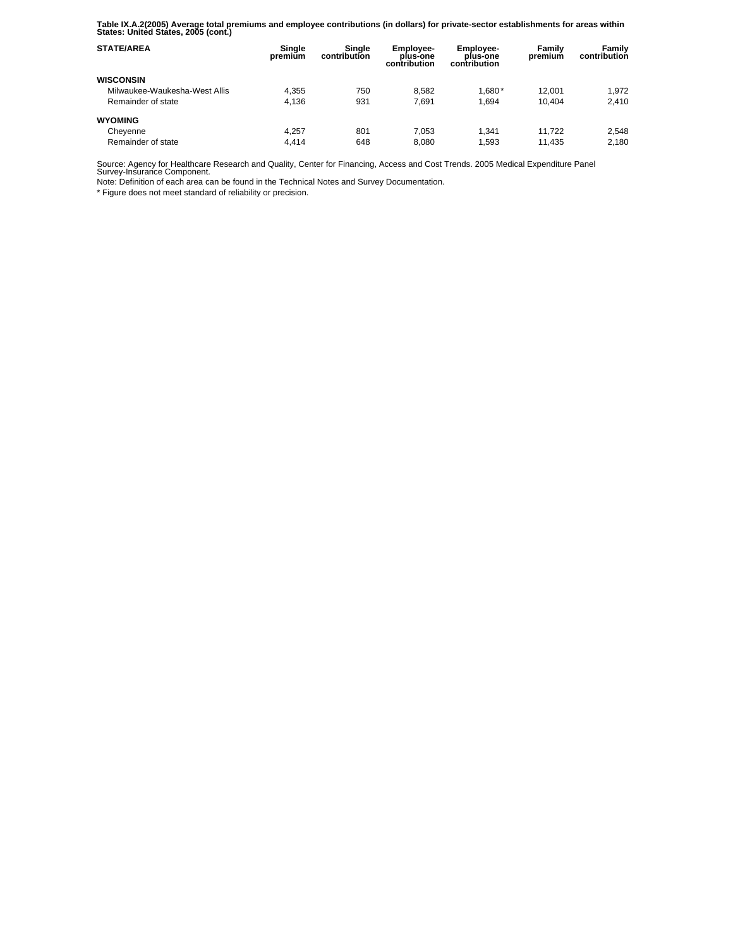**Table IX.A.2(2005) Average total premiums and employee contributions (in dollars) for private-sector establishments for areas within States: United States, 2005 (cont.)** 

| <b>STATE/AREA</b>             | Single<br>premium | Single<br>contribution | <b>Employee-</b><br>plus-one<br>contribution | <b>Employee-</b><br>plus-one<br>contribution | Family<br>premium | Family<br>contribution |
|-------------------------------|-------------------|------------------------|----------------------------------------------|----------------------------------------------|-------------------|------------------------|
| <b>WISCONSIN</b>              |                   |                        |                                              |                                              |                   |                        |
| Milwaukee-Waukesha-West Allis | 4.355             | 750                    | 8.582                                        | $1.680*$                                     | 12.001            | 1.972                  |
| Remainder of state            | 4.136             | 931                    | 7.691                                        | 1.694                                        | 10.404            | 2.410                  |
| <b>WYOMING</b>                |                   |                        |                                              |                                              |                   |                        |
| Cheyenne                      | 4.257             | 801                    | 7.053                                        | 1.341                                        | 11.722            | 2.548                  |
| Remainder of state            | 4.414             | 648                    | 8.080                                        | 1.593                                        | 11.435            | 2,180                  |

Source: Agency for Healthcare Research and Quality, Center for Financing, Access and Cost Trends. 2005 Medical Expenditure Panel Survey-Insurance Component.

Note: Definition of each area can be found in the Technical Notes and Survey Documentation.

\* Figure does not meet standard of reliability or precision.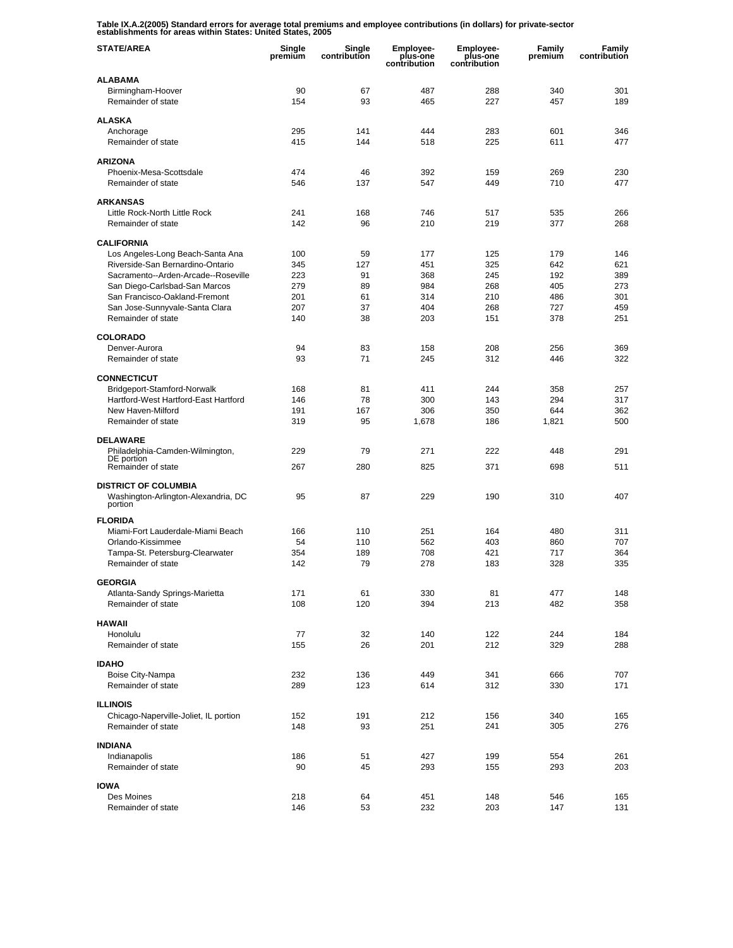**Table IX.A.2(2005) Standard errors for average total premiums and employee contributions (in dollars) for private-sector establishments for areas within States: United States, 2005** 

| <b>STATE/AREA</b>                                      | Single<br>premium | Single<br>contribution | <b>Employee-</b><br>plus-one<br>contribution | <b>Employee-</b><br>plus-one<br>contribution | Family<br>premium | Family<br>contribution |
|--------------------------------------------------------|-------------------|------------------------|----------------------------------------------|----------------------------------------------|-------------------|------------------------|
| <b>ALABAMA</b>                                         |                   |                        |                                              |                                              |                   |                        |
| Birmingham-Hoover                                      | 90                | 67                     | 487                                          | 288                                          | 340               | 301                    |
| Remainder of state                                     | 154               | 93                     | 465                                          | 227                                          | 457               | 189                    |
| <b>ALASKA</b>                                          |                   |                        |                                              |                                              |                   |                        |
| Anchorage                                              | 295               | 141                    | 444                                          | 283                                          | 601               | 346                    |
| Remainder of state                                     | 415               | 144                    | 518                                          | 225                                          | 611               | 477                    |
| <b>ARIZONA</b>                                         |                   |                        |                                              |                                              |                   |                        |
| Phoenix-Mesa-Scottsdale                                | 474               | 46                     | 392                                          | 159                                          | 269               | 230                    |
| Remainder of state                                     | 546               | 137                    | 547                                          | 449                                          | 710               | 477                    |
| <b>ARKANSAS</b>                                        |                   |                        |                                              |                                              |                   |                        |
| Little Rock-North Little Rock                          | 241               | 168                    | 746                                          | 517                                          | 535               | 266                    |
| Remainder of state                                     | 142               | 96                     | 210                                          | 219                                          | 377               | 268                    |
|                                                        |                   |                        |                                              |                                              |                   |                        |
| <b>CALIFORNIA</b><br>Los Angeles-Long Beach-Santa Ana  | 100               | 59                     | 177                                          | 125                                          | 179               | 146                    |
| Riverside-San Bernardino-Ontario                       | 345               | 127                    | 451                                          | 325                                          | 642               | 621                    |
| Sacramento--Arden-Arcade--Roseville                    | 223               | 91                     | 368                                          | 245                                          | 192               | 389                    |
| San Diego-Carlsbad-San Marcos                          | 279               | 89                     | 984                                          | 268                                          | 405               | 273                    |
| San Francisco-Oakland-Fremont                          | 201               | 61                     | 314                                          | 210                                          | 486               | 301                    |
| San Jose-Sunnyvale-Santa Clara                         | 207               | 37                     | 404                                          | 268                                          | 727               | 459                    |
| Remainder of state                                     | 140               | 38                     | 203                                          | 151                                          | 378               | 251                    |
| <b>COLORADO</b>                                        |                   |                        |                                              |                                              |                   |                        |
| Denver-Aurora                                          | 94                | 83                     | 158                                          | 208                                          | 256               | 369                    |
| Remainder of state                                     | 93                | 71                     | 245                                          | 312                                          | 446               | 322                    |
| <b>CONNECTICUT</b>                                     |                   |                        |                                              |                                              |                   |                        |
| Bridgeport-Stamford-Norwalk                            | 168               | 81                     | 411                                          | 244                                          | 358               | 257                    |
| Hartford-West Hartford-East Hartford                   | 146               | 78                     | 300                                          | 143                                          | 294               | 317                    |
| New Haven-Milford                                      | 191               | 167                    | 306                                          | 350                                          | 644               | 362                    |
| Remainder of state                                     | 319               | 95                     | 1,678                                        | 186                                          | 1,821             | 500                    |
| <b>DELAWARE</b>                                        |                   |                        |                                              |                                              |                   |                        |
| Philadelphia-Camden-Wilmington,                        | 229               | 79                     | 271                                          | 222                                          | 448               | 291                    |
| DE portion                                             |                   |                        |                                              |                                              |                   |                        |
| Remainder of state                                     | 267               | 280                    | 825                                          | 371                                          | 698               | 511                    |
| <b>DISTRICT OF COLUMBIA</b>                            |                   |                        |                                              |                                              |                   |                        |
| Washington-Arlington-Alexandria, DC<br>portion         | 95                | 87                     | 229                                          | 190                                          | 310               | 407                    |
|                                                        |                   |                        |                                              |                                              |                   |                        |
| <b>FLORIDA</b>                                         |                   |                        |                                              |                                              |                   |                        |
| Miami-Fort Lauderdale-Miami Beach<br>Orlando-Kissimmee | 166<br>54         | 110<br>110             | 251<br>562                                   | 164<br>403                                   | 480<br>860        | 311<br>707             |
| Tampa-St. Petersburg-Clearwater                        | 354               | 189                    | 708                                          | 421                                          | 717               | 364                    |
| Remainder of state                                     | 142               | 79                     | 278                                          | 183                                          | 328               | 335                    |
|                                                        |                   |                        |                                              |                                              |                   |                        |
| <b>GEORGIA</b>                                         |                   |                        |                                              |                                              |                   |                        |
| Atlanta-Sandy Springs-Marietta<br>Remainder of state   | 171<br>108        | 61<br>120              | 330<br>394                                   | 81<br>213                                    | 477<br>482        | 148<br>358             |
|                                                        |                   |                        |                                              |                                              |                   |                        |
| <b>HAWAII</b>                                          |                   |                        |                                              |                                              |                   |                        |
| Honolulu                                               | 77                | 32                     | 140                                          | 122                                          | 244               | 184                    |
| Remainder of state                                     | 155               | 26                     | 201                                          | 212                                          | 329               | 288                    |
| <b>IDAHO</b>                                           |                   |                        |                                              |                                              |                   |                        |
| Boise City-Nampa                                       | 232               | 136                    | 449                                          | 341                                          | 666               | 707                    |
| Remainder of state                                     | 289               | 123                    | 614                                          | 312                                          | 330               | 171                    |
| <b>ILLINOIS</b>                                        |                   |                        |                                              |                                              |                   |                        |
| Chicago-Naperville-Joliet, IL portion                  | 152               | 191                    | 212                                          | 156                                          | 340               | 165                    |
| Remainder of state                                     | 148               | 93                     | 251                                          | 241                                          | 305               | 276                    |
|                                                        |                   |                        |                                              |                                              |                   |                        |
| <b>INDIANA</b><br>Indianapolis                         | 186               | 51                     | 427                                          | 199                                          | 554               | 261                    |
| Remainder of state                                     | 90                | 45                     | 293                                          | 155                                          | 293               | 203                    |
|                                                        |                   |                        |                                              |                                              |                   |                        |
| <b>IOWA</b>                                            |                   |                        |                                              |                                              |                   |                        |
| Des Moines                                             | 218               | 64                     | 451                                          | 148                                          | 546               | 165                    |
| Remainder of state                                     | 146               | 53                     | 232                                          | 203                                          | 147               | 131                    |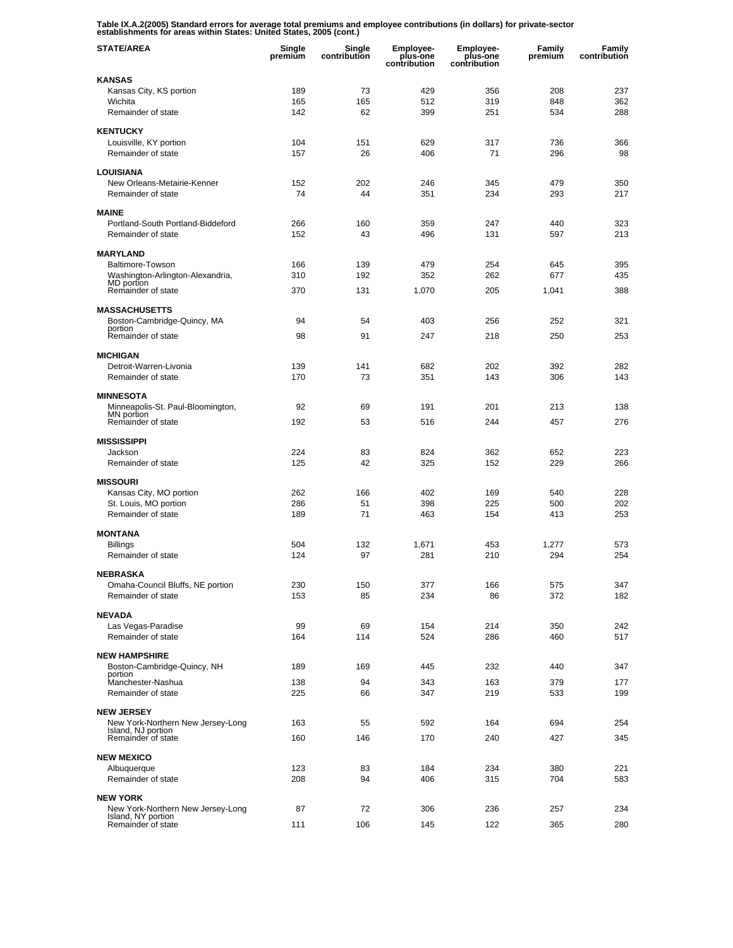**Table IX.A.2(2005) Standard errors for average total premiums and employee contributions (in dollars) for private-sector establishments for areas within States: United States, 2005 (cont.)** 

| <b>STATE/AREA</b>                                       | Single<br>premium | Single<br>contribution | <b>Employee-</b><br>plus-one<br>contribution | <b>Employee-</b><br>plus-one<br>contribution | Family<br>premium | Family<br>contribution |
|---------------------------------------------------------|-------------------|------------------------|----------------------------------------------|----------------------------------------------|-------------------|------------------------|
| <b>KANSAS</b>                                           |                   |                        |                                              |                                              |                   |                        |
| Kansas City, KS portion                                 | 189               | 73                     | 429                                          | 356                                          | 208               | 237                    |
| Wichita<br>Remainder of state                           | 165               | 165                    | 512                                          | 319                                          | 848               | 362<br>288             |
|                                                         | 142               | 62                     | 399                                          | 251                                          | 534               |                        |
| <b>KENTUCKY</b>                                         |                   |                        |                                              |                                              |                   |                        |
| Louisville, KY portion                                  | 104               | 151                    | 629                                          | 317                                          | 736               | 366                    |
| Remainder of state                                      | 157               | 26                     | 406                                          | 71                                           | 296               | 98                     |
| <b>LOUISIANA</b>                                        |                   |                        |                                              |                                              |                   |                        |
| New Orleans-Metairie-Kenner                             | 152               | 202                    | 246                                          | 345                                          | 479               | 350                    |
| Remainder of state                                      | 74                | 44                     | 351                                          | 234                                          | 293               | 217                    |
| <b>MAINE</b>                                            |                   |                        |                                              |                                              |                   |                        |
| Portland-South Portland-Biddeford                       | 266               | 160                    | 359                                          | 247                                          | 440               | 323                    |
| Remainder of state                                      | 152               | 43                     | 496                                          | 131                                          | 597               | 213                    |
| <b>MARYLAND</b>                                         |                   |                        |                                              |                                              |                   |                        |
| Baltimore-Towson                                        | 166               | 139                    | 479                                          | 254                                          | 645               | 395                    |
| Washington-Arlington-Alexandria,<br>MD portion          | 310               | 192                    | 352                                          | 262                                          | 677               | 435                    |
| Remainder of state                                      | 370               | 131                    | 1,070                                        | 205                                          | 1.041             | 388                    |
|                                                         |                   |                        |                                              |                                              |                   |                        |
| <b>MASSACHUSETTS</b><br>Boston-Cambridge-Quincy, MA     | 94                | 54                     | 403                                          | 256                                          | 252               | 321                    |
| portion                                                 |                   |                        |                                              |                                              |                   |                        |
| Remainder of state                                      | 98                | 91                     | 247                                          | 218                                          | 250               | 253                    |
| <b>MICHIGAN</b>                                         |                   |                        |                                              |                                              |                   |                        |
| Detroit-Warren-Livonia                                  | 139               | 141                    | 682                                          | 202                                          | 392               | 282                    |
| Remainder of state                                      | 170               | 73                     | 351                                          | 143                                          | 306               | 143                    |
| <b>MINNESOTA</b>                                        |                   |                        |                                              |                                              |                   |                        |
| Minneapolis-St. Paul-Bloomington,                       | 92                | 69                     | 191                                          | 201                                          | 213               | 138                    |
| MN portion<br>Remainder of state                        | 192               | 53                     | 516                                          | 244                                          | 457               | 276                    |
|                                                         |                   |                        |                                              |                                              |                   |                        |
| <b>MISSISSIPPI</b>                                      |                   |                        |                                              |                                              |                   |                        |
| Jackson<br>Remainder of state                           | 224<br>125        | 83<br>42               | 824<br>325                                   | 362<br>152                                   | 652<br>229        | 223<br>266             |
|                                                         |                   |                        |                                              |                                              |                   |                        |
| <b>MISSOURI</b>                                         |                   |                        |                                              |                                              |                   |                        |
| Kansas City, MO portion                                 | 262<br>286        | 166<br>51              | 402<br>398                                   | 169<br>225                                   | 540               | 228<br>202             |
| St. Louis, MO portion<br>Remainder of state             | 189               | 71                     | 463                                          | 154                                          | 500<br>413        | 253                    |
|                                                         |                   |                        |                                              |                                              |                   |                        |
| <b>MONTANA</b>                                          |                   |                        |                                              |                                              |                   |                        |
| <b>Billings</b><br>Remainder of state                   | 504<br>124        | 132<br>97              | 1,671<br>281                                 | 453<br>210                                   | 1,277<br>294      | 573<br>254             |
|                                                         |                   |                        |                                              |                                              |                   |                        |
| <b>NEBRASKA</b>                                         |                   |                        |                                              |                                              |                   |                        |
| Omaha-Council Bluffs, NE portion                        | 230               | 150                    | 377                                          | 166                                          | 575               | 347                    |
| Remainder of state                                      | 153               | 85                     | 234                                          | 86                                           | 372               | 182                    |
| <b>NEVADA</b>                                           |                   |                        |                                              |                                              |                   |                        |
| Las Vegas-Paradise                                      | 99                | 69                     | 154                                          | 214                                          | 350               | 242                    |
| Remainder of state                                      | 164               | 114                    | 524                                          | 286                                          | 460               | 517                    |
| <b>NEW HAMPSHIRE</b>                                    |                   |                        |                                              |                                              |                   |                        |
| Boston-Cambridge-Quincy, NH                             | 189               | 169                    | 445                                          | 232                                          | 440               | 347                    |
| portion<br>Manchester-Nashua                            | 138               | 94                     | 343                                          | 163                                          | 379               | 177                    |
| Remainder of state                                      | 225               | 66                     | 347                                          | 219                                          | 533               | 199                    |
| <b>NEW JERSEY</b>                                       |                   |                        |                                              |                                              |                   |                        |
| New York-Northern New Jersey-Long                       | 163               | 55                     | 592                                          | 164                                          | 694               | 254                    |
| Island, NJ portion<br>Remainder of state                | 160               | 146                    | 170                                          | 240                                          | 427               | 345                    |
|                                                         |                   |                        |                                              |                                              |                   |                        |
| <b>NEW MEXICO</b>                                       |                   |                        |                                              |                                              |                   |                        |
| Albuquerque                                             | 123               | 83                     | 184                                          | 234                                          | 380               | 221                    |
| Remainder of state                                      | 208               | 94                     | 406                                          | 315                                          | 704               | 583                    |
| <b>NEW YORK</b>                                         |                   |                        |                                              |                                              |                   |                        |
| New York-Northern New Jersey-Long<br>Island, NY portion | 87                | 72                     | 306                                          | 236                                          | 257               | 234                    |
| Remainder of state                                      | 111               | 106                    | 145                                          | 122                                          | 365               | 280                    |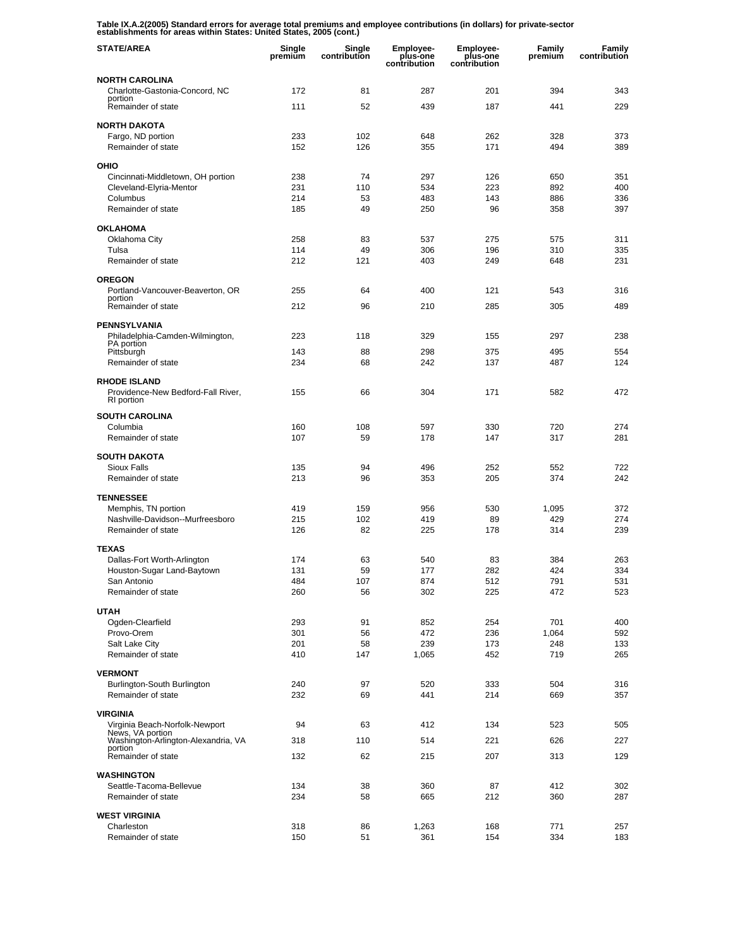**Table IX.A.2(2005) Standard errors for average total premiums and employee contributions (in dollars) for private-sector establishments for areas within States: United States, 2005 (cont.)** 

| <b>STATE/AREA</b>                                  | Single<br>premium | Single<br>contribution | <b>Employee-</b><br>plus-one<br>contribution | <b>Employee-</b><br>plus-one<br>contribution | Family<br>premium | Family<br>contribution |
|----------------------------------------------------|-------------------|------------------------|----------------------------------------------|----------------------------------------------|-------------------|------------------------|
| <b>NORTH CAROLINA</b>                              |                   |                        |                                              |                                              |                   |                        |
| Charlotte-Gastonia-Concord, NC                     | 172               | 81                     | 287                                          | 201                                          | 394               | 343                    |
| portion<br>Remainder of state                      | 111               | 52                     | 439                                          | 187                                          | 441               | 229                    |
| <b>NORTH DAKOTA</b>                                |                   |                        |                                              |                                              |                   |                        |
| Fargo, ND portion                                  | 233               | 102                    | 648                                          | 262                                          | 328               | 373                    |
| Remainder of state                                 | 152               | 126                    | 355                                          | 171                                          | 494               | 389                    |
| OHIO                                               |                   |                        |                                              |                                              |                   |                        |
| Cincinnati-Middletown, OH portion                  | 238               | 74                     | 297                                          | 126                                          | 650               | 351                    |
| Cleveland-Elyria-Mentor                            | 231               | 110                    | 534                                          | 223                                          | 892               | 400                    |
| Columbus                                           | 214               | 53                     | 483                                          | 143                                          | 886               | 336                    |
| Remainder of state                                 | 185               | 49                     | 250                                          | 96                                           | 358               | 397                    |
| <b>OKLAHOMA</b>                                    |                   |                        |                                              |                                              |                   |                        |
| Oklahoma City                                      | 258               | 83                     | 537                                          | 275                                          | 575               | 311                    |
| Tulsa                                              | 114               | 49                     | 306                                          | 196                                          | 310               | 335                    |
| Remainder of state                                 | 212               | 121                    | 403                                          | 249                                          | 648               | 231                    |
| <b>OREGON</b>                                      |                   |                        |                                              |                                              |                   |                        |
| Portland-Vancouver-Beaverton, OR<br>portion        | 255               | 64                     | 400                                          | 121                                          | 543               | 316                    |
| Remainder of state                                 | 212               | 96                     | 210                                          | 285                                          | 305               | 489                    |
| PENNSYLVANIA                                       |                   |                        |                                              |                                              |                   |                        |
| Philadelphia-Camden-Wilmington,                    | 223               | 118                    | 329                                          | 155                                          | 297               | 238                    |
| PA portion<br>Pittsburgh                           | 143               | 88                     | 298                                          | 375                                          | 495               | 554                    |
| Remainder of state                                 | 234               | 68                     | 242                                          | 137                                          | 487               | 124                    |
| <b>RHODE ISLAND</b>                                |                   |                        |                                              |                                              |                   |                        |
| Providence-New Bedford-Fall River,<br>RI portion   | 155               | 66                     | 304                                          | 171                                          | 582               | 472                    |
| <b>SOUTH CAROLINA</b>                              |                   |                        |                                              |                                              |                   |                        |
| Columbia                                           | 160               | 108                    | 597                                          | 330                                          | 720               | 274                    |
| Remainder of state                                 | 107               | 59                     | 178                                          | 147                                          | 317               | 281                    |
| <b>SOUTH DAKOTA</b>                                |                   |                        |                                              |                                              |                   |                        |
| Sioux Falls                                        | 135               | 94                     | 496                                          | 252                                          | 552               | 722                    |
| Remainder of state                                 | 213               | 96                     | 353                                          | 205                                          | 374               | 242                    |
| <b>TENNESSEE</b>                                   |                   |                        |                                              |                                              |                   |                        |
| Memphis, TN portion                                | 419               | 159                    | 956                                          | 530                                          | 1,095             | 372                    |
| Nashville-Davidson--Murfreesboro                   | 215               | 102                    | 419                                          | 89                                           | 429               | 274                    |
| Remainder of state                                 | 126               | 82                     | 225                                          | 178                                          | 314               | 239                    |
| <b>TEXAS</b>                                       |                   |                        |                                              |                                              |                   |                        |
| Dallas-Fort Worth-Arlington                        | 174               | 63                     | 540                                          | 83                                           | 384               | 263                    |
| Houston-Sugar Land-Baytown                         | 131               | 59                     | 177                                          | 282                                          | 424               | 334                    |
| San Antonio                                        | 484               | 107                    | 874                                          | 512                                          | 791               | 531                    |
| Remainder of state                                 | 260               | 56                     | 302                                          | 225                                          | 472               | 523                    |
| <b>UTAH</b>                                        |                   |                        |                                              |                                              |                   |                        |
| Ogden-Clearfield                                   | 293               | 91                     | 852                                          | 254                                          | 701               | 400                    |
| Provo-Orem<br>Salt Lake City                       | 301<br>201        | 56<br>58               | 472<br>239                                   | 236<br>173                                   | 1,064<br>248      | 592<br>133             |
| Remainder of state                                 | 410               | 147                    | 1,065                                        | 452                                          | 719               | 265                    |
|                                                    |                   |                        |                                              |                                              |                   |                        |
| <b>VERMONT</b><br>Burlington-South Burlington      | 240               | 97                     | 520                                          | 333                                          | 504               | 316                    |
| Remainder of state                                 | 232               | 69                     | 441                                          | 214                                          | 669               | 357                    |
|                                                    |                   |                        |                                              |                                              |                   |                        |
| <b>VIRGINIA</b>                                    |                   |                        |                                              |                                              |                   |                        |
| Virginia Beach-Norfolk-Newport<br>News, VA portion | 94                | 63                     | 412                                          | 134                                          | 523               | 505                    |
| Washington-Arlington-Alexandria, VA<br>portion     | 318               | 110                    | 514                                          | 221                                          | 626               | 227                    |
| Remainder of state                                 | 132               | 62                     | 215                                          | 207                                          | 313               | 129                    |
| <b>WASHINGTON</b>                                  |                   |                        |                                              |                                              |                   |                        |
| Seattle-Tacoma-Bellevue                            | 134               | 38                     | 360                                          | 87                                           | 412               | 302                    |
| Remainder of state                                 | 234               | 58                     | 665                                          | 212                                          | 360               | 287                    |
| <b>WEST VIRGINIA</b>                               |                   |                        |                                              |                                              |                   |                        |
| Charleston                                         | 318               | 86                     | 1,263                                        | 168                                          | 771               | 257                    |
| Remainder of state                                 | 150               | 51                     | 361                                          | 154                                          | 334               | 183                    |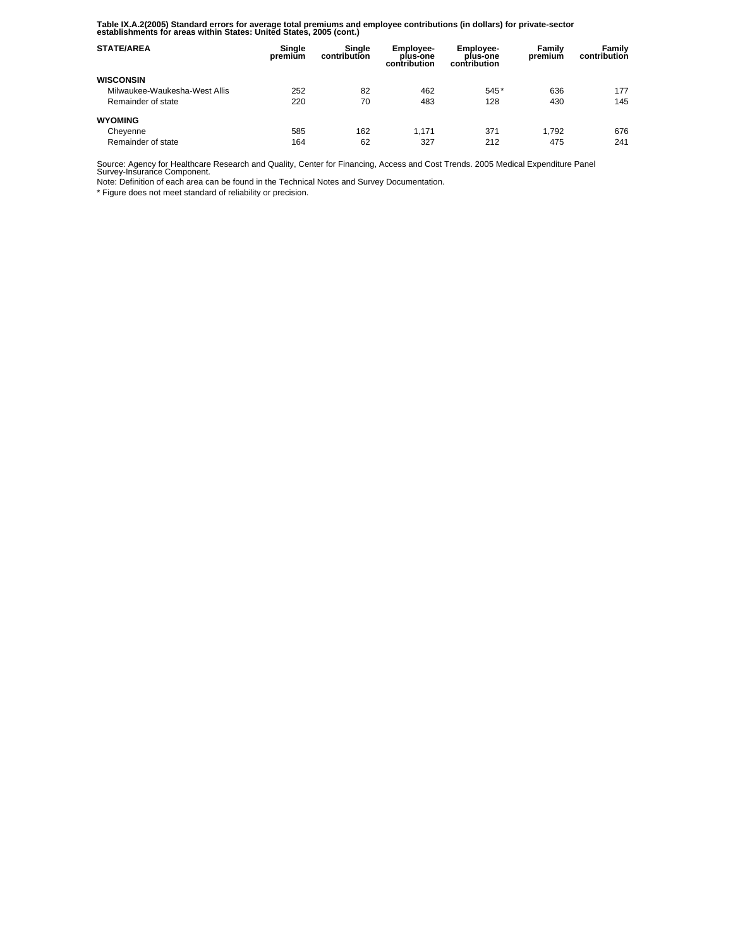**Table IX.A.2(2005) Standard errors for average total premiums and employee contributions (in dollars) for private-sector establishments for areas within States: United States, 2005 (cont.)** 

| <b>STATE/AREA</b>             | Single<br>premium | Single<br>contribution | <b>Employee-</b><br>plus-one<br>contribution | Employee-<br>plus-one<br>contribution | Family<br>premium | Family<br>contribution |
|-------------------------------|-------------------|------------------------|----------------------------------------------|---------------------------------------|-------------------|------------------------|
| <b>WISCONSIN</b>              |                   |                        |                                              |                                       |                   |                        |
| Milwaukee-Waukesha-West Allis | 252               | 82                     | 462                                          | 545*                                  | 636               | 177                    |
| Remainder of state            | 220               | 70                     | 483                                          | 128                                   | 430               | 145                    |
| <b>WYOMING</b>                |                   |                        |                                              |                                       |                   |                        |
| Cheyenne                      | 585               | 162                    | 1.171                                        | 371                                   | 1.792             | 676                    |
| Remainder of state            | 164               | 62                     | 327                                          | 212                                   | 475               | 241                    |

Source: Agency for Healthcare Research and Quality, Center for Financing, Access and Cost Trends. 2005 Medical Expenditure Panel Survey-Insurance Component.

Note: Definition of each area can be found in the Technical Notes and Survey Documentation.

\* Figure does not meet standard of reliability or precision.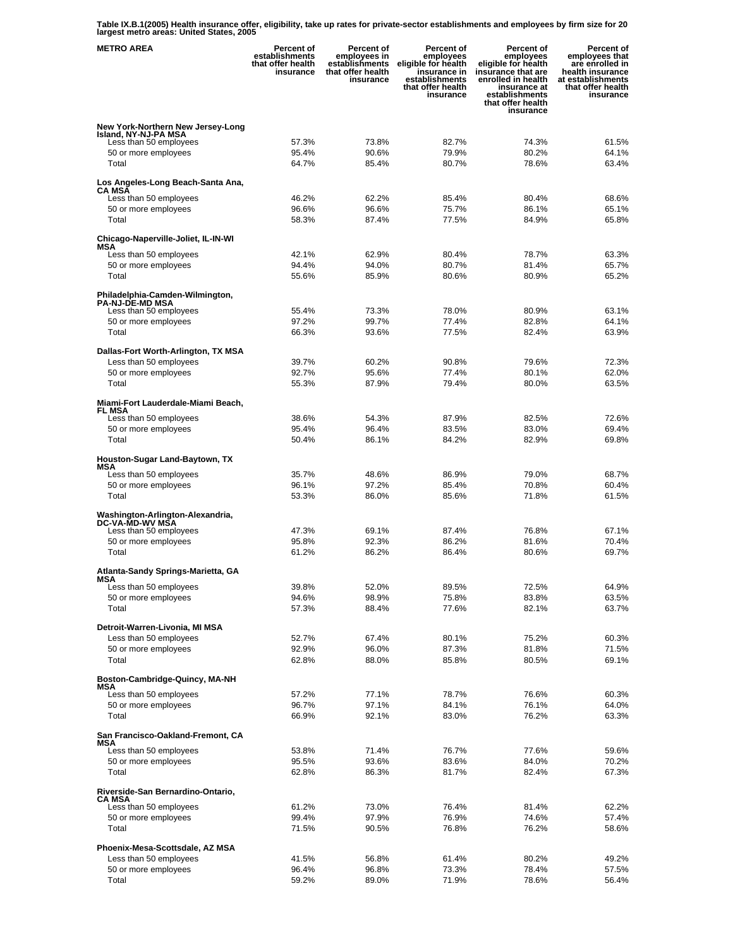**Table IX.B.1(2005) Health insurance offer, eligibility, take up rates for private-sector establishments and employees by firm size for 20 largest metro areas: United States, 2005** 

| <b>METRO AREA</b>                                                                   | <b>Percent of</b><br>establishments<br>that offer health<br>insurance | Percent of<br>employees in<br>establishments<br>that offer health<br>insurance | Percent of<br>employees<br>eligible for health<br>insurance in<br>establishments<br>that offer health<br>insurance | <b>Percent of</b><br>employees<br>eligible for health<br>insurance that are<br>enrolled in health<br>insurance at<br>establishments<br>that offer health<br>insurance | Percent of<br>employees that<br>are enrolled in<br>health insurance<br>at establishments<br>that offer health<br>insurance |
|-------------------------------------------------------------------------------------|-----------------------------------------------------------------------|--------------------------------------------------------------------------------|--------------------------------------------------------------------------------------------------------------------|-----------------------------------------------------------------------------------------------------------------------------------------------------------------------|----------------------------------------------------------------------------------------------------------------------------|
| New York-Northern New Jersey-Long<br>Island, NY-NJ-PA MSA<br>Less than 50 employees | 57.3%                                                                 | 73.8%                                                                          | 82.7%                                                                                                              | 74.3%                                                                                                                                                                 | 61.5%                                                                                                                      |
| 50 or more employees<br>Total                                                       | 95.4%<br>64.7%                                                        | 90.6%<br>85.4%                                                                 | 79.9%<br>80.7%                                                                                                     | 80.2%<br>78.6%                                                                                                                                                        | 64.1%<br>63.4%                                                                                                             |
| Los Angeles-Long Beach-Santa Ana,<br><b>CA MSA</b>                                  |                                                                       |                                                                                |                                                                                                                    |                                                                                                                                                                       |                                                                                                                            |
| Less than 50 employees                                                              | 46.2%                                                                 | 62.2%                                                                          | 85.4%                                                                                                              | 80.4%                                                                                                                                                                 | 68.6%                                                                                                                      |
| 50 or more employees<br>Total                                                       | 96.6%<br>58.3%                                                        | 96.6%<br>87.4%                                                                 | 75.7%<br>77.5%                                                                                                     | 86.1%<br>84.9%                                                                                                                                                        | 65.1%<br>65.8%                                                                                                             |
| Chicago-Naperville-Joliet, IL-IN-WI                                                 |                                                                       |                                                                                |                                                                                                                    |                                                                                                                                                                       |                                                                                                                            |
| MSA<br>Less than 50 employees                                                       | 42.1%                                                                 | 62.9%                                                                          | 80.4%                                                                                                              | 78.7%                                                                                                                                                                 | 63.3%                                                                                                                      |
| 50 or more employees                                                                | 94.4%                                                                 | 94.0%                                                                          | 80.7%                                                                                                              | 81.4%                                                                                                                                                                 | 65.7%                                                                                                                      |
| Total                                                                               | 55.6%                                                                 | 85.9%                                                                          | 80.6%                                                                                                              | 80.9%                                                                                                                                                                 | 65.2%                                                                                                                      |
| Philadelphia-Camden-Wilmington,                                                     |                                                                       |                                                                                |                                                                                                                    |                                                                                                                                                                       |                                                                                                                            |
| <b>PA-NJ-DE-MD MSA</b><br>Less than 50 employees                                    | 55.4%                                                                 | 73.3%                                                                          | 78.0%                                                                                                              | 80.9%                                                                                                                                                                 | 63.1%                                                                                                                      |
| 50 or more employees                                                                | 97.2%                                                                 | 99.7%                                                                          | 77.4%                                                                                                              | 82.8%                                                                                                                                                                 | 64.1%                                                                                                                      |
| Total                                                                               | 66.3%                                                                 | 93.6%                                                                          | 77.5%                                                                                                              | 82.4%                                                                                                                                                                 | 63.9%                                                                                                                      |
| Dallas-Fort Worth-Arlington, TX MSA                                                 |                                                                       |                                                                                |                                                                                                                    |                                                                                                                                                                       |                                                                                                                            |
| Less than 50 employees                                                              | 39.7%                                                                 | 60.2%                                                                          | 90.8%                                                                                                              | 79.6%                                                                                                                                                                 | 72.3%                                                                                                                      |
| 50 or more employees                                                                | 92.7%                                                                 | 95.6%                                                                          | 77.4%                                                                                                              | 80.1%                                                                                                                                                                 | 62.0%                                                                                                                      |
| Total                                                                               | 55.3%                                                                 | 87.9%                                                                          | 79.4%                                                                                                              | 80.0%                                                                                                                                                                 | 63.5%                                                                                                                      |
| Miami-Fort Lauderdale-Miami Beach,<br><b>FL MSA</b>                                 |                                                                       |                                                                                |                                                                                                                    |                                                                                                                                                                       |                                                                                                                            |
| Less than 50 employees                                                              | 38.6%                                                                 | 54.3%                                                                          | 87.9%                                                                                                              | 82.5%                                                                                                                                                                 | 72.6%                                                                                                                      |
| 50 or more employees                                                                | 95.4%                                                                 | 96.4%                                                                          | 83.5%                                                                                                              | 83.0%                                                                                                                                                                 | 69.4%                                                                                                                      |
| Total                                                                               | 50.4%                                                                 | 86.1%                                                                          | 84.2%                                                                                                              | 82.9%                                                                                                                                                                 | 69.8%                                                                                                                      |
| Houston-Sugar Land-Baytown, TX<br>MSA                                               |                                                                       |                                                                                |                                                                                                                    |                                                                                                                                                                       |                                                                                                                            |
| Less than 50 employees                                                              | 35.7%                                                                 | 48.6%                                                                          | 86.9%                                                                                                              | 79.0%                                                                                                                                                                 | 68.7%                                                                                                                      |
| 50 or more employees<br>Total                                                       | 96.1%<br>53.3%                                                        | 97.2%<br>86.0%                                                                 | 85.4%<br>85.6%                                                                                                     | 70.8%<br>71.8%                                                                                                                                                        | 60.4%<br>61.5%                                                                                                             |
|                                                                                     |                                                                       |                                                                                |                                                                                                                    |                                                                                                                                                                       |                                                                                                                            |
| Washington-Arlington-Alexandria,<br>DC-VA-MD-WV MSA<br>Less than 50 employees       | 47.3%                                                                 | 69.1%                                                                          | 87.4%                                                                                                              | 76.8%                                                                                                                                                                 | 67.1%                                                                                                                      |
| 50 or more employees                                                                | 95.8%                                                                 | 92.3%                                                                          | 86.2%                                                                                                              | 81.6%                                                                                                                                                                 | 70.4%                                                                                                                      |
| Total                                                                               | 61.2%                                                                 | 86.2%                                                                          | 86.4%                                                                                                              | 80.6%                                                                                                                                                                 | 69.7%                                                                                                                      |
| Atlanta-Sandy Springs-Marietta, GA<br>MSA                                           |                                                                       |                                                                                |                                                                                                                    |                                                                                                                                                                       |                                                                                                                            |
| Less than 50 employees                                                              | 39.8%                                                                 | 52.0%                                                                          | 89.5%                                                                                                              | 72.5%                                                                                                                                                                 | 64.9%                                                                                                                      |
| 50 or more employees                                                                | 94.6%                                                                 | 98.9%                                                                          | 75.8%                                                                                                              | 83.8%                                                                                                                                                                 | 63.5%<br>63.7%                                                                                                             |
| Total                                                                               | 57.3%                                                                 | 88.4%                                                                          | 77.6%                                                                                                              | 82.1%                                                                                                                                                                 |                                                                                                                            |
| Detroit-Warren-Livonia, MI MSA<br>Less than 50 employees                            | 52.7%                                                                 | 67.4%                                                                          | 80.1%                                                                                                              | 75.2%                                                                                                                                                                 | 60.3%                                                                                                                      |
| 50 or more employees                                                                | 92.9%                                                                 | 96.0%                                                                          | 87.3%                                                                                                              | 81.8%                                                                                                                                                                 | 71.5%                                                                                                                      |
| Total                                                                               | 62.8%                                                                 | 88.0%                                                                          | 85.8%                                                                                                              | 80.5%                                                                                                                                                                 | 69.1%                                                                                                                      |
| Boston-Cambridge-Quincy, MA-NH                                                      |                                                                       |                                                                                |                                                                                                                    |                                                                                                                                                                       |                                                                                                                            |
| MSA<br>Less than 50 employees                                                       | 57.2%                                                                 | 77.1%                                                                          | 78.7%                                                                                                              | 76.6%                                                                                                                                                                 | 60.3%                                                                                                                      |
| 50 or more employees                                                                | 96.7%                                                                 | 97.1%                                                                          | 84.1%                                                                                                              | 76.1%                                                                                                                                                                 | 64.0%                                                                                                                      |
| Total                                                                               | 66.9%                                                                 | 92.1%                                                                          | 83.0%                                                                                                              | 76.2%                                                                                                                                                                 | 63.3%                                                                                                                      |
| San Francisco-Oakland-Fremont, CA<br>MSA                                            |                                                                       |                                                                                |                                                                                                                    |                                                                                                                                                                       |                                                                                                                            |
| Less than 50 employees                                                              | 53.8%                                                                 | 71.4%                                                                          | 76.7%                                                                                                              | 77.6%                                                                                                                                                                 | 59.6%                                                                                                                      |
| 50 or more employees                                                                | 95.5%                                                                 | 93.6%                                                                          | 83.6%                                                                                                              | 84.0%                                                                                                                                                                 | 70.2%                                                                                                                      |
| Total                                                                               | 62.8%                                                                 | 86.3%                                                                          | 81.7%                                                                                                              | 82.4%                                                                                                                                                                 | 67.3%                                                                                                                      |
| Riverside-San Bernardino-Ontario,<br>CA MSA                                         |                                                                       |                                                                                |                                                                                                                    |                                                                                                                                                                       |                                                                                                                            |
| Less than 50 employees                                                              | 61.2%                                                                 | 73.0%                                                                          | 76.4%                                                                                                              | 81.4%                                                                                                                                                                 | 62.2%                                                                                                                      |
| 50 or more employees<br>Total                                                       | 99.4%<br>71.5%                                                        | 97.9%<br>90.5%                                                                 | 76.9%<br>76.8%                                                                                                     | 74.6%<br>76.2%                                                                                                                                                        | 57.4%<br>58.6%                                                                                                             |
|                                                                                     |                                                                       |                                                                                |                                                                                                                    |                                                                                                                                                                       |                                                                                                                            |
| Phoenix-Mesa-Scottsdale, AZ MSA                                                     |                                                                       |                                                                                |                                                                                                                    |                                                                                                                                                                       |                                                                                                                            |
| Less than 50 employees<br>50 or more employees                                      | 41.5%<br>96.4%                                                        | 56.8%<br>96.8%                                                                 | 61.4%<br>73.3%                                                                                                     | 80.2%<br>78.4%                                                                                                                                                        | 49.2%<br>57.5%                                                                                                             |
| Total                                                                               | 59.2%                                                                 | 89.0%                                                                          | 71.9%                                                                                                              | 78.6%                                                                                                                                                                 | 56.4%                                                                                                                      |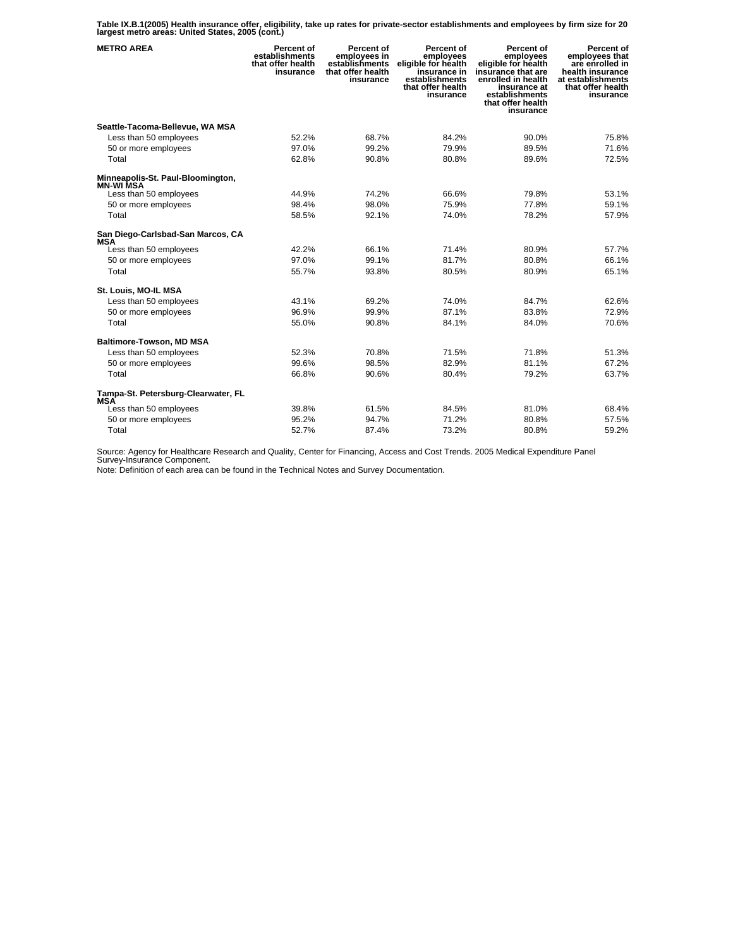**Table IX.B.1(2005) Health insurance offer, eligibility, take up rates for private-sector establishments and employees by firm size for 20 largest metro areas: United States, 2005 (cont.)** 

| <b>METRO AREA</b>                                     | <b>Percent of</b><br>establishments<br>that offer health<br>insurance | <b>Percent of</b><br>employees in<br>establishments<br>that offer health<br>insurance | Percent of<br>employees<br>eligible for health<br>insurance in<br>establishments<br>that offer health<br>insurance | <b>Percent of</b><br>employees<br>eligible for health<br>insūrance that are<br>enrolled in health<br>insurance at<br>establishments<br>that offer health<br>insurance | <b>Percent of</b><br>employees that<br>are enrolled in<br>health insurance<br>at establishments<br>that offer health<br>insurance |
|-------------------------------------------------------|-----------------------------------------------------------------------|---------------------------------------------------------------------------------------|--------------------------------------------------------------------------------------------------------------------|-----------------------------------------------------------------------------------------------------------------------------------------------------------------------|-----------------------------------------------------------------------------------------------------------------------------------|
| Seattle-Tacoma-Bellevue, WA MSA                       |                                                                       |                                                                                       |                                                                                                                    |                                                                                                                                                                       |                                                                                                                                   |
| Less than 50 employees                                | 52.2%                                                                 | 68.7%                                                                                 | 84.2%                                                                                                              | 90.0%                                                                                                                                                                 | 75.8%                                                                                                                             |
| 50 or more employees                                  | 97.0%                                                                 | 99.2%                                                                                 | 79.9%                                                                                                              | 89.5%                                                                                                                                                                 | 71.6%                                                                                                                             |
| Total                                                 | 62.8%                                                                 | 90.8%                                                                                 | 80.8%                                                                                                              | 89.6%                                                                                                                                                                 | 72.5%                                                                                                                             |
| Minneapolis-St. Paul-Bloomington,<br><b>MN-WI MSA</b> |                                                                       |                                                                                       |                                                                                                                    |                                                                                                                                                                       |                                                                                                                                   |
| Less than 50 employees                                | 44.9%                                                                 | 74.2%                                                                                 | 66.6%                                                                                                              | 79.8%                                                                                                                                                                 | 53.1%                                                                                                                             |
| 50 or more employees                                  | 98.4%                                                                 | 98.0%                                                                                 | 75.9%                                                                                                              | 77.8%                                                                                                                                                                 | 59.1%                                                                                                                             |
| Total                                                 | 58.5%                                                                 | 92.1%                                                                                 | 74.0%                                                                                                              | 78.2%                                                                                                                                                                 | 57.9%                                                                                                                             |
| San Diego-Carlsbad-San Marcos, CA<br>MSA              |                                                                       |                                                                                       |                                                                                                                    |                                                                                                                                                                       |                                                                                                                                   |
| Less than 50 employees                                | 42.2%                                                                 | 66.1%                                                                                 | 71.4%                                                                                                              | 80.9%                                                                                                                                                                 | 57.7%                                                                                                                             |
| 50 or more employees                                  | 97.0%                                                                 | 99.1%                                                                                 | 81.7%                                                                                                              | 80.8%                                                                                                                                                                 | 66.1%                                                                                                                             |
| Total                                                 | 55.7%                                                                 | 93.8%                                                                                 | 80.5%                                                                                                              | 80.9%                                                                                                                                                                 | 65.1%                                                                                                                             |
| St. Louis, MO-IL MSA                                  |                                                                       |                                                                                       |                                                                                                                    |                                                                                                                                                                       |                                                                                                                                   |
| Less than 50 employees                                | 43.1%                                                                 | 69.2%                                                                                 | 74.0%                                                                                                              | 84.7%                                                                                                                                                                 | 62.6%                                                                                                                             |
| 50 or more employees                                  | 96.9%                                                                 | 99.9%                                                                                 | 87.1%                                                                                                              | 83.8%                                                                                                                                                                 | 72.9%                                                                                                                             |
| Total                                                 | 55.0%                                                                 | 90.8%                                                                                 | 84.1%                                                                                                              | 84.0%                                                                                                                                                                 | 70.6%                                                                                                                             |
| <b>Baltimore-Towson, MD MSA</b>                       |                                                                       |                                                                                       |                                                                                                                    |                                                                                                                                                                       |                                                                                                                                   |
| Less than 50 employees                                | 52.3%                                                                 | 70.8%                                                                                 | 71.5%                                                                                                              | 71.8%                                                                                                                                                                 | 51.3%                                                                                                                             |
| 50 or more employees                                  | 99.6%                                                                 | 98.5%                                                                                 | 82.9%                                                                                                              | 81.1%                                                                                                                                                                 | 67.2%                                                                                                                             |
| Total                                                 | 66.8%                                                                 | 90.6%                                                                                 | 80.4%                                                                                                              | 79.2%                                                                                                                                                                 | 63.7%                                                                                                                             |
| Tampa-St. Petersburg-Clearwater, FL<br><b>MSA</b>     |                                                                       |                                                                                       |                                                                                                                    |                                                                                                                                                                       |                                                                                                                                   |
| Less than 50 employees                                | 39.8%                                                                 | 61.5%                                                                                 | 84.5%                                                                                                              | 81.0%                                                                                                                                                                 | 68.4%                                                                                                                             |
| 50 or more employees                                  | 95.2%                                                                 | 94.7%                                                                                 | 71.2%                                                                                                              | 80.8%                                                                                                                                                                 | 57.5%                                                                                                                             |
| Total                                                 | 52.7%                                                                 | 87.4%                                                                                 | 73.2%                                                                                                              | 80.8%                                                                                                                                                                 | 59.2%                                                                                                                             |

Source: Agency for Healthcare Research and Quality, Center for Financing, Access and Cost Trends. 2005 Medical Expenditure Panel Survey-Insurance Component.

Note: Definition of each area can be found in the Technical Notes and Survey Documentation.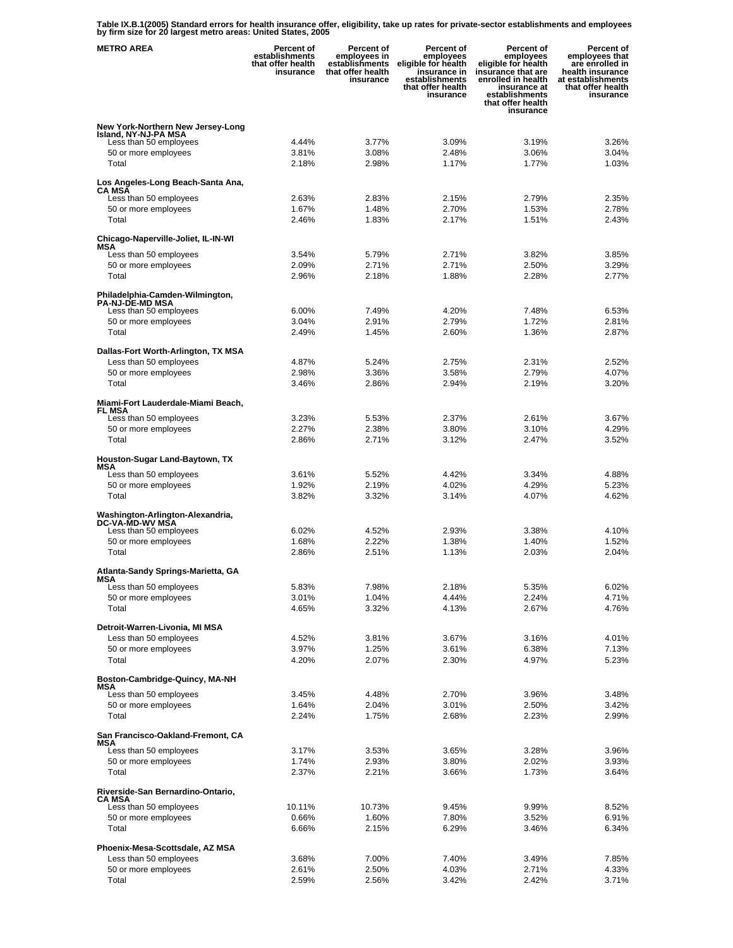**Table IX.B.1(2005) Standard errors for health insurance offer, eligibility, take up rates for private-sector establishments and employees by firm size for 20 largest metro areas: United States, 2005** 

| <b>METRO AREA</b>                                                                   | Percent of<br>establishments<br>that offer health<br>insurance | Percent of<br>employees in<br>establishments<br>that offer health<br>insurance | Percent of<br>employees<br>eligible for health<br>insurance in<br>establishments<br>that offer health<br>insurance | <b>Percent of</b><br>employees<br>eligible for health<br>insurance that are<br>enrolled in health<br>insurance at<br>establishments<br>that offer health<br>insurance | Percent of<br>employees that<br>are enrolled in<br>health insurance<br>at establishments<br>that offer health<br>insurance |
|-------------------------------------------------------------------------------------|----------------------------------------------------------------|--------------------------------------------------------------------------------|--------------------------------------------------------------------------------------------------------------------|-----------------------------------------------------------------------------------------------------------------------------------------------------------------------|----------------------------------------------------------------------------------------------------------------------------|
| New York-Northern New Jersey-Long<br>Island, NY-NJ-PA MSA<br>Less than 50 employees | 4.44%                                                          | 3.77%                                                                          | 3.09%                                                                                                              | 3.19%                                                                                                                                                                 | 3.26%                                                                                                                      |
| 50 or more employees<br>Total                                                       | 3.81%<br>2.18%                                                 | 3.08%<br>2.98%                                                                 | 2.48%<br>1.17%                                                                                                     | 3.06%<br>1.77%                                                                                                                                                        | 3.04%<br>1.03%                                                                                                             |
| Los Angeles-Long Beach-Santa Ana,<br>CA MSÃ<br>Less than 50 employees               | 2.63%                                                          | 2.83%                                                                          | 2.15%                                                                                                              | 2.79%                                                                                                                                                                 | 2.35%                                                                                                                      |
| 50 or more employees                                                                | 1.67%                                                          | 1.48%                                                                          | 2.70%                                                                                                              | 1.53%                                                                                                                                                                 | 2.78%                                                                                                                      |
| Total                                                                               | 2.46%                                                          | 1.83%                                                                          | 2.17%                                                                                                              | 1.51%                                                                                                                                                                 | 2.43%                                                                                                                      |
| Chicago-Naperville-Joliet, IL-IN-WI<br>MSA                                          |                                                                |                                                                                |                                                                                                                    |                                                                                                                                                                       |                                                                                                                            |
| Less than 50 employees                                                              | 3.54%                                                          | 5.79%                                                                          | 2.71%                                                                                                              | 3.82%                                                                                                                                                                 | 3.85%                                                                                                                      |
| 50 or more employees                                                                | 2.09%                                                          | 2.71%                                                                          | 2.71%                                                                                                              | 2.50%                                                                                                                                                                 | 3.29%                                                                                                                      |
| Total                                                                               | 2.96%                                                          | 2.18%                                                                          | 1.88%                                                                                                              | 2.28%                                                                                                                                                                 | 2.77%                                                                                                                      |
| Philadelphia-Camden-Wilmington,<br><b>PA-NJ-DE-MD MSA</b>                           |                                                                |                                                                                |                                                                                                                    |                                                                                                                                                                       |                                                                                                                            |
| Less than 50 employees                                                              | 6.00%                                                          | 7.49%                                                                          | 4.20%                                                                                                              | 7.48%                                                                                                                                                                 | 6.53%                                                                                                                      |
| 50 or more employees                                                                | 3.04%                                                          | 2.91%                                                                          | 2.79%                                                                                                              | 1.72%                                                                                                                                                                 | 2.81%                                                                                                                      |
| Total                                                                               | 2.49%                                                          | 1.45%                                                                          | 2.60%                                                                                                              | 1.36%                                                                                                                                                                 | 2.87%                                                                                                                      |
| Dallas-Fort Worth-Arlington, TX MSA                                                 |                                                                |                                                                                |                                                                                                                    |                                                                                                                                                                       |                                                                                                                            |
| Less than 50 employees<br>50 or more employees                                      | 4.87%<br>2.98%                                                 | 5.24%<br>3.36%                                                                 | 2.75%<br>3.58%                                                                                                     | 2.31%<br>2.79%                                                                                                                                                        | 2.52%<br>4.07%                                                                                                             |
| Total                                                                               | 3.46%                                                          | 2.86%                                                                          | 2.94%                                                                                                              | 2.19%                                                                                                                                                                 | 3.20%                                                                                                                      |
| Miami-Fort Lauderdale-Miami Beach,                                                  |                                                                |                                                                                |                                                                                                                    |                                                                                                                                                                       |                                                                                                                            |
| FL MSA<br>Less than 50 employees                                                    | 3.23%                                                          | 5.53%                                                                          | 2.37%                                                                                                              | 2.61%                                                                                                                                                                 | 3.67%                                                                                                                      |
| 50 or more employees                                                                | 2.27%                                                          | 2.38%                                                                          | 3.80%                                                                                                              | 3.10%                                                                                                                                                                 | 4.29%                                                                                                                      |
| Total                                                                               | 2.86%                                                          | 2.71%                                                                          | 3.12%                                                                                                              | 2.47%                                                                                                                                                                 | 3.52%                                                                                                                      |
| Houston-Sugar Land-Baytown, TX                                                      |                                                                |                                                                                |                                                                                                                    |                                                                                                                                                                       |                                                                                                                            |
| MSA<br>Less than 50 employees                                                       | 3.61%                                                          | 5.52%                                                                          | 4.42%                                                                                                              | 3.34%                                                                                                                                                                 | 4.88%                                                                                                                      |
| 50 or more employees                                                                | 1.92%                                                          | 2.19%                                                                          | 4.02%                                                                                                              | 4.29%                                                                                                                                                                 | 5.23%                                                                                                                      |
| Total                                                                               | 3.82%                                                          | 3.32%                                                                          | 3.14%                                                                                                              | 4.07%                                                                                                                                                                 | 4.62%                                                                                                                      |
| Washington-Arlington-Alexandria,<br>DC-VA-MD-WV MŠA                                 |                                                                |                                                                                |                                                                                                                    |                                                                                                                                                                       |                                                                                                                            |
| Less than 50 employees<br>50 or more employees                                      | 6.02%<br>1.68%                                                 | 4.52%<br>2.22%                                                                 | 2.93%<br>1.38%                                                                                                     | 3.38%<br>1.40%                                                                                                                                                        | 4.10%<br>1.52%                                                                                                             |
| Total                                                                               | 2.86%                                                          | 2.51%                                                                          | 1.13%                                                                                                              | 2.03%                                                                                                                                                                 | 2.04%                                                                                                                      |
| Atlanta-Sandy Springs-Marietta, GA                                                  |                                                                |                                                                                |                                                                                                                    |                                                                                                                                                                       |                                                                                                                            |
| MSA<br>Less than 50 employees                                                       | 5.83%                                                          | 7.98%                                                                          | 2.18%                                                                                                              | 5.35%                                                                                                                                                                 | 6.02%                                                                                                                      |
| 50 or more employees                                                                | 3.01%                                                          | 1.04%                                                                          | 4.44%                                                                                                              | 2.24%                                                                                                                                                                 | 4.71%                                                                                                                      |
| Total                                                                               | 4.65%                                                          | 3.32%                                                                          | 4.13%                                                                                                              | 2.67%                                                                                                                                                                 | 4.76%                                                                                                                      |
| Detroit-Warren-Livonia, MI MSA                                                      |                                                                |                                                                                |                                                                                                                    |                                                                                                                                                                       |                                                                                                                            |
| Less than 50 employees                                                              | 4.52%                                                          | 3.81%                                                                          | 3.67%                                                                                                              | 3.16%                                                                                                                                                                 | 4.01%                                                                                                                      |
| 50 or more employees<br>Total                                                       | 3.97%<br>4.20%                                                 | 1.25%<br>2.07%                                                                 | 3.61%<br>2.30%                                                                                                     | 6.38%<br>4.97%                                                                                                                                                        | 7.13%<br>5.23%                                                                                                             |
| Boston-Cambridge-Quincy, MA-NH                                                      |                                                                |                                                                                |                                                                                                                    |                                                                                                                                                                       |                                                                                                                            |
| MSA<br>Less than 50 employees                                                       | 3.45%                                                          | 4.48%                                                                          | 2.70%                                                                                                              | 3.96%                                                                                                                                                                 | 3.48%                                                                                                                      |
| 50 or more employees                                                                | 1.64%                                                          | 2.04%                                                                          | 3.01%                                                                                                              | 2.50%                                                                                                                                                                 | 3.42%                                                                                                                      |
| Total                                                                               | 2.24%                                                          | 1.75%                                                                          | 2.68%                                                                                                              | 2.23%                                                                                                                                                                 | 2.99%                                                                                                                      |
| San Francisco-Oakland-Fremont, CA                                                   |                                                                |                                                                                |                                                                                                                    |                                                                                                                                                                       |                                                                                                                            |
| MSA<br>Less than 50 employees                                                       | 3.17%                                                          | 3.53%                                                                          | 3.65%                                                                                                              | 3.28%                                                                                                                                                                 | 3.96%                                                                                                                      |
| 50 or more employees                                                                | 1.74%                                                          | 2.93%                                                                          | 3.80%                                                                                                              | 2.02%                                                                                                                                                                 | 3.93%                                                                                                                      |
| Total                                                                               | 2.37%                                                          | 2.21%                                                                          | 3.66%                                                                                                              | 1.73%                                                                                                                                                                 | 3.64%                                                                                                                      |
| Riverside-San Bernardino-Ontario,<br><b>CA MSA</b>                                  |                                                                |                                                                                |                                                                                                                    |                                                                                                                                                                       |                                                                                                                            |
| Less than 50 employees                                                              | 10.11%                                                         | 10.73%                                                                         | 9.45%                                                                                                              | 9.99%                                                                                                                                                                 | 8.52%                                                                                                                      |
| 50 or more employees<br>Total                                                       | 0.66%<br>6.66%                                                 | 1.60%<br>2.15%                                                                 | 7.80%<br>6.29%                                                                                                     | 3.52%<br>3.46%                                                                                                                                                        | 6.91%<br>6.34%                                                                                                             |
|                                                                                     |                                                                |                                                                                |                                                                                                                    |                                                                                                                                                                       |                                                                                                                            |
| Phoenix-Mesa-Scottsdale, AZ MSA                                                     |                                                                |                                                                                |                                                                                                                    |                                                                                                                                                                       |                                                                                                                            |
| Less than 50 employees<br>50 or more employees                                      | 3.68%<br>2.61%                                                 | 7.00%<br>2.50%                                                                 | 7.40%<br>4.03%                                                                                                     | 3.49%<br>2.71%                                                                                                                                                        | 7.85%<br>4.33%                                                                                                             |
| Total                                                                               | 2.59%                                                          | 2.56%                                                                          | 3.42%                                                                                                              | 2.42%                                                                                                                                                                 | 3.71%                                                                                                                      |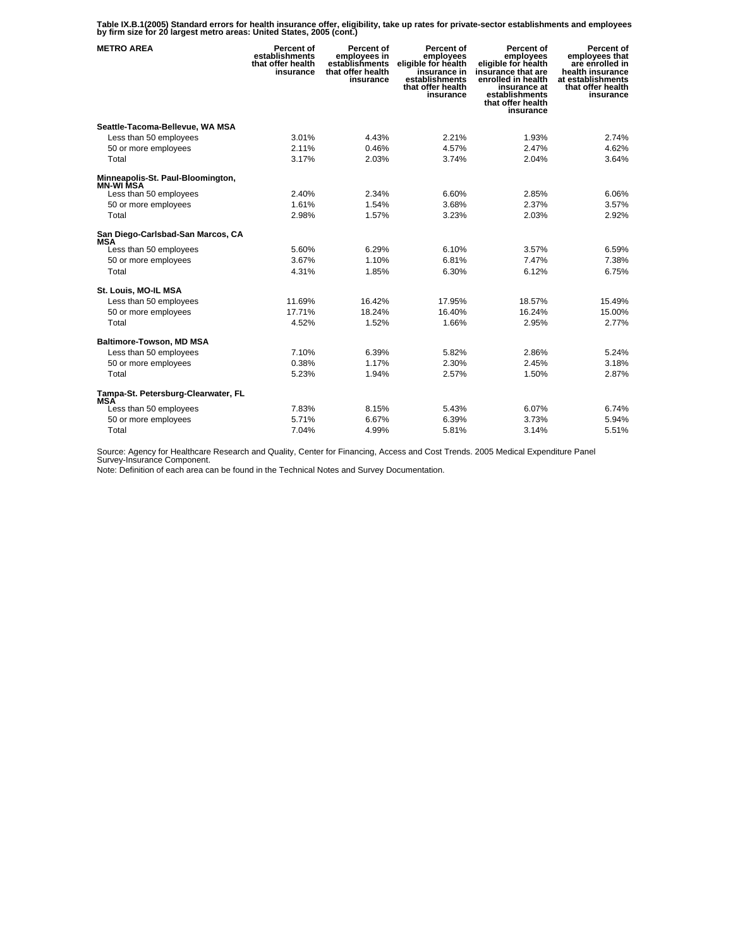**Table IX.B.1(2005) Standard errors for health insurance offer, eligibility, take up rates for private-sector establishments and employees by firm size for 20 largest metro areas: United States, 2005 (cont.)** 

| <b>METRO AREA</b>                                     | Percent of<br>establishments<br>that offer health<br>insurance | Percent of<br>employees in<br>establishments<br>that offer health<br>insurance | Percent of<br>employees<br>eligible for health<br>insurance in<br>establishments<br>that offer health<br>insurance | Percent of<br>employees<br>eligible for health<br>insurance that are<br>enrolled in health<br>insurance at<br>establishments<br>that offer health<br>insurance | Percent of<br>employees that<br>are enrolled in<br>health insurance<br>at establishments<br>that offer health<br>insurance |
|-------------------------------------------------------|----------------------------------------------------------------|--------------------------------------------------------------------------------|--------------------------------------------------------------------------------------------------------------------|----------------------------------------------------------------------------------------------------------------------------------------------------------------|----------------------------------------------------------------------------------------------------------------------------|
| Seattle-Tacoma-Bellevue, WA MSA                       |                                                                |                                                                                |                                                                                                                    |                                                                                                                                                                |                                                                                                                            |
| Less than 50 employees                                | 3.01%                                                          | 4.43%                                                                          | 2.21%                                                                                                              | 1.93%                                                                                                                                                          | 2.74%                                                                                                                      |
| 50 or more employees                                  | 2.11%                                                          | 0.46%                                                                          | 4.57%                                                                                                              | 2.47%                                                                                                                                                          | 4.62%                                                                                                                      |
| Total                                                 | 3.17%                                                          | 2.03%                                                                          | 3.74%                                                                                                              | 2.04%                                                                                                                                                          | 3.64%                                                                                                                      |
| Minneapolis-St. Paul-Bloomington,<br><b>MN-WI MSA</b> |                                                                |                                                                                |                                                                                                                    |                                                                                                                                                                |                                                                                                                            |
| Less than 50 employees                                | 2.40%                                                          | 2.34%                                                                          | 6.60%                                                                                                              | 2.85%                                                                                                                                                          | 6.06%                                                                                                                      |
| 50 or more employees                                  | 1.61%                                                          | 1.54%                                                                          | 3.68%                                                                                                              | 2.37%                                                                                                                                                          | 3.57%                                                                                                                      |
| Total                                                 | 2.98%                                                          | 1.57%                                                                          | 3.23%                                                                                                              | 2.03%                                                                                                                                                          | 2.92%                                                                                                                      |
| San Diego-Carlsbad-San Marcos, CA<br>MSA              |                                                                |                                                                                |                                                                                                                    |                                                                                                                                                                |                                                                                                                            |
| Less than 50 employees                                | 5.60%                                                          | 6.29%                                                                          | 6.10%                                                                                                              | 3.57%                                                                                                                                                          | 6.59%                                                                                                                      |
| 50 or more employees                                  | 3.67%                                                          | 1.10%                                                                          | 6.81%                                                                                                              | 7.47%                                                                                                                                                          | 7.38%                                                                                                                      |
| Total                                                 | 4.31%                                                          | 1.85%                                                                          | 6.30%                                                                                                              | 6.12%                                                                                                                                                          | 6.75%                                                                                                                      |
| St. Louis, MO-IL MSA                                  |                                                                |                                                                                |                                                                                                                    |                                                                                                                                                                |                                                                                                                            |
| Less than 50 employees                                | 11.69%                                                         | 16.42%                                                                         | 17.95%                                                                                                             | 18.57%                                                                                                                                                         | 15.49%                                                                                                                     |
| 50 or more employees                                  | 17.71%                                                         | 18.24%                                                                         | 16.40%                                                                                                             | 16.24%                                                                                                                                                         | 15.00%                                                                                                                     |
| Total                                                 | 4.52%                                                          | 1.52%                                                                          | 1.66%                                                                                                              | 2.95%                                                                                                                                                          | 2.77%                                                                                                                      |
| <b>Baltimore-Towson, MD MSA</b>                       |                                                                |                                                                                |                                                                                                                    |                                                                                                                                                                |                                                                                                                            |
| Less than 50 employees                                | 7.10%                                                          | 6.39%                                                                          | 5.82%                                                                                                              | 2.86%                                                                                                                                                          | 5.24%                                                                                                                      |
| 50 or more employees                                  | 0.38%                                                          | 1.17%                                                                          | 2.30%                                                                                                              | 2.45%                                                                                                                                                          | 3.18%                                                                                                                      |
| Total                                                 | 5.23%                                                          | 1.94%                                                                          | 2.57%                                                                                                              | 1.50%                                                                                                                                                          | 2.87%                                                                                                                      |
| Tampa-St. Petersburg-Clearwater, FL<br><b>MSA</b>     |                                                                |                                                                                |                                                                                                                    |                                                                                                                                                                |                                                                                                                            |
| Less than 50 employees                                | 7.83%                                                          | 8.15%                                                                          | 5.43%                                                                                                              | 6.07%                                                                                                                                                          | 6.74%                                                                                                                      |
| 50 or more employees                                  | 5.71%                                                          | 6.67%                                                                          | 6.39%                                                                                                              | 3.73%                                                                                                                                                          | 5.94%                                                                                                                      |
| Total                                                 | 7.04%                                                          | 4.99%                                                                          | 5.81%                                                                                                              | 3.14%                                                                                                                                                          | 5.51%                                                                                                                      |

Source: Agency for Healthcare Research and Quality, Center for Financing, Access and Cost Trends. 2005 Medical Expenditure Panel Survey-Insurance Component.

Note: Definition of each area can be found in the Technical Notes and Survey Documentation.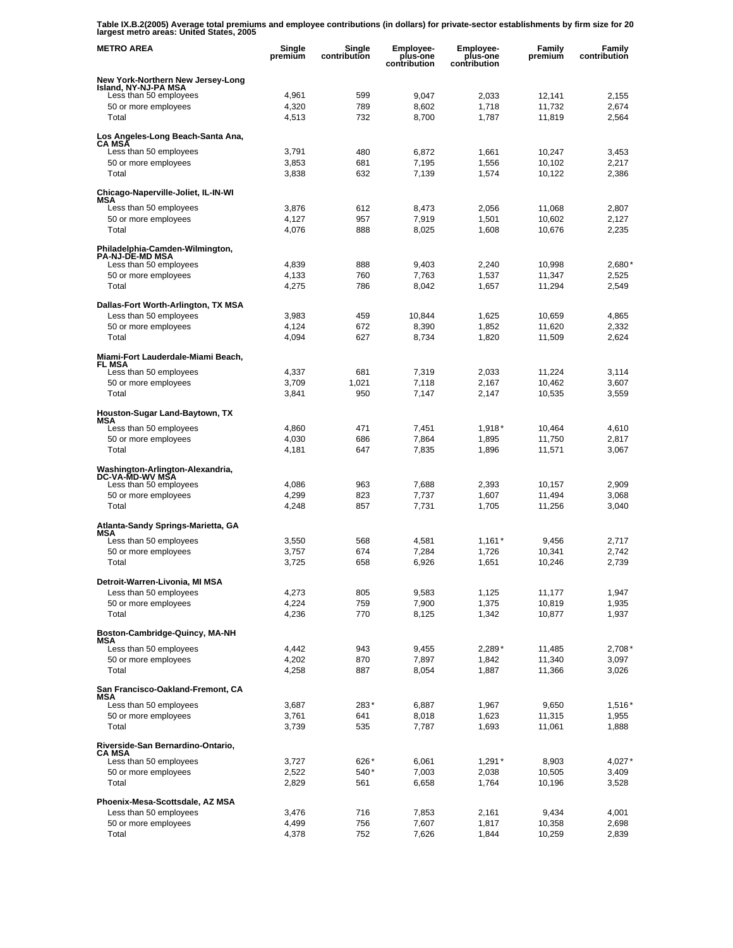**Table IX.B.2(2005) Average total premiums and employee contributions (in dollars) for private-sector establishments by firm size for 20 largest metro areas: United States, 2005** 

| <b>METRO AREA</b>                                         | Single<br>premium | Single<br>contribution | <b>Employee-</b><br>plus-one<br>contribution | Employee-<br>plus-one<br>contribution | Family<br>premium | Family<br>contribution |
|-----------------------------------------------------------|-------------------|------------------------|----------------------------------------------|---------------------------------------|-------------------|------------------------|
| New York-Northern New Jersey-Long<br>Island, NY-NJ-PA MSA |                   |                        |                                              |                                       |                   |                        |
| Less than 50 employees                                    | 4,961             | 599                    | 9,047                                        | 2,033                                 | 12,141            | 2,155                  |
| 50 or more employees                                      | 4,320             | 789                    | 8,602                                        | 1,718                                 | 11,732            | 2,674                  |
| Total                                                     | 4,513             | 732                    | 8,700                                        | 1,787                                 | 11,819            | 2,564                  |
| Los Angeles-Long Beach-Santa Ana,<br><b>CA MSA</b>        |                   |                        |                                              |                                       |                   |                        |
| Less than 50 employees                                    | 3,791             | 480                    | 6,872                                        | 1,661                                 | 10,247            | 3,453                  |
| 50 or more employees                                      | 3,853             | 681                    | 7,195                                        | 1,556                                 | 10,102            | 2,217                  |
| Total                                                     | 3,838             | 632                    | 7,139                                        | 1,574                                 | 10,122            | 2,386                  |
| Chicago-Naperville-Joliet, IL-IN-WI<br>MSA                |                   |                        |                                              |                                       |                   |                        |
| Less than 50 employees                                    | 3,876             | 612                    | 8,473                                        | 2,056                                 | 11,068            | 2,807                  |
| 50 or more employees                                      | 4,127             | 957                    | 7,919                                        | 1,501                                 | 10,602            | 2,127                  |
| Total                                                     | 4,076             | 888                    | 8,025                                        | 1,608                                 | 10,676            | 2,235                  |
| Philadelphia-Camden-Wilmington,<br><b>PA-NJ-DE-MD MSA</b> |                   |                        |                                              |                                       |                   |                        |
| Less than 50 employees                                    | 4,839             | 888                    | 9,403                                        | 2,240                                 | 10,998            | 2,680'                 |
| 50 or more employees                                      | 4,133             | 760                    | 7,763                                        | 1,537                                 | 11,347            | 2,525                  |
| Total                                                     | 4,275             | 786                    | 8,042                                        | 1,657                                 | 11,294            | 2,549                  |
| Dallas-Fort Worth-Arlington, TX MSA                       |                   |                        |                                              |                                       |                   |                        |
| Less than 50 employees                                    | 3,983             | 459                    | 10,844                                       | 1,625                                 | 10,659            | 4,865                  |
| 50 or more employees                                      | 4,124             | 672                    | 8,390                                        | 1,852                                 | 11,620            | 2,332                  |
| Total                                                     | 4,094             | 627                    | 8,734                                        | 1,820                                 | 11,509            | 2,624                  |
| Miami-Fort Lauderdale-Miami Beach,<br>FL MSA              |                   |                        |                                              |                                       |                   |                        |
| Less than 50 employees                                    | 4,337             | 681                    | 7,319                                        | 2,033                                 | 11,224            | 3,114                  |
| 50 or more employees                                      | 3,709             | 1,021                  | 7.118                                        | 2,167                                 | 10,462            | 3,607                  |
| Total                                                     | 3,841             | 950                    | 7,147                                        | 2,147                                 | 10,535            | 3,559                  |
| Houston-Sugar Land-Baytown, TX<br>MSA                     |                   |                        |                                              |                                       |                   |                        |
| Less than 50 employees                                    | 4,860             | 471                    | 7,451                                        | $1,918*$                              | 10,464            | 4,610                  |
| 50 or more employees                                      | 4,030             | 686                    | 7,864                                        | 1,895                                 | 11,750            | 2,817                  |
| Total                                                     | 4,181             | 647                    | 7,835                                        | 1,896                                 | 11,571            | 3,067                  |
| Washington-Arlington-Alexandria,<br>DC-VA-MD-WV MSA       |                   |                        |                                              |                                       |                   |                        |
| Less than 50 employees                                    | 4,086             | 963                    | 7,688                                        | 2,393                                 | 10,157            | 2,909                  |
| 50 or more employees<br>Total                             | 4,299<br>4,248    | 823<br>857             | 7,737<br>7,731                               | 1,607<br>1,705                        | 11,494<br>11,256  | 3,068<br>3,040         |
|                                                           |                   |                        |                                              |                                       |                   |                        |
| Atlanta-Sandy Springs-Marietta, GA<br>MSA                 |                   |                        |                                              |                                       |                   |                        |
| Less than 50 employees                                    | 3,550             | 568                    | 4,581                                        | $1,161*$                              | 9.456             | 2,717                  |
| 50 or more employees<br>Total                             | 3,757             | 674                    | 7,284                                        | 1,726                                 | 10,341            | 2,742                  |
|                                                           | 3,725             | 658                    | 6,926                                        | 1,651                                 | 10,246            | 2,739                  |
| Detroit-Warren-Livonia, MI MSA                            |                   |                        |                                              |                                       |                   |                        |
| Less than 50 employees<br>50 or more employees            | 4,273<br>4,224    | 805<br>759             | 9,583<br>7,900                               | 1,125<br>1,375                        | 11,177<br>10,819  | 1,947<br>1,935         |
| Total                                                     | 4,236             | 770                    | 8,125                                        | 1,342                                 | 10,877            | 1,937                  |
|                                                           |                   |                        |                                              |                                       |                   |                        |
| Boston-Cambridge-Quincy, MA-NH<br>MSA                     |                   |                        |                                              |                                       |                   |                        |
| Less than 50 employees                                    | 4,442             | 943                    | 9,455                                        | $2,289*$                              | 11,485            | $2,708*$               |
| 50 or more employees<br>Total                             | 4,202<br>4,258    | 870<br>887             | 7,897<br>8,054                               | 1,842<br>1,887                        | 11,340<br>11,366  | 3,097<br>3,026         |
| San Francisco-Oakland-Fremont, CA                         |                   |                        |                                              |                                       |                   |                        |
| MSA                                                       |                   | 283*                   | 6,887                                        |                                       | 9,650             | 1,516*                 |
| Less than 50 employees<br>50 or more employees            | 3,687<br>3,761    | 641                    | 8,018                                        | 1,967<br>1,623                        | 11,315            | 1,955                  |
| Total                                                     | 3,739             | 535                    | 7,787                                        | 1,693                                 | 11,061            | 1,888                  |
|                                                           |                   |                        |                                              |                                       |                   |                        |
| Riverside-San Bernardino-Ontario,<br><b>CA MSA</b>        |                   |                        |                                              |                                       |                   |                        |
| Less than 50 employees<br>50 or more employees            | 3,727<br>2,522    | 626*<br>540*           | 6,061<br>7,003                               | $1,291*$                              | 8,903<br>10,505   | $4,027*$<br>3,409      |
| Total                                                     | 2,829             | 561                    | 6,658                                        | 2,038<br>1,764                        | 10,196            | 3,528                  |
|                                                           |                   |                        |                                              |                                       |                   |                        |
| Phoenix-Mesa-Scottsdale, AZ MSA<br>Less than 50 employees | 3,476             | 716                    | 7,853                                        | 2,161                                 | 9,434             | 4,001                  |
| 50 or more employees                                      | 4,499             | 756                    | 7,607                                        | 1,817                                 | 10,358            | 2,698                  |
| Total                                                     | 4,378             | 752                    | 7,626                                        | 1,844                                 | 10,259            | 2,839                  |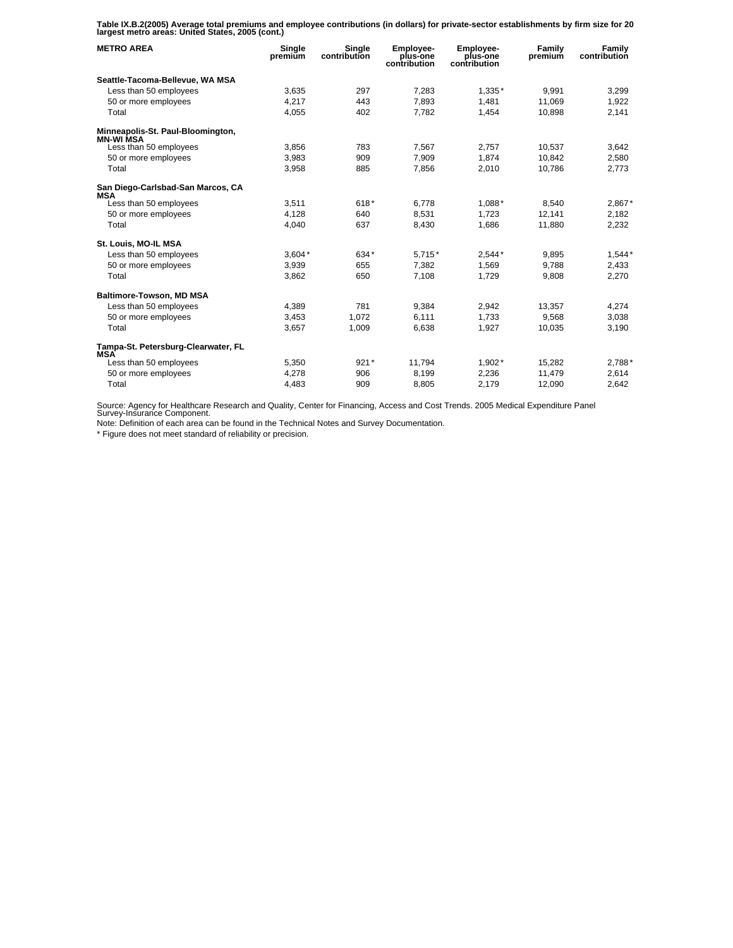**Table IX.B.2(2005) Average total premiums and employee contributions (in dollars) for private-sector establishments by firm size for 20 largest metro areas: United States, 2005 (cont.)** 

| <b>METRO AREA</b>                                     | Single<br>premium | Single<br>contribution | <b>Employee-</b><br>plus-one<br>contribution | Employee-<br>plus-one<br>contribution | Family<br>premium | Family<br>contribution |
|-------------------------------------------------------|-------------------|------------------------|----------------------------------------------|---------------------------------------|-------------------|------------------------|
| Seattle-Tacoma-Bellevue, WA MSA                       |                   |                        |                                              |                                       |                   |                        |
| Less than 50 employees                                | 3.635             | 297                    | 7.283                                        | $1.335*$                              | 9.991             | 3,299                  |
| 50 or more employees                                  | 4,217             | 443                    | 7,893                                        | 1,481                                 | 11,069            | 1,922                  |
| Total                                                 | 4,055             | 402                    | 7,782                                        | 1,454                                 | 10,898            | 2,141                  |
| Minneapolis-St. Paul-Bloomington,<br><b>MN-WI MSA</b> |                   |                        |                                              |                                       |                   |                        |
| Less than 50 employees                                | 3.856             | 783                    | 7.567                                        | 2.757                                 | 10.537            | 3.642                  |
| 50 or more employees                                  | 3,983             | 909                    | 7,909                                        | 1,874                                 | 10,842            | 2,580                  |
| Total                                                 | 3,958             | 885                    | 7,856                                        | 2.010                                 | 10.786            | 2,773                  |
| San Diego-Carlsbad-San Marcos, CA<br><b>MSA</b>       |                   |                        |                                              |                                       |                   |                        |
| Less than 50 employees                                | 3,511             | $618*$                 | 6.778                                        | 1,088*                                | 8.540             | 2,867*                 |
| 50 or more employees                                  | 4.128             | 640                    | 8.531                                        | 1.723                                 | 12.141            | 2,182                  |
| Total                                                 | 4,040             | 637                    | 8,430                                        | 1,686                                 | 11,880            | 2,232                  |
| St. Louis, MO-IL MSA                                  |                   |                        |                                              |                                       |                   |                        |
| Less than 50 employees                                | $3.604*$          | 634*                   | $5.715*$                                     | $2.544*$                              | 9.895             | $1.544*$               |
| 50 or more employees                                  | 3,939             | 655                    | 7,382                                        | 1,569                                 | 9.788             | 2,433                  |
| Total                                                 | 3,862             | 650                    | 7,108                                        | 1,729                                 | 9,808             | 2,270                  |
| <b>Baltimore-Towson, MD MSA</b>                       |                   |                        |                                              |                                       |                   |                        |
| Less than 50 employees                                | 4,389             | 781                    | 9.384                                        | 2.942                                 | 13.357            | 4.274                  |
| 50 or more employees                                  | 3,453             | 1,072                  | 6,111                                        | 1,733                                 | 9,568             | 3,038                  |
| Total                                                 | 3,657             | 1,009                  | 6,638                                        | 1,927                                 | 10,035            | 3,190                  |
| Tampa-St. Petersburg-Clearwater, FL<br><b>MSA</b>     |                   |                        |                                              |                                       |                   |                        |
| Less than 50 employees                                | 5,350             | $921*$                 | 11,794                                       | $1,902*$                              | 15,282            | 2,788*                 |
| 50 or more employees                                  | 4,278             | 906                    | 8,199                                        | 2,236                                 | 11,479            | 2,614                  |
| Total                                                 | 4,483             | 909                    | 8,805                                        | 2,179                                 | 12.090            | 2,642                  |

Source: Agency for Healthcare Research and Quality, Center for Financing, Access and Cost Trends. 2005 Medical Expenditure Panel Survey-Insurance Component.

Note: Definition of each area can be found in the Technical Notes and Survey Documentation.

\* Figure does not meet standard of reliability or precision.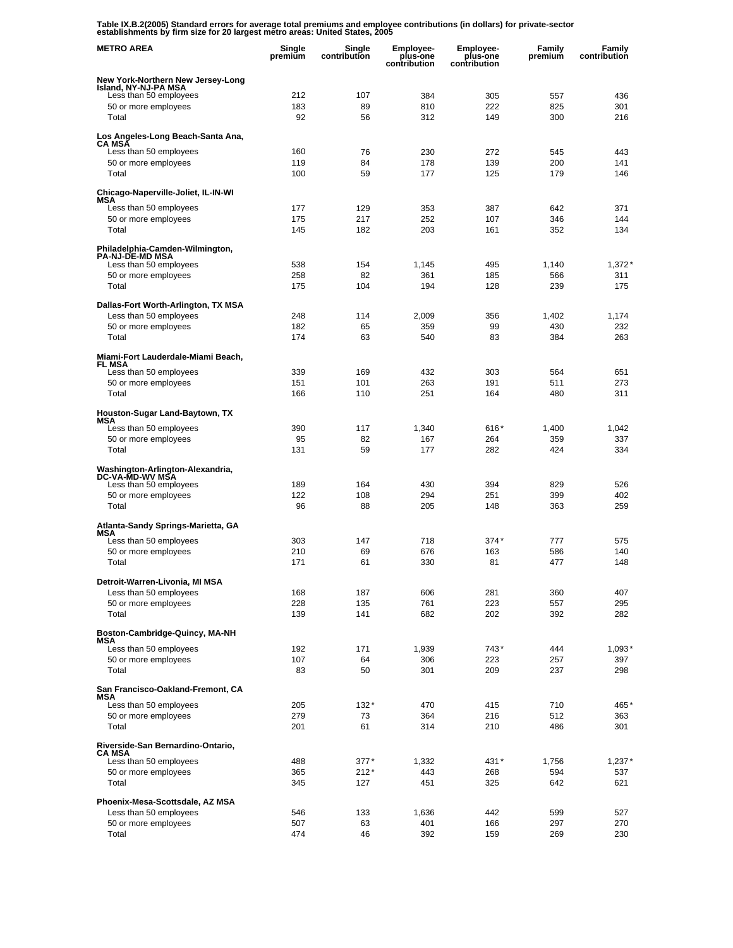**Table IX.B.2(2005) Standard errors for average total premiums and employee contributions (in dollars) for private-sector establishments by firm size for 20 largest metro areas: United States, 2005** 

| <b>METRO AREA</b>                                             | Single<br>premium | Single<br>contribution | <b>Employee-</b><br>plus-one<br>contribution | Employee-<br>plus-one<br>contribution | Family<br>premium | Family<br>contribution |
|---------------------------------------------------------------|-------------------|------------------------|----------------------------------------------|---------------------------------------|-------------------|------------------------|
| New York-Northern New Jersey-Long                             |                   |                        |                                              |                                       |                   |                        |
| Island, NY-NJ-PA MSA<br>Less than 50 employees                | 212               | 107                    | 384                                          | 305                                   | 557               | 436                    |
| 50 or more employees                                          | 183               | 89                     | 810                                          | 222                                   | 825               | 301                    |
| Total                                                         | 92                | 56                     | 312                                          | 149                                   | 300               | 216                    |
| Los Angeles-Long Beach-Santa Ana,<br><b>CA MSA</b>            |                   |                        |                                              |                                       |                   |                        |
| Less than 50 employees<br>50 or more employees                | 160<br>119        | 76<br>84               | 230<br>178                                   | 272<br>139                            | 545<br>200        | 443<br>141             |
| Total                                                         | 100               | 59                     | 177                                          | 125                                   | 179               | 146                    |
| Chicago-Naperville-Joliet, IL-IN-WI<br>MSA                    |                   |                        |                                              |                                       |                   |                        |
| Less than 50 employees                                        | 177               | 129                    | 353                                          | 387                                   | 642               | 371                    |
| 50 or more employees<br>Total                                 | 175<br>145        | 217<br>182             | 252<br>203                                   | 107<br>161                            | 346<br>352        | 144<br>134             |
|                                                               |                   |                        |                                              |                                       |                   |                        |
| Philadelphia-Camden-Wilmington,<br><b>PA-NJ-DE-MD MSA</b>     |                   |                        |                                              |                                       |                   |                        |
| Less than 50 employees                                        | 538               | 154                    | 1,145                                        | 495                                   | 1,140             | 1,372'                 |
| 50 or more employees<br>Total                                 | 258<br>175        | 82<br>104              | 361<br>194                                   | 185<br>128                            | 566<br>239        | 311<br>175             |
|                                                               |                   |                        |                                              |                                       |                   |                        |
| Dallas-Fort Worth-Arlington, TX MSA<br>Less than 50 employees | 248               | 114                    | 2,009                                        | 356                                   | 1,402             | 1,174                  |
| 50 or more employees                                          | 182               | 65                     | 359                                          | 99                                    | 430               | 232                    |
| Total                                                         | 174               | 63                     | 540                                          | 83                                    | 384               | 263                    |
| Miami-Fort Lauderdale-Miami Beach,<br><b>FL MSA</b>           |                   |                        |                                              |                                       |                   |                        |
| Less than 50 employees                                        | 339               | 169                    | 432                                          | 303                                   | 564               | 651                    |
| 50 or more employees                                          | 151               | 101                    | 263                                          | 191                                   | 511               | 273                    |
| Total                                                         | 166               | 110                    | 251                                          | 164                                   | 480               | 311                    |
| Houston-Sugar Land-Baytown, TX<br>MSA                         |                   |                        |                                              |                                       |                   |                        |
| Less than 50 employees                                        | 390               | 117                    | 1,340                                        | 616*                                  | 1,400             | 1,042                  |
| 50 or more employees<br>Total                                 | 95<br>131         | 82<br>59               | 167<br>177                                   | 264<br>282                            | 359<br>424        | 337<br>334             |
|                                                               |                   |                        |                                              |                                       |                   |                        |
| Washington-Arlington-Alexandria,<br>DC-VA-MD-WV MSA           |                   |                        |                                              |                                       |                   |                        |
| Less than 50 employees                                        | 189               | 164                    | 430                                          | 394                                   | 829               | 526                    |
| 50 or more employees<br>Total                                 | 122<br>96         | 108<br>88              | 294<br>205                                   | 251<br>148                            | 399<br>363        | 402<br>259             |
|                                                               |                   |                        |                                              |                                       |                   |                        |
| Atlanta-Sandy Springs-Marietta, GA<br>MSA                     |                   |                        |                                              |                                       |                   |                        |
| Less than 50 employees                                        | 303               | 147                    | 718                                          | $374*$                                | 777               | 575                    |
| 50 or more employees<br>Total                                 | 210<br>171        | 69<br>61               | 676<br>330                                   | 163<br>81                             | 586<br>477        | 140<br>148             |
|                                                               |                   |                        |                                              |                                       |                   |                        |
| Detroit-Warren-Livonia, MI MSA<br>Less than 50 employees      | 168               | 187                    | 606                                          | 281                                   | 360               | 407                    |
| 50 or more employees                                          | 228               | 135                    | 761                                          | 223                                   | 557               | 295                    |
| Total                                                         | 139               | 141                    | 682                                          | 202                                   | 392               | 282                    |
| Boston-Cambridge-Quincy, MA-NH                                |                   |                        |                                              |                                       |                   |                        |
| MSA<br>Less than 50 employees                                 | 192               | 171                    | 1,939                                        | 743*                                  | 444               | 1,093*                 |
| 50 or more employees                                          | 107               | 64                     | 306                                          | 223                                   | 257               | 397                    |
| Total                                                         | 83                | 50                     | 301                                          | 209                                   | 237               | 298                    |
| San Francisco-Oakland-Fremont, CA<br>MSA                      |                   |                        |                                              |                                       |                   |                        |
| Less than 50 employees                                        | 205               | $132*$                 | 470                                          | 415                                   | 710               | 465*                   |
| 50 or more employees                                          | 279               | 73                     | 364                                          | 216                                   | 512               | 363                    |
| Total                                                         | 201               | 61                     | 314                                          | 210                                   | 486               | 301                    |
| Riverside-San Bernardino-Ontario,<br>CA MSA                   |                   |                        |                                              |                                       |                   |                        |
| Less than 50 employees                                        | 488               | $377*$                 | 1,332                                        | 431*                                  | 1,756             | $1,237*$               |
| 50 or more employees<br>Total                                 | 365<br>345        | $212*$<br>127          | 443<br>451                                   | 268<br>325                            | 594<br>642        | 537<br>621             |
|                                                               |                   |                        |                                              |                                       |                   |                        |
| Phoenix-Mesa-Scottsdale, AZ MSA                               |                   |                        |                                              |                                       |                   |                        |
| Less than 50 employees<br>50 or more employees                | 546<br>507        | 133<br>63              | 1,636<br>401                                 | 442<br>166                            | 599<br>297        | 527<br>270             |
| Total                                                         | 474               | 46                     | 392                                          | 159                                   | 269               | 230                    |
|                                                               |                   |                        |                                              |                                       |                   |                        |